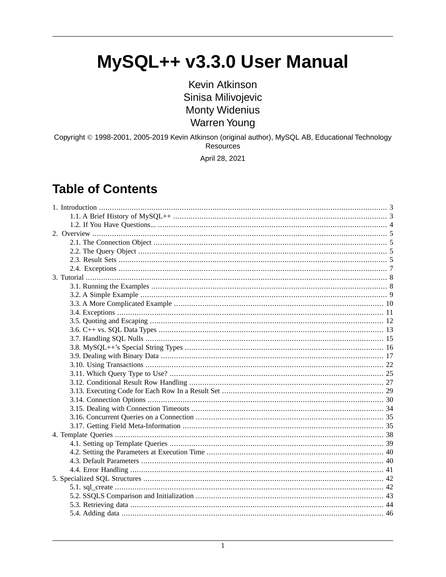# MySQL++ v3.3.0 User Manual

**Kevin Atkinson** Sinisa Milivojevic **Monty Widenius Warren Young** 

Copyright © 1998-2001, 2005-2019 Kevin Atkinson (original author), MySQL AB, Educational Technology Resources

April 28, 2021

#### **Table of Contents**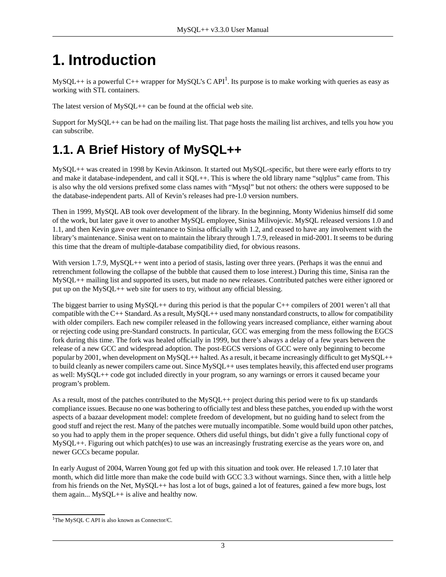# <span id="page-2-0"></span>**1. Introduction**

MySQL++ is a powerful C++ wrapper for MySQL's C API<sup>1</sup>. Its purpose is to make working with queries as easy as working with STL containers.

The latest version of MySQL++ can be found at the official web site.

<span id="page-2-1"></span>Support for MySQL++ can be had on the mailing list. That page hosts the mailing list archives, and tells you how you can subscribe.

## **1.1. A Brief History of MySQL++**

MySQL++ was created in 1998 by Kevin Atkinson. It started out MySQL-specific, but there were early efforts to try and make it database-independent, and call it SQL++. This is where the old library name "sqlplus" came from. This is also why the old versions prefixed some class names with "Mysql" but not others: the others were supposed to be the database-independent parts. All of Kevin's releases had pre-1.0 version numbers.

Then in 1999, MySQL AB took over development of the library. In the beginning, Monty Widenius himself did some of the work, but later gave it over to another MySQL employee, Sinisa Milivojevic. MySQL released versions 1.0 and 1.1, and then Kevin gave over maintenance to Sinisa officially with 1.2, and ceased to have any involvement with the library's maintenance. Sinisa went on to maintain the library through 1.7.9, released in mid-2001. It seems to be during this time that the dream of multiple-database compatibility died, for obvious reasons.

With version 1.7.9, MySQL++ went into a period of stasis, lasting over three years. (Perhaps it was the ennui and retrenchment following the collapse of the bubble that caused them to lose interest.) During this time, Sinisa ran the MySQL++ mailing list and supported its users, but made no new releases. Contributed patches were either ignored or put up on the MySQL++ web site for users to try, without any official blessing.

The biggest barrier to using MySQL++ during this period is that the popular  $C++$  compilers of 2001 weren't all that compatible with the C++ Standard. As a result, MySQL++ used many nonstandard constructs, to allow for compatibility with older compilers. Each new compiler released in the following years increased compliance, either warning about or rejecting code using pre-Standard constructs. In particular, GCC was emerging from the mess following the EGCS fork during this time. The fork was healed officially in 1999, but there's always a delay of a few years between the release of a new GCC and widespread adoption. The post-EGCS versions of GCC were only beginning to become popular by 2001, when development on MySQL++ halted. As a result, it became increasingly difficult to get MySQL++ to build cleanly as newer compilers came out. Since MySQL++ uses templates heavily, this affected end user programs as well: MySQL++ code got included directly in your program, so any warnings or errors it caused became your program's problem.

As a result, most of the patches contributed to the  $MySQL++$  project during this period were to fix up standards compliance issues. Because no one was bothering to officially test and bless these patches, you ended up with the worst aspects of a bazaar development model: complete freedom of development, but no guiding hand to select from the good stuff and reject the rest. Many of the patches were mutually incompatible. Some would build upon other patches, so you had to apply them in the proper sequence. Others did useful things, but didn't give a fully functional copy of MySQL++. Figuring out which patch(es) to use was an increasingly frustrating exercise as the years wore on, and newer GCCs became popular.

In early August of 2004, Warren Young got fed up with this situation and took over. He released 1.7.10 later that month, which did little more than make the code build with GCC 3.3 without warnings. Since then, with a little help from his friends on the Net, MySQL++ has lost a lot of bugs, gained a lot of features, gained a few more bugs, lost them again... MySQL++ is alive and healthy now.

<sup>&</sup>lt;sup>1</sup>The MySQL C API is also known as Connector/C.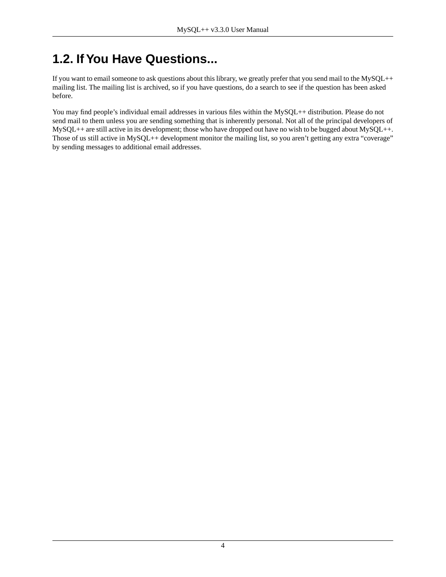# <span id="page-3-0"></span>**1.2. If You Have Questions...**

If you want to email someone to ask questions about this library, we greatly prefer that you send mail to the MySQL++ mailing list. The mailing list is archived, so if you have questions, do a search to see if the question has been asked before.

You may find people's individual email addresses in various files within the MySQL++ distribution. Please do not send mail to them unless you are sending something that is inherently personal. Not all of the principal developers of MySQL++ are still active in its development; those who have dropped out have no wish to be bugged about MySQL++. Those of us still active in MySQL++ development monitor the mailing list, so you aren't getting any extra "coverage" by sending messages to additional email addresses.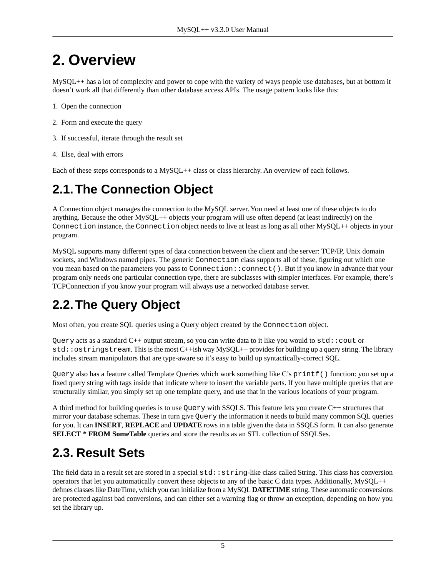# <span id="page-4-0"></span>**2. Overview**

MySQL++ has a lot of complexity and power to cope with the variety of ways people use databases, but at bottom it doesn't work all that differently than other database access APIs. The usage pattern looks like this:

- 1. Open the connection
- 2. Form and execute the query
- 3. If successful, iterate through the result set
- <span id="page-4-1"></span>4. Else, deal with errors

Each of these steps corresponds to a MySQL++ class or class hierarchy. An overview of each follows.

## **2.1.The Connection Object**

A Connection object manages the connection to the MySQL server. You need at least one of these objects to do anything. Because the other MySQL++ objects your program will use often depend (at least indirectly) on the Connection instance, the Connection object needs to live at least as long as all other MySQL++ objects in your program.

<span id="page-4-2"></span>MySQL supports many different types of data connection between the client and the server: TCP/IP, Unix domain sockets, and Windows named pipes. The generic Connection class supports all of these, figuring out which one you mean based on the parameters you pass to Connection::connect(). But if you know in advance that your program only needs one particular connection type, there are subclasses with simpler interfaces. For example, there's TCPConnection if you know your program will always use a networked database server.

# **2.2.The Query Object**

Most often, you create SQL queries using a Query object created by the Connection object.

Query acts as a standard C++ output stream, so you can write data to it like you would to std::cout or  $std:$ : ostringstream. This is the most  $C++ish$  way MySQL $++$  provides for building up a query string. The library includes stream manipulators that are type-aware so it's easy to build up syntactically-correct SQL.

Query also has a feature called [Template Queries](#page-37-0) which work something like C's printf() function: you set up a fixed query string with tags inside that indicate where to insert the variable parts. If you have multiple queries that are structurally similar, you simply set up one template query, and use that in the various locations of your program.

<span id="page-4-3"></span>A third method for building queries is to use Query with [SSQLS.](#page-41-0) This feature lets you create C++ structures that mirror your database schemas. These in turn give Query the information it needs to build many common SQL queries for you. It can **INSERT**, **REPLACE** and **UPDATE** rows in a table given the data in SSQLS form. It can also generate **SELECT \* FROM SomeTable** queries and store the results as an STL collection of SSQLSes.

# **2.3. Result Sets**

The field data in a result set are stored in a special  $std::string-like$  class called String. This class has conversion operators that let you automatically convert these objects to any of the basic C data types. Additionally, MySQL++ defines classes like DateTime, which you can initialize from a MySQL **DATETIME** string. These automatic conversions are protected against bad conversions, and can either set a warning flag or throw an exception, depending on how you set the library up.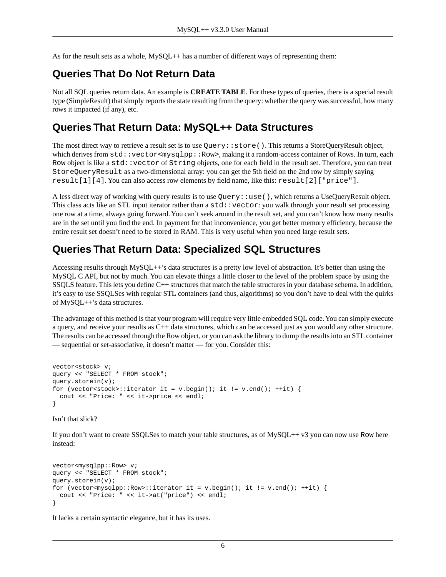As for the result sets as a whole, MySQL++ has a number of different ways of representing them:

#### **Queries That Do Not Return Data**

Not all SQL queries return data. An example is **CREATE TABLE**. For these types of queries, there is a special result type (SimpleResult) that simply reports the state resulting from the query: whether the query was successful, how many rows it impacted (if any), etc.

#### **Queries That Return Data: MySQL++ Data Structures**

The most direct way to retrieve a result set is to use Query: : store(). This returns a StoreQueryResult object, which derives from  $std:vector$ , making it a random-access container of Rows. In turn, each Row object is like a std::vector of String objects, one for each field in the result set. Therefore, you can treat StoreQueryResult as a two-dimensional array: you can get the 5th field on the 2nd row by simply saying result[1][4]. You can also access row elements by field name, like this: result[2]["price"].

A less direct way of working with query results is to use Query::use(), which returns a UseQueryResult object. This class acts like an STL input iterator rather than a  $std:$ : vector: you walk through your result set processing one row at a time, always going forward. You can't seek around in the result set, and you can't know how many results are in the set until you find the end. In payment for that inconvenience, you get better memory efficiency, because the entire result set doesn't need to be stored in RAM. This is very useful when you need large result sets.

#### **Queries That Return Data: Specialized SQL Structures**

Accessing results through MySQL++'s data structures is a pretty low level of abstraction. It's better than using the MySQL C API, but not by much. You can elevate things a little closer to the level of the problem space by using the [SSQLS feature](#page-41-0). This lets you define C++ structures that match the table structures in your database schema. In addition, it's easy to use SSQLSes with regular STL containers (and thus, algorithms) so you don't have to deal with the quirks of MySQL++'s data structures.

The advantage of this method is that your program will require very little embedded SQL code. You can simply execute a query, and receive your results as C++ data structures, which can be accessed just as you would any other structure. The results can be accessed through the Row object, or you can ask the library to dump the results into an STL container — sequential or set-associative, it doesn't matter — for you. Consider this:

```
vector<stock> v;
query << "SELECT * FROM stock";
query.storein(v);
for (vector<stock>::iterator it = v.beqin(); it != v.end(); ++it) {
  cout << "Price: " << it->price << endl;
}
```
Isn't that slick?

If you don't want to create SSQLSes to match your table structures, as of MySQL++ v3 you can now use Row here instead:

```
vector<mysqlpp::Row> v;
query << "SELECT * FROM stock";
query.storein(v);
for (vector<mysqlpp::Row>::iterator it = v.begin(); it != v.end(); ++it) {
   cout << "Price: " << it->at("price") << endl;
}
```
It lacks a certain syntactic elegance, but it has its uses.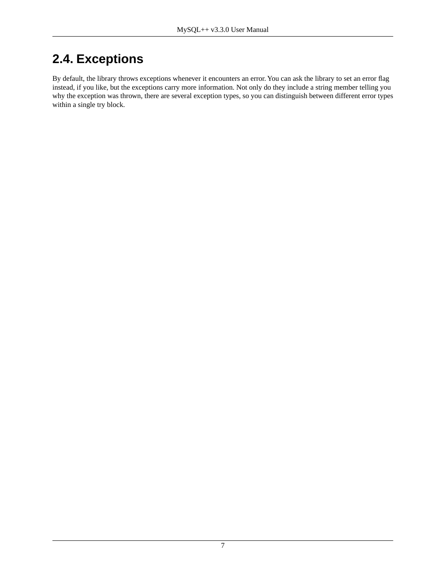# <span id="page-6-0"></span>**2.4. Exceptions**

By default, the library throws [exceptions](#page-10-0) whenever it encounters an error. You can ask the library to set an error flag instead, if you like, but the exceptions carry more information. Not only do they include a string member telling you why the exception was thrown, there are several exception types, so you can distinguish between different error types within a single try block.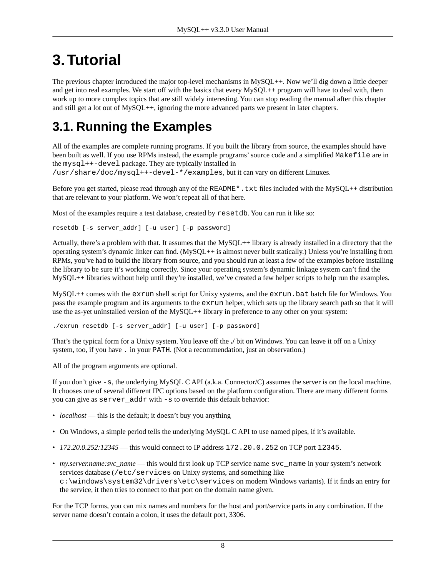# <span id="page-7-0"></span>**3.Tutorial**

The [previous chapter](#page-4-0) introduced the major top-level mechanisms in MySQL++. Now we'll dig down a little deeper and get into real examples. We start off with the basics that every MySQL++ program will have to deal with, then work up to more complex topics that are still widely interesting. You can stop reading the manual after this chapter and still get a lot out of MySQL++, ignoring the more advanced parts we present in later chapters.

# <span id="page-7-1"></span>**3.1. Running the Examples**

All of the examples are complete running programs. If you built the library from source, the examples should have been built as well. If you use RPMs instead, the example programs' source code and a simplified Makefile are in the mysql++-devel package. They are typically installed in

/usr/share/doc/mysql++-devel-\*/examples, but it can vary on different Linuxes.

Before you get started, please read through any of the README\*.txt files included with the MySQL++ distribution that are relevant to your platform. We won't repeat all of that here.

Most of the examples require a test database, created by resetdb. You can run it like so:

resetdb [-s server\_addr] [-u user] [-p password]

Actually, there's a problem with that. It assumes that the MySQL++ library is already installed in a directory that the operating system's dynamic linker can find. (MySQL++ is almost never built statically.) Unless you're installing from RPMs, you've had to build the library from source, and you should run at least a few of the examples before installing the library to be sure it's working correctly. Since your operating system's dynamic linkage system can't find the MySQL++ libraries without help until they're installed, we've created a few helper scripts to help run the examples.

 $MySOL++$  comes with the exrun shell script for Unixy systems, and the exrun. bat batch file for Windows. You pass the example program and its arguments to the exrun helper, which sets up the library search path so that it will use the as-yet uninstalled version of the MySQL++ library in preference to any other on your system:

./exrun resetdb [-s server\_addr] [-u user] [-p password]

That's the typical form for a Unixy system. You leave off the **./** bit on Windows. You can leave it off on a Unixy system, too, if you have . in your PATH. (Not a recommendation, just an observation.)

All of the program arguments are optional.

If you don't give  $-s$ , the underlying MySQL C API (a.k.a. Connector/C) assumes the server is on the local machine. It chooses one of several different IPC options based on the platform configuration. There are many different forms you can give as server\_addr with -s to override this default behavior:

- *localhost* this is the default; it doesn't buy you anything
- On Windows, a simple period tells the underlying MySQL C API to use named pipes, if it's available.
- *172.20.0.252:12345* this would connect to IP address 172.20.0.252 on TCP port 12345.
- *my.server.name:svc\_name* this would first look up TCP service name svc\_name in your system's network services database (/etc/services on Unixy systems, and something like c:\windows\system32\drivers\etc\services on modern Windows variants). If it finds an entry for the service, it then tries to connect to that port on the domain name given.

For the TCP forms, you can mix names and numbers for the host and port/service parts in any combination. If the server name doesn't contain a colon, it uses the default port, 3306.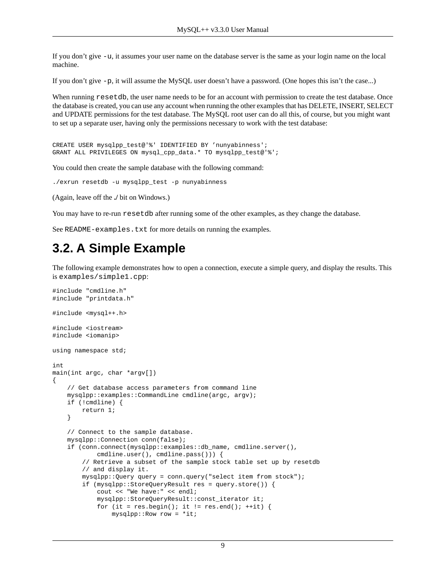If you don't give -u, it assumes your user name on the database server is the same as your login name on the local machine.

If you don't give -p, it will assume the MySQL user doesn't have a password. (One hopes this isn't the case...)

When running resetdb, the user name needs to be for an account with permission to create the test database. Once the database is created, you can use any account when running the other examples that has DELETE, INSERT, SELECT and UPDATE permissions for the test database. The MySQL root user can do all this, of course, but you might want to set up a separate user, having only the permissions necessary to work with the test database:

```
CREATE USER mysqlpp_test@'%' IDENTIFIED BY 'nunyabinness';
GRANT ALL PRIVILEGES ON mysql_cpp_data.* TO mysqlpp_test@'%';
```
You could then create the sample database with the following command:

```
./exrun resetdb -u mysqlpp_test -p nunyabinness
```
(Again, leave off the **./** bit on Windows.)

<span id="page-8-0"></span>You may have to re-run resetdb after running some of the other examples, as they change the database.

See README-examples.txt for more details on running the examples.

#### **3.2. A Simple Example**

The following example demonstrates how to open a connection, execute a simple query, and display the results. This is examples/simple1.cpp:

```
#include "cmdline.h"
#include "printdata.h"
#include <mysql++.h>
#include <iostream>
#include <iomanip>
using namespace std;
int
main(int argc, char *argv[])
{
     // Get database access parameters from command line
     mysqlpp::examples::CommandLine cmdline(argc, argv);
     if (!cmdline) {
         return 1;
     }
     // Connect to the sample database.
     mysqlpp::Connection conn(false);
     if (conn.connect(mysqlpp::examples::db_name, cmdline.server(),
             cmdline.user(), cmdline.pass())) {
         // Retrieve a subset of the sample stock table set up by resetdb
         // and display it.
         mysqlpp::Query query = conn.query("select item from stock");
         if (mysqlpp::StoreQueryResult res = query.store()) {
             cout << "We have:" << endl;
             mysqlpp::StoreQueryResult::const_iterator it;
            for (it = res.begin(); it != res.end(); ++it) {
                mysqlpp::Row row = *it;
```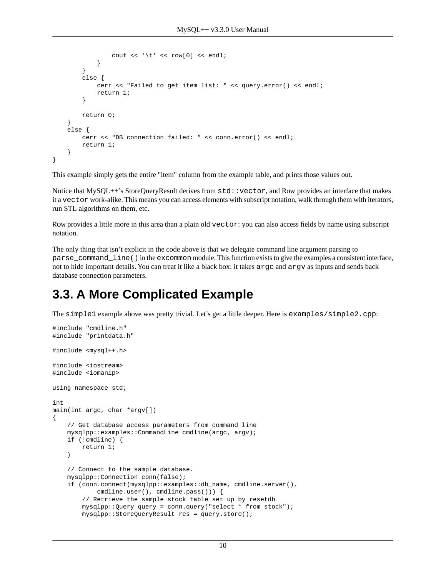```
cout << '\t' << row[0] << endl;
 }
 }
        else {
            cerr << "Failed to get item list: " << query.error() << endl;
            return 1;
 }
        return 0;
    }
    else {
        cerr << "DB connection failed: " << conn.error() << endl;
        return 1;
    }
}
```
This example simply gets the entire "item" column from the example table, and prints those values out.

Notice that MySQL++'s StoreQueryResult derives from  $std:$ : vector, and Row provides an interface that makes it a vector work-alike. This means you can access elements with subscript notation, walk through them with iterators, run STL algorithms on them, etc.

Row provides a little more in this area than a plain old vector: you can also access fields by name using subscript notation.

<span id="page-9-0"></span>The only thing that isn't explicit in the code above is that we delegate command line argument parsing to parse\_command\_line() in the excommon module. This function exists to give the examples a consistent interface, not to hide important details. You can treat it like a black box: it takes argc and argv as inputs and sends back database connection parameters.

#### **3.3. A More Complicated Example**

The simple1 example above was pretty trivial. Let's get a little deeper. Here is examples/simple2.cpp:

```
#include "cmdline.h"
#include "printdata.h"
#include <mysql++.h>
#include <iostream>
#include <iomanip>
using namespace std;
int
main(int argc, char *argv[])
{
     // Get database access parameters from command line
     mysqlpp::examples::CommandLine cmdline(argc, argv);
     if (!cmdline) {
         return 1;
     }
     // Connect to the sample database.
     mysqlpp::Connection conn(false);
     if (conn.connect(mysqlpp::examples::db_name, cmdline.server(),
             cmdline.user(), cmdline.pass())) {
         // Retrieve the sample stock table set up by resetdb
         mysqlpp::Query query = conn.query("select * from stock");
         mysqlpp::StoreQueryResult res = query.store();
```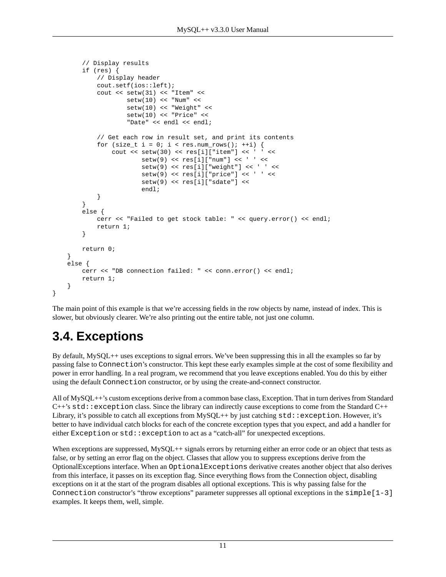```
 // Display results
         if (res) {
              // Display header
              cout.setf(ios::left);
              cout << setw(31) << "Item" <<
                      setw(10) \leq \text{Num} \leq \text{Sum} setw(10) << "Weight" <<
                       setw(10) << "Price" <<
                       "Date" << endl << endl;
              // Get each row in result set, and print its contents
             for (size_t i = 0; i < res.num_rows(); ++i) {
                 cout << set{w(30)} << res[i]["item"] << '
                          setw(9) \leq \text{res}[i]["num"] \leq \cdot ' ' \leqsetw(9) \leq \text{res}[i][\text{"weight"}] \leq \text{`` ' ' } \leqsetw(9) \ll \text{res}[i]["price"] \ll ' \llsetw(9) \lt\lt{res[i]["sdate"] \lt\lt endl;
 }
 }
         else {
              cerr << "Failed to get stock table: " << query.error() << endl;
              return 1;
 }
         return 0;
     }
     else {
         cerr << "DB connection failed: " << conn.error() << endl;
         return 1;
     }
```
The main point of this example is that we're accessing fields in the row objects by name, instead of index. This is slower, but obviously clearer. We're also printing out the entire table, not just one column.

# **3.4. Exceptions**

<span id="page-10-0"></span>}

By default, MySQL++ uses exceptions to signal errors. We've been suppressing this in all the examples so far by passing false to Connection's constructor. This kept these early examples simple at the cost of some flexibility and power in error handling. In a real program, we recommend that you leave exceptions enabled. You do this by either using the default Connection constructor, or by using the create-and-connect constructor.

All of MySQL++'s custom exceptions derive from a common base class, Exception. That in turn derives from Standard  $C++$ 's  $std:$  exception class. Since the library can indirectly cause exceptions to come from the Standard  $C++$ Library, it's possible to catch all exceptions from MySQL++ by just catching  $std:$ : exception. However, it's better to have individual catch blocks for each of the concrete exception types that you expect, and add a handler for either Exception or std: : exception to act as a "catch-all" for unexpected exceptions.

When exceptions are suppressed, MySQL++ signals errors by returning either an error code or an object that tests as false, or by setting an error flag on the object. Classes that allow you to suppress exceptions derive from the OptionalExceptions interface. When an OptionalExceptions derivative creates another object that also derives from this interface, it passes on its exception flag. Since everything flows from the Connection object, disabling exceptions on it at the start of the program disables all optional exceptions. This is why passing false for the Connection constructor's "throw exceptions" parameter suppresses all optional exceptions in the simple $[1-3]$ examples. It keeps them, well, simple.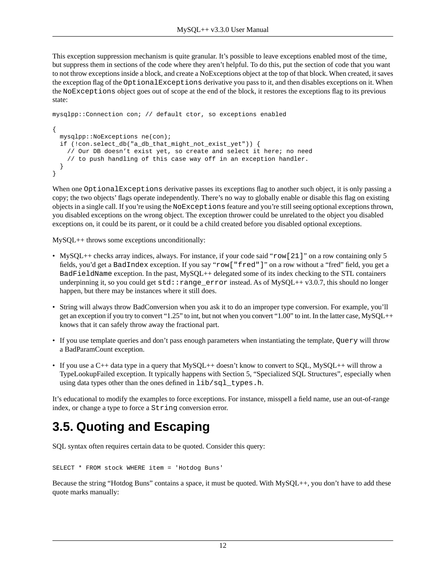This exception suppression mechanism is quite granular. It's possible to leave exceptions enabled most of the time, but suppress them in sections of the code where they aren't helpful. To do this, put the section of code that you want to not throw exceptions inside a block, and create a NoExceptions object at the top of that block. When created, it saves the exception flag of the OptionalExceptions derivative you pass to it, and then disables exceptions on it. When the NoExceptions object goes out of scope at the end of the block, it restores the exceptions flag to its previous state:

```
mysqlpp::Connection con; // default ctor, so exceptions enabled
{
  mysqlpp::NoExceptions ne(con);
   if (!con.select_db("a_db_that_might_not_exist_yet")) {
     // Our DB doesn't exist yet, so create and select it here; no need
     // to push handling of this case way off in an exception handler.
   }
}
```
When one OptionalExceptions derivative passes its exceptions flag to another such object, it is only passing a copy; the two objects' flags operate independently. There's no way to globally enable or disable this flag on existing objects in a single call. If you're using the NoExceptions feature and you're still seeing optional exceptions thrown, you disabled exceptions on the wrong object. The exception thrower could be unrelated to the object you disabled exceptions on, it could be its parent, or it could be a child created before you disabled optional exceptions.

MySQL++ throws some exceptions unconditionally:

- MySQL++ checks array indices, always. For instance, if your code said "row[21]" on a row containing only 5 fields, you'd get a BadIndex exception. If you say "row["fred"]" on a row without a "fred" field, you get a BadFieldName exception. In the past, MySQL++ delegated some of its index checking to the STL containers underpinning it, so you could get  $std:range$  error instead. As of MySQL++ v3.0.7, this should no longer happen, but there may be instances where it still does.
- String will always throw BadConversion when you ask it to do an improper type conversion. For example, you'll get an exception if you try to convert "1.25" to int, but not when you convert "1.00" to int. In the latter case, MySQL++ knows that it can safely throw away the fractional part.
- If you use template queries and don't pass enough parameters when instantiating the template, Query will throw a BadParamCount exception.
- <span id="page-11-0"></span>• If you use a  $C_{++}$  data type in a query that  $MySQL++$  doesn't know to convert to SQL,  $MySQL++$  will throw a TypeLookupFailed exception. It typically happens with [Section 5, "Specialized SQL Structures",](#page-41-0) especially when using data types other than the ones defined in lib/sql\_types.h.

It's educational to modify the examples to force exceptions. For instance, misspell a field name, use an out-of-range index, or change a type to force a String conversion error.

## **3.5. Quoting and Escaping**

SQL syntax often requires certain data to be quoted. Consider this query:

```
SELECT * FROM stock WHERE item = 'Hotdog Buns'
```
Because the string "Hotdog Buns" contains a space, it must be quoted. With MySQL++, you don't have to add these quote marks manually: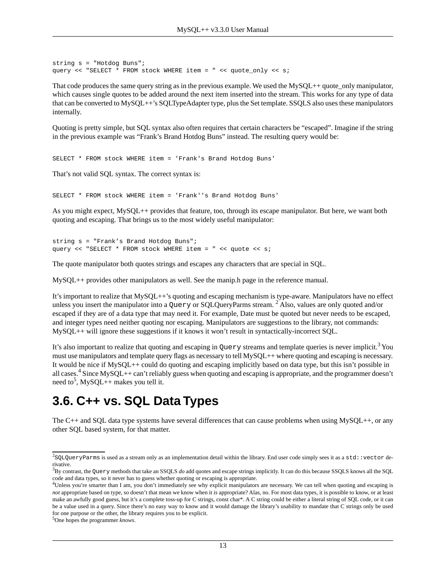```
string s = "Hotdog Buns";
query << "SELECT * FROM stock WHERE item = " << quote_only << s;
```
That code produces the same query string as in the previous example. We used the MySQL++ quote\_only manipulator, which causes single quotes to be added around the next item inserted into the stream. This works for any type of data that can be converted to MySQL++'s SQLTypeAdapter type, plus the Set template. [SSQLS](#page-41-0) also uses these manipulators internally.

Quoting is pretty simple, but SQL syntax also often requires that certain characters be "escaped". Imagine if the string in the previous example was "Frank's Brand Hotdog Buns" instead. The resulting query would be:

SELECT \* FROM stock WHERE item = 'Frank's Brand Hotdog Buns'

That's not valid SQL syntax. The correct syntax is:

SELECT \* FROM stock WHERE item = 'Frank''s Brand Hotdog Buns'

As you might expect, MySQL++ provides that feature, too, through its escape manipulator. But here, we want both quoting and escaping. That brings us to the most widely useful manipulator:

```
string s = "Frank's Brand Hotdog Buns";
query << "SELECT * FROM stock WHERE item = " << quote << s;
```
The quote manipulator both quotes strings and escapes any characters that are special in SQL.

MySQL++ provides other manipulators as well. See the manip.h page in the reference manual.

It's important to realize that MySQL++'s quoting and escaping mechanism is type-aware. Manipulators have no effect unless you insert the manipulator into a Query or SQLQueryParms stream.  $^{2}$  Also, values are only quoted and/or escaped if they are of a data type that may need it. For example, Date must be quoted but never needs to be escaped, and integer types need neither quoting nor escaping. Manipulators are suggestions to the library, not commands: MySQL++ will ignore these suggestions if it knows it won't result in syntactically-incorrect SQL.

<span id="page-12-0"></span>It's also important to realize that quoting and escaping in Query streams and template queries is never implicit.<sup>3</sup> You must use manipulators and template query flags as necessary to tell MySQL++ where quoting and escaping is necessary. It would be nice if MySQL++ could do quoting and escaping implicitly based on data type, but this isn't possible in all cases.<sup>4</sup> Since MySQL++ can't reliably guess when quoting and escaping is appropriate, and the programmer doesn't need to<sup>5</sup>, MySQL++ makes you tell it.

#### **3.6. C++ vs. SQL Data Types**

The C++ and SQL data type systems have several differences that can cause problems when using MySQL++, or any other SQL based system, for that matter.

 $^2$ SQLQueryParms is used as a stream only as an implementation detail within the library. End user code simply sees it as a  $\texttt{std}$  : vector derivative.

<sup>3</sup>By contrast, the Query methods that take an [SSQLS](#page-41-0) *do* add quotes and escape strings implicitly. It can do this because SSQLS knows all the SQL code and data types, so it never has to guess whether quoting or escaping is appropriate.

<sup>4</sup>Unless you're smarter than I am, you don't immediately see why explicit manipulators are necessary. We can tell when quoting and escaping is *not* appropriate based on type, so doesn't that mean we know when it *is* appropriate? Alas, no. For most data types, it is possible to know, or at least make an awfully good guess, but it's a complete toss-up for C strings, const char\*. A C string could be either a literal string of SQL code, or it can be a value used in a query. Since there's no easy way to know and it would damage the library's usability to mandate that C strings only be used for one purpose or the other, the library requires you to be explicit.

<sup>5</sup>One hopes the programmer *knows*.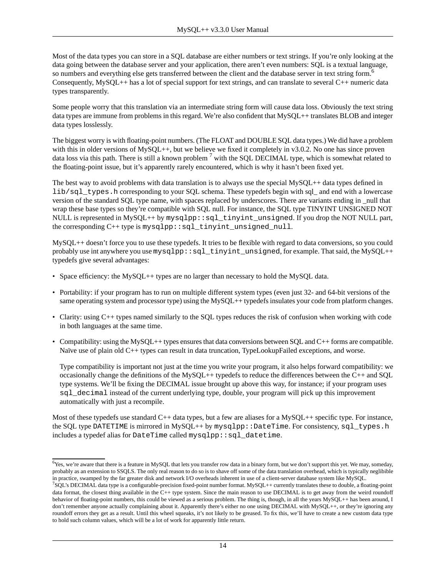Most of the data types you can store in a SQL database are either numbers or text strings. If you're only looking at the data going between the database server and your application, there aren't even numbers: SQL is a textual language, so numbers and everything else gets transferred between the client and the database server in text string form.<sup>6</sup> Consequently,  $MySQL++$  has a lot of [special support](#page-15-0) for text strings, and can translate to several  $C++$  numeric data types transparently.

Some people worry that this translation via an intermediate string form will cause data loss. Obviously the text string data types are immune from problems in this regard. We're also confident that MySOL++ translates [BLOB](#page-16-0) and integer data types losslessly.

The biggest worry is with floating-point numbers. (The FLOAT and DOUBLE SQL data types.) We did have a problem with this in older versions of  $MySQL++$ , but we believe we fixed it completely in v3.0.2. No one has since proven data loss via this path. There is still a known problem  $^7$  with the SQL DECIMAL type, which is somewhat related to the floating-point issue, but it's apparently rarely encountered, which is why it hasn't been fixed yet.

The best way to avoid problems with data translation is to always use the special  $MySOL++$  data types defined in lib/sql\_types.h corresponding to your SQL schema. These typedefs begin with sql\_ and end with a lowercase version of the standard SQL type name, with spaces replaced by underscores. There are variants ending in \_null that wrap these base types so they're [compatible with SQL null](#page-14-0). For instance, the SQL type TINYINT UNSIGNED NOT NULL is represented in MySQL++ by mysqlpp::sql\_tinyint\_unsigned. If you drop the NOT NULL part, the corresponding C++ type is mysqlpp::sql\_tinyint\_unsigned\_null.

MySQL++ doesn't force you to use these typedefs. It tries to be flexible with regard to data conversions, so you could probably use int anywhere you use  $mysq1pp::sq1\_tinyint\_unsigned$ , for example. That said, the MySQL++ typedefs give several advantages:

- Space efficiency: the MySQL++ types are no larger than necessary to hold the MySQL data.
- Portability: if your program has to run on multiple different system types (even just 32- and 64-bit versions of the same operating system and processor type) using the MySQL++ typedefs insulates your code from platform changes.
- Clarity: using C++ types named similarly to the SQL types reduces the risk of confusion when working with code in both languages at the same time.
- Compatibility: using the MySQL++ types ensures that data conversions between SQL and  $C_{++}$  forms are compatible. Naïve use of plain old C++ types can result in data truncation, TypeLookupFailed exceptions, and worse.

Type compatibility is important not just at the time you write your program, it also helps forward compatibility: we occasionally change the definitions of the MySQL++ typedefs to reduce the differences between the C++ and SQL type systems. We'll be fixing the DECIMAL issue brought up above this way, for instance; if your program uses sql\_decimal instead of the current underlying type, double, your program will pick up this improvement automatically with just a recompile.

Most of these typedefs use standard  $C++$  data types, but a few are aliases for a MySQL $++$  specific type. For instance, the SQL type DATETIME is mirrored in MySQL++ by mysqlpp::DateTime. For consistency, sql\_types.h includes a typedef alias for DateTime called mysqlpp::sql\_datetime.

 $6Y$ es, we're aware that there is a feature in MySQL that lets you transfer row data in a binary form, but we don't support this yet. We may, someday, probably as an extension to [SSQLS](#page-41-0). The only real reason to do so is to shave off some of the data translation overhead, which is typically neglibible in practice, swamped by the far greater disk and network I/O overheads inherent in use of a client-server database system like MySQL.

<sup>7</sup> SQL's DECIMAL data type is a configurable-precision fixed-point number format. MySQL++ currently translates these to double, a floating-point data format, the closest thing available in the C++ type system. Since the main reason to use DECIMAL is to get away from the weird roundoff behavior of floating-point numbers, this could be viewed as a serious problem. The thing is, though, in all the years MySQL++ has been around, I don't remember anyone actually complaining about it. Apparently there's either no one using DECIMAL with MySQL++, or they're ignoring any roundoff errors they get as a result. Until this wheel squeaks, it's not likely to be greased. To fix this, we'll have to create a new custom data type to hold such column values, which will be a lot of work for apparently little return.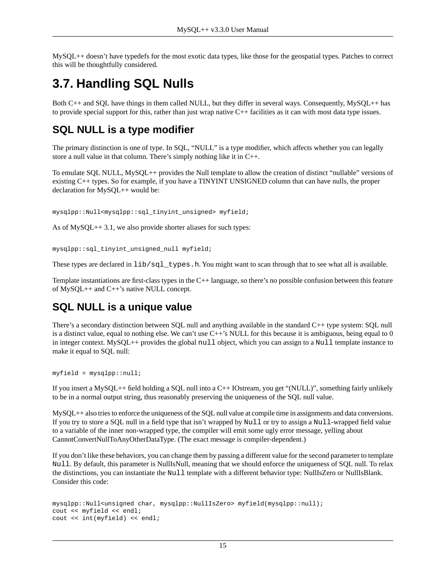<span id="page-14-0"></span>MySQL++ doesn't have typedefs for the most exotic data types, like those for the geospatial types. Patches to correct this will be thoughtfully considered.

### **3.7. Handling SQL Nulls**

Both C++ and SQL have things in them called NULL, but they differ in several ways. Consequently, MySQL++ has to provide special support for this, rather than just wrap native C++ facilities as it can with most data type issues.

#### **SQL NULL is a type modifier**

The primary distinction is one of type. In SQL, "NULL" is a type modifier, which affects whether you can legally store a null value in that column. There's simply nothing like it in C++.

To emulate SQL NULL, MySQL++ provides the Null template to allow the creation of distinct "nullable" versions of existing C++ types. So for example, if you have a TINYINT UNSIGNED column that can have nulls, the proper declaration for MySQL++ would be:

mysqlpp::Null<mysqlpp::sql\_tinyint\_unsigned> myfield;

As of MySQL++3.1, we also provide shorter aliases for such types:

mysqlpp::sql\_tinyint\_unsigned\_null myfield;

These types are declared in  $\text{lib/sql_typees}$ .h. You might want to scan through that to see what all is available.

Template instantiations are first-class types in the C++ language, so there's no possible confusion between this feature of MySQL++ and C++'s native NULL concept.

#### **SQL NULL is a unique value**

There's a secondary distinction between SQL null and anything available in the standard C++ type system: SQL null is a distinct value, equal to nothing else. We can't use  $C++$ 's NULL for this because it is ambiguous, being equal to 0 in integer context. MySQL++ provides the global null object, which you can assign to a Null template instance to make it equal to SQL null:

myfield = mysqlpp::null;

If you insert a MySQL++ field holding a SQL null into a C++ IOstream, you get "(NULL)", something fairly unlikely to be in a normal output string, thus reasonably preserving the uniqueness of the SQL null value.

MySQL++ also tries to enforce the uniqueness of the SQL null value at compile time in assignments and data conversions. If you try to store a SQL null in a field type that isn't wrapped by Null or try to assign a Null-wrapped field value to a variable of the inner non-wrapped type, the compiler will emit some ugly error message, yelling about CannotConvertNullToAnyOtherDataType. (The exact message is compiler-dependent.)

If you don't like these behaviors, you can change them by passing a different value for the second parameter to template Null. By default, this parameter is NullIsNull, meaning that we should enforce the uniqueness of SQL null. To relax the distinctions, you can instantiate the Null template with a different behavior type: NullIsZero or NullIsBlank. Consider this code:

```
mysqlpp::Null<unsigned char, mysqlpp::NullIsZero> myfield(mysqlpp::null);
cout << myfield << endl;
cout << int(myfield) << endl;
```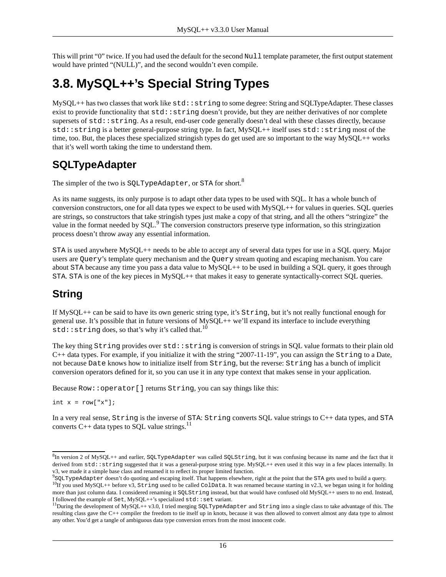<span id="page-15-0"></span>This will print "0" twice. If you had used the default for the second Null template parameter, the first output statement would have printed "(NULL)", and the second wouldn't even compile.

## **3.8. MySQL++'s Special String Types**

MySQL++ has two classes that work like std::string to some degree: String and SQLTypeAdapter. These classes exist to provide functionality that  $std::string$  doesn't provide, but they are neither derivatives of nor complete supersets of  $std$ ::string. As a result, end-user code generally doesn't deal with these classes directly, because std::string is a better general-purpose string type. In fact, MySQL++ itself uses std::string most of the time, too. But, the places these specialized stringish types do get used are so important to the way MySQL++ works that it's well worth taking the time to understand them.

#### **SQLTypeAdapter**

The simpler of the two is SOLTypeAdapter, or STA for short.<sup>8</sup>

As its name suggests, its only purpose is to adapt other data types to be used with SQL. It has a whole bunch of conversion constructors, one for all data types we expect to be used with MySQL++ for values in queries. SQL queries are strings, so constructors that take stringish types just make a copy of that string, and all the others "stringize" the value in the format needed by SQL.<sup>9</sup> The conversion constructors preserve type information, so this stringization process doesn't throw away any essential information.

STA is used anywhere MySQL++ needs to be able to accept any of several data types for use in a SQL query. Major users are Query's template query mechanism and the Query stream quoting and escaping mechanism. You care about STA because any time you pass a data value to MySQL++ to be used in building a SQL query, it goes through STA. STA is one of the key pieces in MySQL++ that makes it easy to generate syntactically-correct SQL queries.

#### **String**

If MySQL++ can be said to have its own generic string type, it's String, but it's not really functional enough for general use. It's possible that in future versions of MySQL++ we'll expand its interface to include everything std:: string does, so that's why it's called that.<sup>10</sup>

The key thing String provides over std::string is conversion of strings in SQL value formats to their plain old  $C++$  data types. For example, if you initialize it with the string "2007-11-19", you can assign the  $String$  to a Date, not because Date knows how to initialize itself from String, but the reverse: String has a bunch of implicit conversion operators defined for it, so you can use it in any type context that makes sense in your application.

Because Row::operator[] returns String, you can say things like this:

int  $x = row["x"]$ ;

In a very real sense, String is the inverse of STA: String converts SQL value strings to C++ data types, and STA converts C++ data types to SQL value strings.<sup>11</sup>

 ${}^{8}\text{In}$  version 2 of MySQL++ and earlier, SQLTypeAdapter was called SQLString, but it was confusing because its name and the fact that it derived from std::string suggested that it was a general-purpose string type. MySQL++ even used it this way in a few places internally. In v3, we made it a simple base class and renamed it to reflect its proper limited function.

<sup>9</sup> SQLTypeAdapter doesn't do [quoting and escaping](#page-11-0) itself. That happens elsewhere, right at the point that the STA gets used to build a query.

 $^{10}$ If you used MySQL++ before v3, String used to be called ColData. It was renamed because starting in v2.3, we began using it for holding more than just column data. I considered renaming it SQLString instead, but that would have confused old MySQL++ users to no end. Instead, I followed the example of Set, MySQL++'s specialized std::set variant.

<sup>&</sup>lt;sup>11</sup>During the development of MySQL++ v3.0, I tried merging SQLTypeAdapter and String into a single class to take advantage of this. The resulting class gave the C++ compiler the freedom to tie itself up in knots, because it was then allowed to convert almost any data type to almost any other. You'd get a tangle of ambiguous data type conversion errors from the most innocent code.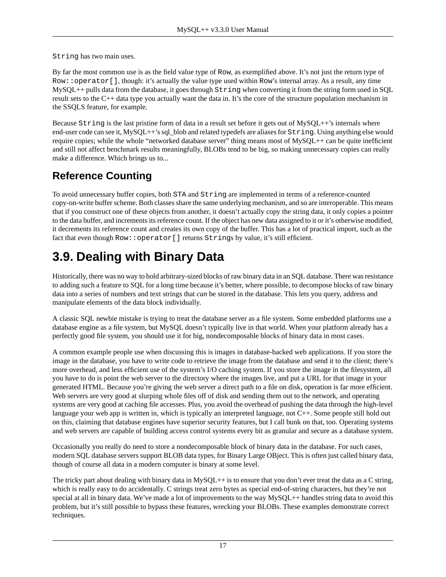String has two main uses.

By far the most common use is as the field value type of Row, as exemplified above. It's not just the return type of Row::operator[], though: it's actually the value type used within Row's internal array. As a result, any time  $MySQL++$  pulls data from the database, it goes through  $String$  when converting it from the string form used in SQL result sets to the C++ data type you actually want the data in. It's the core of the structure population mechanism in [the SSQLS feature,](#page-41-0) for example.

Because String is the last pristine form of data in a result set before it gets out of MySQL++'s internals where end-user code can see it, MySQL++'s sql\_blob and related typedefs are aliases for String. Using anything else would require copies; while the whole "networked database server" thing means most of MySQL++ can be quite inefficient and still not affect benchmark results meaningfully, BLOBs tend to be big, so making unnecessary copies can really make a difference. Which brings us to...

#### **Reference Counting**

<span id="page-16-0"></span>To avoid unnecessary buffer copies, both STA and String are implemented in terms of a reference-counted copy-on-write buffer scheme. Both classes share the same underlying mechanism, and so are interoperable. This means that if you construct one of these objects from another, it doesn't actually copy the string data, it only copies a pointer to the data buffer, and increments its reference count. If the object has new data assigned to it or it's otherwise modified, it decrements its reference count and creates its own copy of the buffer. This has a lot of practical import, such as the fact that even though Row:: operator [] returns Strings by value, it's still efficient.

# **3.9. Dealing with Binary Data**

Historically, there was no way to hold arbitrary-sized blocks of raw binary data in an SQL database. There was resistance to adding such a feature to SQL for a long time because it's better, where possible, to decompose blocks of raw binary data into a series of numbers and text strings that *can* be stored in the database. This lets you query, address and manipulate elements of the data block individually.

A classic SQL newbie mistake is trying to treat the database server as a file system. Some embedded platforms use a database engine as a file system, but MySQL doesn't typically live in that world. When your platform already has a perfectly good file system, you should use it for big, nondecomposable blocks of binary data in most cases.

A common example people use when discussing this is images in database-backed web applications. If you store the image in the database, you have to write code to retrieve the image from the database and send it to the client; there's more overhead, and less efficient use of the system's I/O caching system. If you store the image in the filesystem, all you have to do is point the web server to the directory where the images live, and put a URL for that image in your generated HTML. Because you're giving the web server a direct path to a file on disk, operation is far more efficient. Web servers are very good at slurping whole files off of disk and sending them out to the network, and operating systems are very good at caching file accesses. Plus, you avoid the overhead of pushing the data through the high-level language your web app is written in, which is typically an interpreted language, not C++. Some people still hold out on this, claiming that database engines have superior security features, but I call bunk on that, too. Operating systems and web servers are capable of building access control systems every bit as granular and secure as a database system.

Occasionally you really do need to store a nondecomposable block of binary data in the database. For such cases, modern SQL database servers support BLOB data types, for Binary Large OBject. This is often just called binary data, though of course all data in a modern computer is binary at some level.

The tricky part about dealing with binary data in  $MySQL++$  is to ensure that you don't ever treat the data as a C string, which is really easy to do accidentally. C strings treat zero bytes as special end-of-string characters, but they're not special at all in binary data. We've made a lot of improvements to the way  $MvSOL++$  handles [string data](#page-15-0) to avoid this problem, but it's still possible to bypass these features, wrecking your BLOBs. These examples demonstrate correct techniques.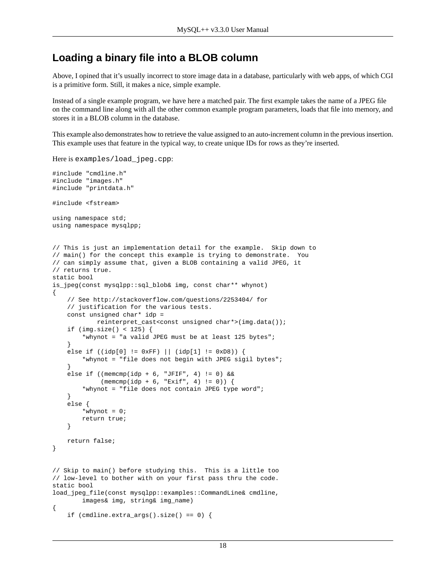#### **Loading a binary file into a BLOB column**

Above, I opined that it's usually incorrect to store image data in a database, particularly with web apps, of which CGI is a primitive form. Still, it makes a nice, simple example.

Instead of a single example program, we have here a matched pair. The first example takes the name of a JPEG file on the command line along with all the other [common example program parameters,](#page-7-1) loads that file into memory, and stores it in a BLOB column in the database.

This example also demonstrates how to retrieve the value assigned to an auto-increment column in the previous insertion. This example uses that feature in the typical way, to create unique IDs for rows as they're inserted.

```
Here is examples/load_jpeg.cpp:
#include "cmdline.h"
#include "images.h"
#include "printdata.h"
#include <fstream>
using namespace std;
using namespace mysqlpp;
// This is just an implementation detail for the example. Skip down to
// main() for the concept this example is trying to demonstrate. You
// can simply assume that, given a BLOB containing a valid JPEG, it
// returns true.
static bool
is_jpeg(const mysqlpp::sql_blob& img, const char** whynot)
{
     // See http://stackoverflow.com/questions/2253404/ for
     // justification for the various tests.
     const unsigned char* idp =
             reinterpret_cast<const unsigned char*>(img.data());
     if (img.size() < 125) {
         *whynot = "a valid JPEG must be at least 125 bytes";
     }
     else if ((idp[0] != 0xFF) || (idp[1] != 0xD8)) {
         *whynot = "file does not begin with JPEG sigil bytes";
     }
    else if ((\text{mememp}(\text{idp} + 6, \text{ "JFIT}, 4) != 0) &\&\&(memcmp(idp + 6, "Exit", 4) != 0)) *whynot = "file does not contain JPEG type word";
     }
     else {
        *whynot = 0; return true;
     }
     return false;
}
// Skip to main() before studying this. This is a little too
// low-level to bother with on your first pass thru the code.
static bool
load_jpeg_file(const mysqlpp::examples::CommandLine& cmdline,
         images& img, string& img_name)
{
    if (\text{cmdline}.\text{extra}\_\text{args}().\text{size}( ) == 0 )
```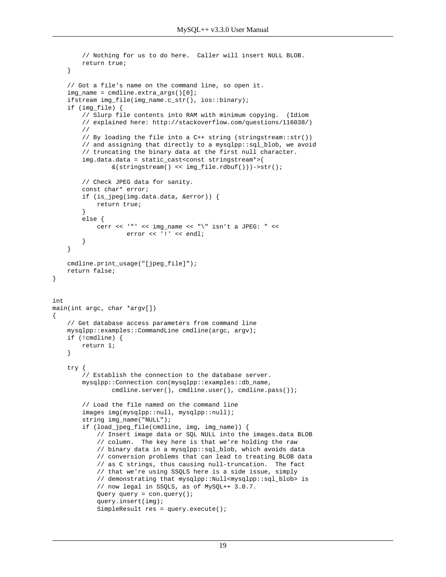```
 // Nothing for us to do here. Caller will insert NULL BLOB.
         return true;
     }
     // Got a file's name on the command line, so open it.
     img_name = cmdline.extra_args()[0];
     ifstream img_file(img_name.c_str(), ios::binary);
     if (img_file) {
         // Slurp file contents into RAM with minimum copying. (Idiom
         // explained here: http://stackoverflow.com/questions/116038/)
         //
         // By loading the file into a C++ string (stringstream::str())
         // and assigning that directly to a mysqlpp::sql_blob, we avoid
         // truncating the binary data at the first null character.
         img.data.data = static_cast<const stringstream*>(
                 &(stringstream() << img_file.rdbuf()))->str();
         // Check JPEG data for sanity.
         const char* error;
         if (is_jpeg(img.data.data, &error)) {
             return true;
 }
         else {
             cerr << '"' << img_name << "\" isn't a JPEG: " <<
                    error << '!' << endl;
         }
     }
     cmdline.print_usage("[jpeg_file]");
     return false;
int
main(int argc, char *argv[])
     // Get database access parameters from command line
     mysqlpp::examples::CommandLine cmdline(argc, argv);
     if (!cmdline) {
         return 1;
     }
     try {
         // Establish the connection to the database server.
         mysqlpp::Connection con(mysqlpp::examples::db_name,
                cmdline.server(), cmdline.user(), cmdline.pass());
         // Load the file named on the command line
        images img(mysqlpp::null, mysqlpp::null);
         string img_name("NULL");
         if (load_jpeg_file(cmdline, img, img_name)) {
             // Insert image data or SQL NULL into the images.data BLOB
             // column. The key here is that we're holding the raw
             // binary data in a mysqlpp::sql_blob, which avoids data
             // conversion problems that can lead to treating BLOB data
             // as C strings, thus causing null-truncation. The fact
             // that we're using SSQLS here is a side issue, simply
             // demonstrating that mysqlpp::Null<mysqlpp::sql_blob> is
             // now legal in SSQLS, as of MySQL++ 3.0.7.
            Query query = con.query();
             query.insert(img);
             SimpleResult res = query.execute();
```
}

{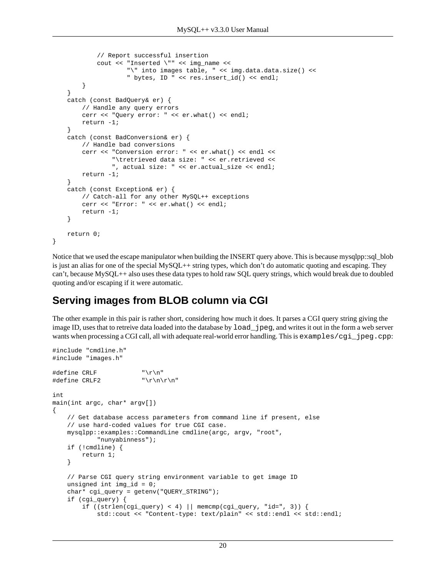```
 // Report successful insertion
         cout << "Inserted \"" << img_name <<
                 "\" into images table, " << img.data.data.size() <<
                  " bytes, ID " << res.insert_id() << endl;
     }
 }
 catch (const BadQuery& er) {
     // Handle any query errors
     cerr << "Query error: " << er.what() << endl;
     return -1;
 }
 catch (const BadConversion& er) {
     // Handle bad conversions
     cerr << "Conversion error: " << er.what() << endl <<
             "\tretrieved data size: " << er.retrieved <<
             ", actual size: " << er.actual_size << endl;
     return -1;
 }
 catch (const Exception& er) {
     // Catch-all for any other MySQL++ exceptions
     cerr << "Error: " << er.what() << endl;
     return -1;
 }
 return 0;
```
Notice that we used the escape manipulator when building the INSERT query above. This is because mysqlpp::sql\_blob is just an alias for one of the special MySQL++ [string types,](#page-15-0) which don't do automatic [quoting and escaping.](#page-11-0) They can't, because MySQL++ also uses these data types to hold raw SQL query strings, which would break due to doubled quoting and/or escaping if it were automatic.

#### **Serving images from BLOB column via CGI**

}

The other example in this pair is rather short, considering how much it does. It parses a CGI query string giving the image ID, uses that to retreive data loaded into the database by load\_jpeg, and writes it out in the form a web server wants when processing a CGI call, all with adequate real-world error handling. This is examples/cgi\_jpeg.cpp:

```
#include "cmdline.h"
#include "images.h"
#define CRLF "\r\n"
\#define \ CRLF2 "\r\n\r\n"
int
main(int argc, char* argv[])
{
     // Get database access parameters from command line if present, else
     // use hard-coded values for true CGI case.
     mysqlpp::examples::CommandLine cmdline(argc, argv, "root",
             "nunyabinness");
     if (!cmdline) {
        return 1;
     }
     // Parse CGI query string environment variable to get image ID
     unsigned int img_id = 0;
     char* cgi_query = getenv("QUERY_STRING");
     if (cgi_query) {
        if ((strlen(cgi_query) < 4) \vert memcmp(cgi_query, "id=", 3)) {
             std::cout << "Content-type: text/plain" << std::endl << std::endl;
```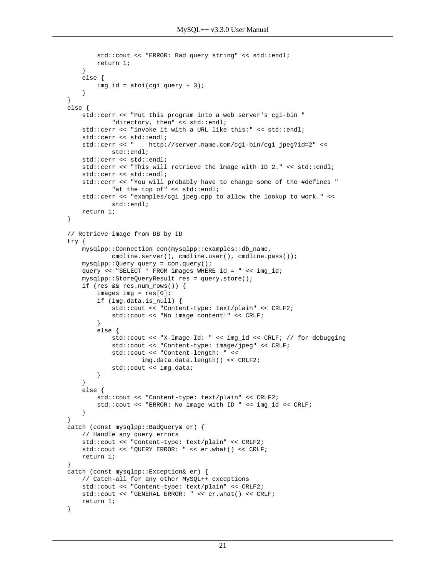```
 std::cout << "ERROR: Bad query string" << std::endl;
            return 1;
         }
        else {
           img_id = atoi(cgi_query + 3); }
    }
    else {
        std::cerr << "Put this program into a web server's cgi-bin "
                 "directory, then" << std::endl;
       std::cerr << "invoke it with a URL like this:" << std::endl;
        std::cerr << std::endl;
        std::cerr << " http://server.name.com/cgi-bin/cgi_jpeg?id=2" <<
                std::endl;
        std::cerr << std::endl;
        std::cerr << "This will retrieve the image with ID 2." << std::endl;
        std::cerr << std::endl;
        std::cerr << "You will probably have to change some of the #defines "
                "at the top of" << std::endl;
        std::cerr << "examples/cgi_jpeg.cpp to allow the lookup to work." <<
                std::endl;
        return 1;
    }
    // Retrieve image from DB by ID
    try {
        mysqlpp::Connection con(mysqlpp::examples::db_name,
                cmdline.server(), cmdline.user(), cmdline.pass());
        mysqlpp::Query query = con.query();
        query << "SELECT * FROM images WHERE id = " << img_id;
        mysqlpp::StoreQueryResult res = query.store();
        if (res && res.num_rows()) {
            images img = res[0];
             if (img.data.is_null) {
                std::cout << "Content-type: text/plain" << CRLF2;
                 std::cout << "No image content!" << CRLF;
 }
             else {
                 std::cout << "X-Image-Id: " << img_id << CRLF; // for debugging
                 std::cout << "Content-type: image/jpeg" << CRLF;
                 std::cout << "Content-length: " <<
                         img.data.data.length() << CRLF2;
                 std::cout << img.data;
             }
        }
        else {
            std::cout << "Content-type: text/plain" << CRLF2;
            std::cout << "ERROR: No image with ID " << img_id << CRLF;
         }
    }
    catch (const mysqlpp::BadQuery& er) {
        // Handle any query errors
        std::cout << "Content-type: text/plain" << CRLF2;
        std::cout << "QUERY ERROR: " << er.what() << CRLF;
        return 1;
    }
    catch (const mysqlpp::Exception& er) {
        // Catch-all for any other MySQL++ exceptions
        std::cout << "Content-type: text/plain" << CRLF2;
        std::cout << "GENERAL ERROR: " << er.what() << CRLF;
        return 1;
    }
```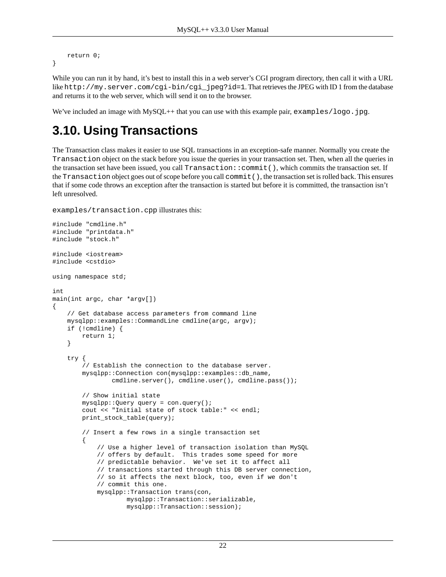```
 return 0;
}
```
While you can run it by hand, it's best to install this in a web server's CGI program directory, then call it with a URL like http://my.server.com/cgi-bin/cgi\_jpeg?id=1. That retrieves the JPEG with ID 1 from the database and returns it to the web server, which will send it on to the browser.

<span id="page-21-0"></span>We've included an image with MySQL++ that you can use with this example pair, examples/logo.jpg.

# **3.10. Using Transactions**

The Transaction class makes it easier to use SQL transactions in an exception-safe manner. Normally you create the Transaction object on the stack before you issue the queries in your transaction set. Then, when all the queries in the transaction set have been issued, you call Transaction::commit(), which commits the transaction set. If the Transaction object goes out of scope before you call commit(), the transaction set is rolled back. This ensures that if some code throws an exception after the transaction is started but before it is committed, the transaction isn't left unresolved.

examples/transaction.cpp illustrates this:

```
#include "cmdline.h"
#include "printdata.h"
#include "stock.h"
#include <iostream>
#include <cstdio>
using namespace std;
int
main(int argc, char *argv[])
{
     // Get database access parameters from command line
     mysqlpp::examples::CommandLine cmdline(argc, argv);
     if (!cmdline) {
         return 1;
     }
     try {
         // Establish the connection to the database server.
         mysqlpp::Connection con(mysqlpp::examples::db_name,
                 cmdline.server(), cmdline.user(), cmdline.pass());
         // Show initial state
         mysqlpp::Query query = con.query();
         cout << "Initial state of stock table:" << endl;
         print_stock_table(query);
         // Insert a few rows in a single transaction set
\left\{ \begin{array}{c} \end{array} \right\} // Use a higher level of transaction isolation than MySQL
             // offers by default. This trades some speed for more
             // predictable behavior. We've set it to affect all
             // transactions started through this DB server connection,
             // so it affects the next block, too, even if we don't
             // commit this one.
             mysqlpp::Transaction trans(con,
                      mysqlpp::Transaction::serializable,
                      mysqlpp::Transaction::session);
```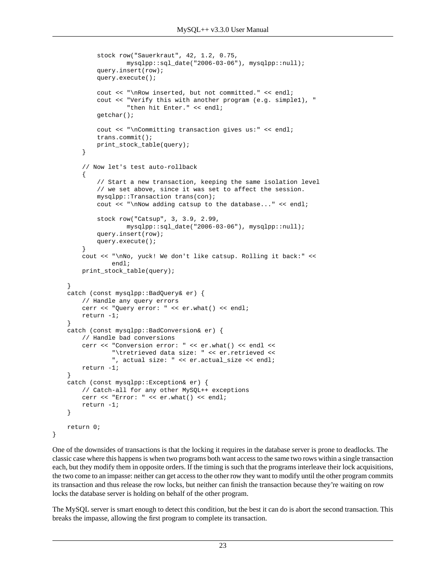```
 stock row("Sauerkraut", 42, 1.2, 0.75,
                      mysqlpp::sql_date("2006-03-06"), mysqlpp::null);
             query.insert(row);
             query.execute();
             cout << "\nRow inserted, but not committed." << endl;
             cout << "Verify this with another program (e.g. simple1), "
                      "then hit Enter." << endl;
             getchar();
             cout << "\nCommitting transaction gives us:" << endl;
             trans.commit();
             print_stock_table(query);
         }
         // Now let's test auto-rollback
\left\{ \begin{array}{c} \end{array} \right\} // Start a new transaction, keeping the same isolation level
             // we set above, since it was set to affect the session.
             mysqlpp::Transaction trans(con);
             cout << "\nNow adding catsup to the database..." << endl;
             stock row("Catsup", 3, 3.9, 2.99,
                      mysqlpp::sql_date("2006-03-06"), mysqlpp::null);
             query.insert(row);
             query.execute();
         }
         cout << "\nNo, yuck! We don't like catsup. Rolling it back:" <<
                 endl;
         print_stock_table(query);
    }
    catch (const mysqlpp::BadQuery& er) {
         // Handle any query errors
         cerr << "Query error: " << er.what() << endl;
         return -1;
     }
    catch (const mysqlpp::BadConversion& er) { 
         // Handle bad conversions
         cerr << "Conversion error: " << er.what() << endl <<
                  "\tretrieved data size: " << er.retrieved <<
                  ", actual size: " << er.actual_size << endl;
         return -1;
    }
    catch (const mysqlpp::Exception& er) {
         // Catch-all for any other MySQL++ exceptions
         cerr << "Error: " << er.what() << endl;
         return -1;
     }
    return 0;
```
One of the downsides of transactions is that the locking it requires in the database server is prone to deadlocks. The classic case where this happens is when two programs both want access to the same two rows within a single transaction each, but they modify them in opposite orders. If the timing is such that the programs interleave their lock acquisitions, the two come to an impasse: neither can get access to the other row they want to modify until the other program commits its transaction and thus release the row locks, but neither can finish the transaction because they're waiting on row locks the database server is holding on behalf of the other program.

}

The MySQL server is smart enough to detect this condition, but the best it can do is abort the second transaction. This breaks the impasse, allowing the first program to complete its transaction.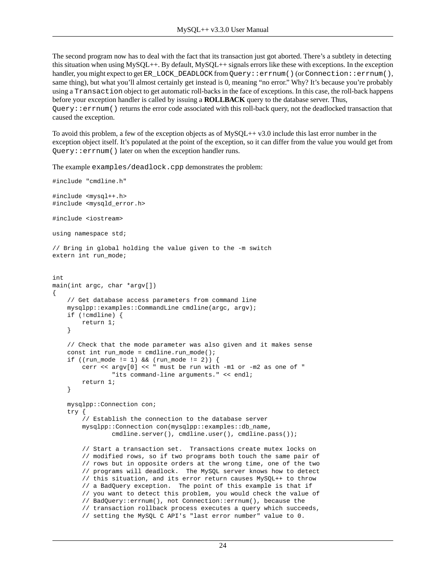The second program now has to deal with the fact that its transaction just got aborted. There's a subtlety in detecting this situation when using MySQL++. By default, MySQL++ signals errors like these with exceptions. In the exception handler, you might expect to get ER\_LOCK\_DEADLOCK from Query::errnum() (or Connection::errnum(), same thing), but what you'll almost certainly get instead is 0, meaning "no error." Why? It's because you're probably using a Transaction object to get automatic roll-backs in the face of exceptions. In this case, the roll-back happens before your exception handler is called by issuing a **ROLLBACK** query to the database server. Thus,  $Query:iernum()$  returns the error code associated with this roll-back query, not the deadlocked transaction that caused the exception.

To avoid this problem, a few of the exception objects as of MySQL++ v3.0 include this last error number in the exception object itself. It's populated at the point of the exception, so it can differ from the value you would get from Query::errnum() later on when the exception handler runs.

The example examples/deadlock.cpp demonstrates the problem:

```
#include "cmdline.h"
#include <mysql++.h>
#include <mysqld_error.h>
#include <iostream>
using namespace std;
// Bring in global holding the value given to the -m switch
extern int run_mode;
int
main(int argc, char *argv[])
{
     // Get database access parameters from command line
     mysqlpp::examples::CommandLine cmdline(argc, argv);
     if (!cmdline) {
         return 1;
     }
     // Check that the mode parameter was also given and it makes sense
    const int run mode = cmdline.run mode();
     if ((run_mode != 1) && (run_mode != 2)) {
         cerr << argv[0] << " must be run with -m1 or -m2 as one of "
                 "its command-line arguments." << endl;
         return 1;
     }
     mysqlpp::Connection con;
     try {
         // Establish the connection to the database server
         mysqlpp::Connection con(mysqlpp::examples::db_name,
                 cmdline.server(), cmdline.user(), cmdline.pass());
         // Start a transaction set. Transactions create mutex locks on
         // modified rows, so if two programs both touch the same pair of
         // rows but in opposite orders at the wrong time, one of the two
         // programs will deadlock. The MySQL server knows how to detect
         // this situation, and its error return causes MySQL++ to throw
         // a BadQuery exception. The point of this example is that if
         // you want to detect this problem, you would check the value of
         // BadQuery::errnum(), not Connection::errnum(), because the
         // transaction rollback process executes a query which succeeds,
         // setting the MySQL C API's "last error number" value to 0.
```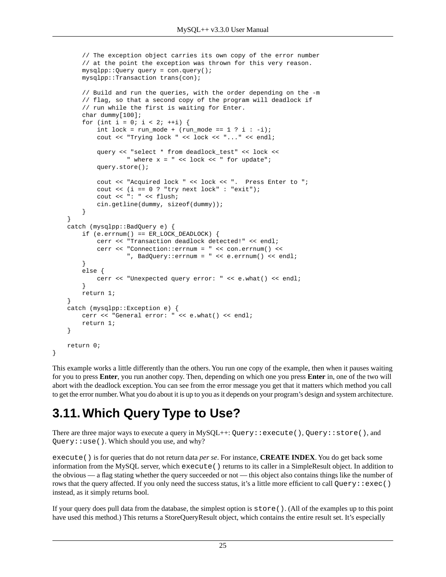```
 // The exception object carries its own copy of the error number
         // at the point the exception was thrown for this very reason.
         mysqlpp::Query query = con.query();
         mysqlpp::Transaction trans(con);
         // Build and run the queries, with the order depending on the -m
         // flag, so that a second copy of the program will deadlock if
         // run while the first is waiting for Enter.
         char dummy[100];
        for (int i = 0; i < 2; ++i) {
            int lock = run_mode + (run_model == 1 ? i : -i); cout << "Trying lock " << lock << "..." << endl;
            query << "select * from deadlock test" << lock <<
                     " where x = " << lock << " for update";
             query.store();
             cout << "Acquired lock " << lock << ". Press Enter to ";
            cout \langle i \rangle = 0 ? "try next lock" : "exit");
             cout << ": " << flush;
             cin.getline(dummy, sizeof(dummy));
 }
 }
    catch (mysqlpp::BadQuery e) {
        if (e.errnum() == ER\_LOCAL DEADLOCK) \{ cerr << "Transaction deadlock detected!" << endl;
             cerr << "Connection::errnum = " << con.errnum() <<
                      ", BadQuery::errnum = " << e.errnum() << endl;
         }
         else {
             cerr << "Unexpected query error: " << e.what() << endl;
         }
         return 1;
    }
    catch (mysqlpp::Exception e) {
         cerr << "General error: " << e.what() << endl; 
         return 1;
 }
    return 0;
```
<span id="page-24-0"></span>This example works a little differently than the others. You run one copy of the example, then when it pauses waiting for you to press **Enter**, you run another copy. Then, depending on which one you press **Enter** in, one of the two will abort with the deadlock exception. You can see from the error message you get that it matters which method you call to get the error number. What you do about it is up to you as it depends on your program's design and system architecture.

### **3.11. Which Query Type to Use?**

}

There are three major ways to execute a query in  $MySQL++$ : Query::execute(), Query::store(), and Query: : use(). Which should you use, and why?

execute() is for queries that do not return data *per se*. For instance, **CREATE INDEX**. You do get back some information from the MySQL server, which execute() returns to its caller in a SimpleResult object. In addition to the obvious — a flag stating whether the query succeeded or not — this object also contains things like the number of rows that the query affected. If you only need the success status, it's a little more efficient to call  $Query::exec()$ instead, as it simply returns bool.

If your query does pull data from the database, the simplest option is store(). (All of the examples up to this point have used this method.) This returns a StoreQueryResult object, which contains the entire result set. It's especially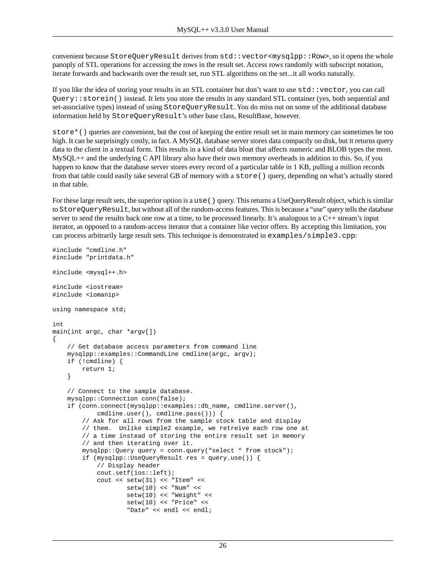convenient because StoreQueryResult derives from std: vector<mysqlpp: : Row>, so it opens the whole panoply of STL operations for accessing the rows in the result set. Access rows randomly with subscript notation, iterate forwards and backwards over the result set, run STL algorithms on the set...it all works naturally.

If you like the idea of storing your results in an STL container but don't want to use std::vector, you can call Query::storein() instead. It lets you store the results in any standard STL container (yes, both sequential and set-associative types) instead of using StoreQueryResult. You do miss out on some of the additional database information held by StoreQueryResult's other base class, ResultBase, however.

store\*() queries are convenient, but the cost of keeping the entire result set in main memory can sometimes be too high. It can be surprisingly costly, in fact. A MySQL database server stores data compactly on disk, but it returns query data to the client in a textual form. This results in a kind of data bloat that affects numeric and BLOB types the most. MySQL++ and the underlying C API library also have their own memory overheads in addition to this. So, if you happen to know that the database server stores every record of a particular table in 1 KB, pulling a million records from that table could easily take several GB of memory with a store() query, depending on what's actually stored in that table.

For these large result sets, the superior option is a use() query. This returns a UseQueryResult object, which is similar to StoreQueryResult, but without all of the random-access features. This is because a "use" query tells the database server to send the results back one row at a time, to be processed linearly. It's analogous to a C++ stream's input iterator, as opposed to a random-access iterator that a container like vector offers. By accepting this limitation, you can process arbitrarily large result sets. This technique is demonstrated in examples/simple3.cpp:

```
#include "cmdline.h"
#include "printdata.h"
#include <mysql++.h>
#include <iostream>
#include <iomanip>
using namespace std;
int
main(int argc, char *argv[])
{
     // Get database access parameters from command line
     mysqlpp::examples::CommandLine cmdline(argc, argv);
     if (!cmdline) {
         return 1;
     }
     // Connect to the sample database.
     mysqlpp::Connection conn(false);
     if (conn.connect(mysqlpp::examples::db_name, cmdline.server(),
             cmdline.user(), cmdline.pass())) {
         // Ask for all rows from the sample stock table and display
         // them. Unlike simple2 example, we retreive each row one at
         // a time instead of storing the entire result set in memory
         // and then iterating over it.
         mysqlpp::Query query = conn.query("select * from stock");
         if (mysqlpp::UseQueryResult res = query.use()) {
             // Display header
             cout.setf(ios::left);
             cout << setw(31) << "Item" <<
                    setw(10) << "Num" << setw(10) << "Weight" <<
                     setw(10) << "Price" <<
                     "Date" << endl << endl;
```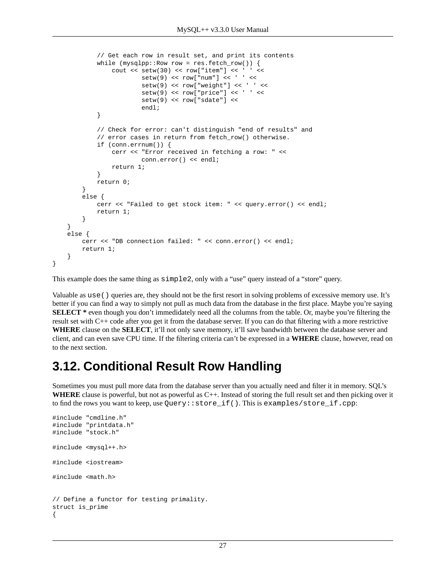```
 // Get each row in result set, and print its contents
             while (mysqlpp::Row row = res.fetch_row()) {
                cout << setw(30) << row['item'] << ' ' <<
                        setw(9) << row["num"] << ' ' <<setw(9) \leq x row["weight"] << ' ' <<
                        setw(9) \leq v \leq \text{row} ["price"] \leq v ' \leqsetw(9) << row["sdate"] <<
                         endl;
 }
             // Check for error: can't distinguish "end of results" and
             // error cases in return from fetch_row() otherwise.
             if (conn.errnum()) {
                 cerr << "Error received in fetching a row: " <<
                         conn.error() << endl;
                 return 1;
 }
             return 0;
         }
         else {
             cerr << "Failed to get stock item: " << query.error() << endl;
             return 1;
 }
    }
    else {
         cerr << "DB connection failed: " << conn.error() << endl;
         return 1;
     }
}
```
This example does the same thing as simple2, only with a "use" query instead of a "store" query.

<span id="page-26-0"></span>Valuable as use() queries are, they should not be the first resort in solving problems of excessive memory use. It's better if you can find a way to simply not pull as much data from the database in the first place. Maybe you're saying **SELECT** \* even though you don't immedidately need all the columns from the table. Or, maybe you're filtering the result set with C++ code after you get it from the database server. If you can do that filtering with a more restrictive **WHERE** clause on the **SELECT**, it'll not only save memory, it'll save bandwidth between the database server and client, and can even save CPU time. If the filtering criteria can't be expressed in a **WHERE** clause, however, read on to the next section.

#### **3.12. Conditional Result Row Handling**

Sometimes you must pull more data from the database server than you actually need and filter it in memory. SQL's **WHERE** clause is powerful, but not as powerful as C++. Instead of storing the full result set and then picking over it to find the rows you want to keep, use Query::store\_if(). This is examples/store\_if.cpp:

```
#include "cmdline.h"
#include "printdata.h"
#include "stock.h"
#include <mysql++.h>
#include <iostream>
#include <math.h>
// Define a functor for testing primality.
struct is_prime
{
```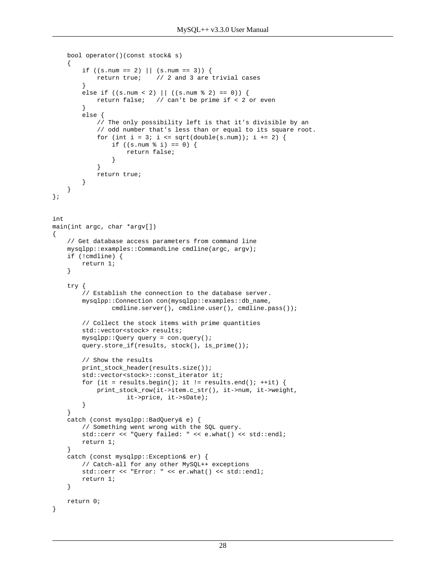```
 bool operator()(const stock& s)
     {
        if ((s.num == 2) || (s.num == 3)) return true; // 2 and 3 are trivial cases
 }
        else if ((s.num < 2) || ((s.num < 2) == 0)) return false; // can't be prime if < 2 or even
 }
         else {
             // The only possibility left is that it's divisible by an
             // odd number that's less than or equal to its square root.
            for (int i = 3; i <= sqrt(double(s.num)); i += 2) {
                 if ((s.num % i) == 0) {
                     return false;
 }
 }
            return true;
         }
     }
};
int
main(int argc, char *argv[])
{
     // Get database access parameters from command line
     mysqlpp::examples::CommandLine cmdline(argc, argv);
     if (!cmdline) {
        return 1;
     }
     try {
         // Establish the connection to the database server.
         mysqlpp::Connection con(mysqlpp::examples::db_name,
                cmdline.server(), cmdline.user(), cmdline.pass());
         // Collect the stock items with prime quantities
         std::vector<stock> results;
         mysqlpp::Query query = con.query();
         query.store_if(results, stock(), is_prime());
         // Show the results
        print_stock_header(results.size());
         std::vector<stock>::const_iterator it;
        for (it = results.begin(); it != results.end(); ++it) {
            print_stock_row(it->item.c_str(), it->num, it->weight,
                     it->price, it->sDate);
         }
     }
     catch (const mysqlpp::BadQuery& e) {
         // Something went wrong with the SQL query.
         std::cerr << "Query failed: " << e.what() << std::endl;
         return 1;
     }
     catch (const mysqlpp::Exception& er) {
         // Catch-all for any other MySQL++ exceptions
         std::cerr << "Error: " << er.what() << std::endl;
         return 1;
     }
     return 0;
}
```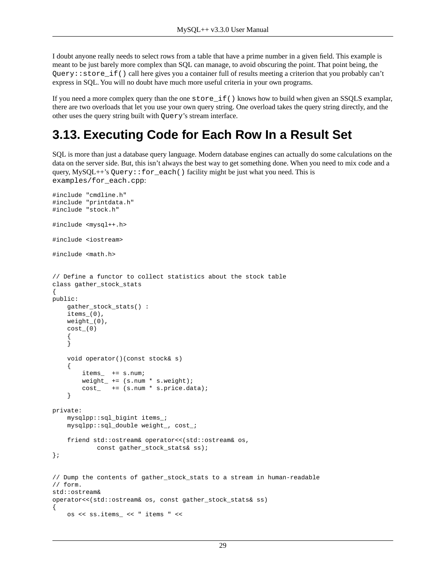I doubt anyone really needs to select rows from a table that have a prime number in a given field. This example is meant to be just barely more complex than SQL can manage, to avoid obscuring the point. That point being, the Query::store\_if() call here gives you a container full of results meeting a criterion that you probably can't express in SQL. You will no doubt have much more useful criteria in your own programs.

<span id="page-28-0"></span>If you need a more complex query than the one store\_if() knows how to build when given an SSQLS examplar, there are two overloads that let you use your own query string. One overload takes the query string directly, and the other uses the query string built with Query's stream interface.

## **3.13. Executing Code for Each Row In a Result Set**

SQL is more than just a database query language. Modern database engines can actually do some calculations on the data on the server side. But, this isn't always the best way to get something done. When you need to mix code and a query, MySQL++'s Query:: $for\_each()$  facility might be just what you need. This is examples/for\_each.cpp:

```
#include "cmdline.h"
#include "printdata.h"
#include "stock.h"
#include <mysql++.h>
#include <iostream>
#include <math.h>
// Define a functor to collect statistics about the stock table
class gather_stock_stats
{
public:
     gather_stock_stats() :
    items_0(),
     weight_(0),
     cost_(0)
\left\{\begin{array}{ccc} \end{array}\right\} }
     void operator()(const stock& s)
     {
         items_ += s.num;
         weight_ += (s.num * s.weight);
         cost_ += (s.num * s.price.data);
     }
private:
     mysqlpp::sql_bigint items_;
     mysqlpp::sql_double weight_, cost_;
     friend std::ostream& operator<<(std::ostream& os,
              const gather_stock_stats& ss);
};
// Dump the contents of gather_stock_stats to a stream in human-readable
// form.
std::ostream&
operator<<(std::ostream& os, const gather_stock_stats& ss)
{
     os << ss.items_ << " items " <<
```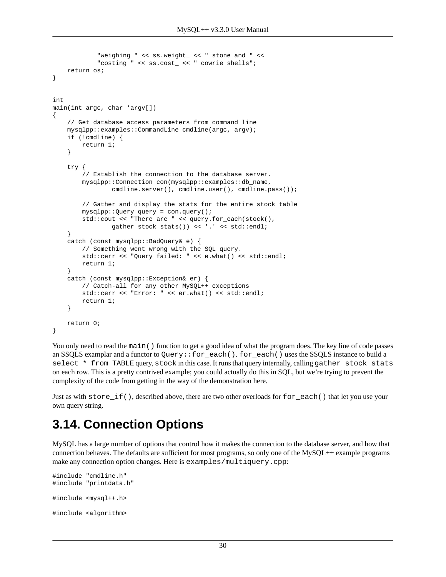```
 "weighing " << ss.weight_ << " stone and " <<
             "costing " << ss.cost_ << " cowrie shells";
     return os;
}
int
main(int argc, char *argv[])
{
     // Get database access parameters from command line
     mysqlpp::examples::CommandLine cmdline(argc, argv);
     if (!cmdline) {
         return 1;
     }
     try {
         // Establish the connection to the database server.
         mysqlpp::Connection con(mysqlpp::examples::db_name,
                cmdline.server(), cmdline.user(), cmdline.pass());
         // Gather and display the stats for the entire stock table
         mysqlpp::Query query = con.query();
         std::cout << "There are " << query.for_each(stock(),
                 gather_stock_stats()) << '.' << std::endl;
     }
     catch (const mysqlpp::BadQuery& e) {
         // Something went wrong with the SQL query.
         std::cerr << "Query failed: " << e.what() << std::endl;
         return 1;
     }
     catch (const mysqlpp::Exception& er) {
         // Catch-all for any other MySQL++ exceptions
         std::cerr << "Error: " << er.what() << std::endl;
         return 1;
     }
     return 0;
}
```
You only need to read the main() function to get a good idea of what the program does. The key line of code passes an SSQLS examplar and a functor to Query::for\_each(). for\_each() uses the SSQLS instance to build a select \* from TABLE query, stock in this case. It runs that query internally, calling gather\_stock\_stats on each row. This is a pretty contrived example; you could actually do this in SQL, but we're trying to prevent the complexity of the code from getting in the way of the demonstration here.

<span id="page-29-0"></span>Just as with store\_if(), described above, there are two other overloads for for\_each() that let you use your own query string.

### **3.14. Connection Options**

MySQL has a large number of options that control how it makes the connection to the database server, and how that connection behaves. The defaults are sufficient for most programs, so only one of the MySQL++ example programs make any connection option changes. Here is examples/multiquery.cpp:

```
#include "cmdline.h"
#include "printdata.h"
#include <mysql++.h>
#include <algorithm>
```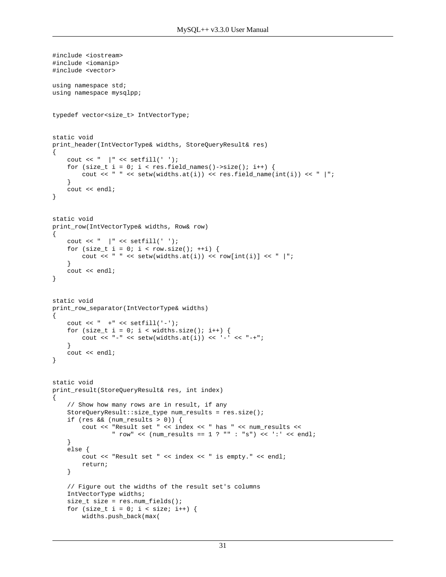```
#include <iostream>
#include <iomanip>
#include <vector>
using namespace std;
using namespace mysqlpp;
typedef vector<size_t> IntVectorType;
static void
print_header(IntVectorType& widths, StoreQueryResult& res)
{
    cout << " \vert " << setfill(' ');
    for (size_t i = 0; i < res.field_names()->size(); i++) {
       cout << " " << \text{setw}(\text{widths}.\text{at}(i)) << \text{res.field_name}(\text{int}(i)) << " |";
     }
     cout << endl;
}
static void
print_row(IntVectorType& widths, Row& row)
{
    cout << " \vert " << setfill(' ');
    for (size_t i = 0; i < row.size(); ++i) {
        cout << " " << setw(widths.at(i)) << row[int(i)] << " |";
     }
     cout << endl;
}
static void
print_row_separator(IntVectorType& widths)
{
     cout << " +" << setfill('-');
    for (size_t i = 0; i < widths.size(); i++) {
        cout << "-" << setw(widths.at(i)) << '-' << "-+";
 }
     cout << endl;
}
static void
print_result(StoreQueryResult& res, int index)
{
     // Show how many rows are in result, if any
     StoreQueryResult::size_type num_results = res.size();
     if (res && (num_results > 0)) {
         cout << "Result set " << index << " has " << num_results <<
                 " row" << (num_results == 1 ? "" : "s") << ':' << endl;
     }
     else {
         cout << "Result set " << index << " is empty." << endl;
         return;
     }
     // Figure out the widths of the result set's columns
     IntVectorType widths;
     size_t size = res.num_fields();
    for (size_t i = 0; i < size; i++) {
         widths.push_back(max(
```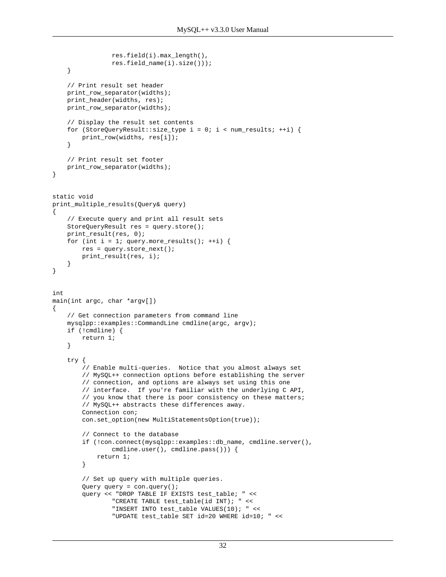```
 res.field(i).max_length(),
                 res.field_name(i).size()));
     }
     // Print result set header
     print_row_separator(widths);
     print_header(widths, res);
     print_row_separator(widths);
     // Display the result set contents
    for (StoreQueryResult::size_type i = 0; i < num_results; ++i) {
         print_row(widths, res[i]);
     }
     // Print result set footer
     print_row_separator(widths);
}
static void
print_multiple_results(Query& query)
{
     // Execute query and print all result sets
     StoreQueryResult res = query.store();
     print_result(res, 0);
    for (int i = 1; query.more_results(); ++i) {
         res = query.store_next();
         print_result(res, i);
     }
}
int
main(int argc, char *argv[])
{
     // Get connection parameters from command line
     mysqlpp::examples::CommandLine cmdline(argc, argv);
     if (!cmdline) {
         return 1;
     }
     try {
         // Enable multi-queries. Notice that you almost always set
         // MySQL++ connection options before establishing the server
         // connection, and options are always set using this one
         // interface. If you're familiar with the underlying C API,
         // you know that there is poor consistency on these matters;
         // MySQL++ abstracts these differences away.
         Connection con;
         con.set_option(new MultiStatementsOption(true));
         // Connect to the database
         if (!con.connect(mysqlpp::examples::db_name, cmdline.server(),
                 cmdline.user(), cmdline.pass())) {
             return 1;
         }
         // Set up query with multiple queries.
         Query query = con.query();
         query << "DROP TABLE IF EXISTS test_table; " <<
                 "CREATE TABLE test_table(id INT); " <<
                 "INSERT INTO test_table VALUES(10); " <<
                 "UPDATE test_table SET id=20 WHERE id=10; " <<
```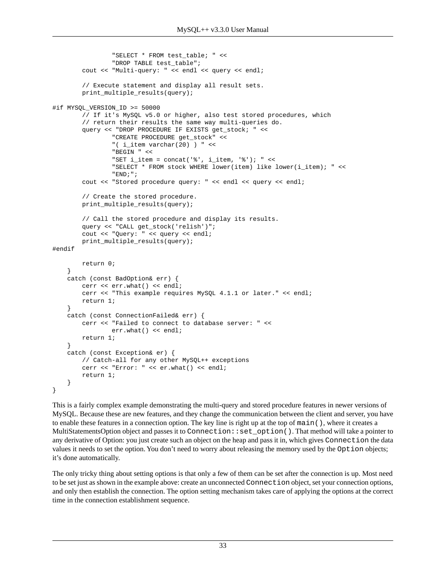```
 "SELECT * FROM test_table; " <<
                 "DROP TABLE test_table";
         cout << "Multi-query: " << endl << query << endl;
         // Execute statement and display all result sets.
         print_multiple_results(query);
#if MYSQL_VERSION_ID >= 50000
         // If it's MySQL v5.0 or higher, also test stored procedures, which
         // return their results the same way multi-queries do.
         query << "DROP PROCEDURE IF EXISTS get_stock; " <<
                 "CREATE PROCEDURE get_stock" <<
                 "( i_item varchar(20) ) " <<
                 "BEGIN " <<
                "SET i_item = concat('%', i_item, '%'); " <<
                 "SELECT * FROM stock WHERE lower(item) like lower(i_item); " <<
                 "END;";
         cout << "Stored procedure query: " << endl << query << endl;
         // Create the stored procedure.
         print_multiple_results(query);
         // Call the stored procedure and display its results.
         query << "CALL get_stock('relish')";
         cout << "Query: " << query << endl;
         print_multiple_results(query);
#endif
         return 0;
     }
     catch (const BadOption& err) {
         cerr << err.what() << endl;
         cerr << "This example requires MySQL 4.1.1 or later." << endl;
         return 1;
     }
     catch (const ConnectionFailed& err) {
         cerr << "Failed to connect to database server: " <<
                 err.what() << endl;
         return 1;
     }
     catch (const Exception& er) {
         // Catch-all for any other MySQL++ exceptions
         cerr << "Error: " << er.what() << endl;
         return 1;
     }
}
```
This is a fairly complex example demonstrating the multi-query and stored procedure features in newer versions of MySQL. Because these are new features, and they change the communication between the client and server, you have to enable these features in a connection option. The key line is right up at the top of main(), where it creates a MultiStatementsOption object and passes it to Connection::set\_option(). That method will take a pointer to any derivative of Option: you just create such an object on the heap and pass it in, which gives Connection the data values it needs to set the option. You don't need to worry about releasing the memory used by the Option objects; it's done automatically.

The only tricky thing about setting options is that only a few of them can be set after the connection is up. Most need to be set just as shown in the example above: create an unconnected Connection object, set your connection options, and only then establish the connection. The option setting mechanism takes care of applying the options at the correct time in the connection establishment sequence.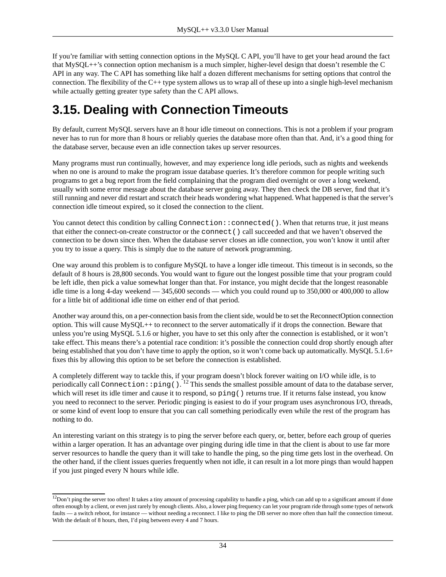If you're familiar with setting connection options in the MySQL C API, you'll have to get your head around the fact that MySQL++'s connection option mechanism is a much simpler, higher-level design that doesn't resemble the C API in any way. The C API has something like half a dozen different mechanisms for setting options that control the connection. The flexibility of the C++ type system allows us to wrap all of these up into a single high-level mechanism while actually getting greater type safety than the C API allows.

### <span id="page-33-0"></span>**3.15. Dealing with Connection Timeouts**

By default, current MySQL servers have an 8 hour idle timeout on connections. This is not a problem if your program never has to run for more than 8 hours or reliably queries the database more often than that. And, it's a good thing for the database server, because even an idle connection takes up server resources.

Many programs must run continually, however, and may experience long idle periods, such as nights and weekends when no one is around to make the program issue database queries. It's therefore common for people writing such programs to get a bug report from the field complaining that the program died overnight or over a long weekend, usually with some error message about the database server going away. They then check the DB server, find that it's still running and never did restart and scratch their heads wondering what happened. What happened is that the server's connection idle timeout expired, so it closed the connection to the client.

You cannot detect this condition by calling Connection:: connected(). When that returns true, it just means that either the connect-on-create constructor or the connect() call succeeded and that we haven't observed the connection to be down since then. When the database server closes an idle connection, you won't know it until after you try to issue a query. This is simply due to the nature of network programming.

One way around this problem is to configure MySQL to have a longer idle timeout. This timeout is in seconds, so the default of 8 hours is 28,800 seconds. You would want to figure out the longest possible time that your program could be left idle, then pick a value somewhat longer than that. For instance, you might decide that the longest reasonable idle time is a long 4-day weekend — 345,600 seconds — which you could round up to 350,000 or 400,000 to allow for a little bit of additional idle time on either end of that period.

Another way around this, on a per-connection basis from the client side, would be to set the ReconnectOption [connection](#page-29-0) [option.](#page-29-0) This will cause MySQL++ to reconnect to the server automatically if it drops the connection. Beware that unless you're using MySQL 5.1.6 or higher, you have to set this only after the connection is established, or it won't take effect. This means there's a potential race condition: it's possible the connection could drop shortly enough after being established that you don't have time to apply the option, so it won't come back up automatically. MySQL 5.1.6+ fixes this by allowing this option to be set before the connection is established.

A completely different way to tackle this, if your program doesn't block forever waiting on I/O while idle, is to periodically call Connection: : ping().  $^{12}$  This sends the smallest possible amount of data to the database server, which will reset its idle timer and cause it to respond, so ping () returns true. If it returns false instead, you know you need to reconnect to the server. Periodic pinging is easiest to do if your program uses asynchronous I/O, [threads](#page-65-0), or some kind of event loop to ensure that you can call something periodically even while the rest of the program has nothing to do.

An interesting variant on this strategy is to ping the server before each query, or, better, before each group of queries within a larger operation. It has an advantage over pinging during idle time in that the client is about to use far more server resources to handle the query than it will take to handle the ping, so the ping time gets lost in the overhead. On the other hand, if the client issues queries frequently when not idle, it can result in a lot more pings than would happen if you just pinged every N hours while idle.

<sup>&</sup>lt;sup>12</sup>Don't ping the server too often! It takes a tiny amount of processing capability to handle a ping, which can add up to a significant amount if done often enough by a client, or even just rarely by enough clients. Also, a lower ping frequency can let your program ride through some types of network faults — a switch reboot, for instance — without needing a reconnect. I like to ping the DB server no more often than half the connection timeout. With the default of 8 hours, then, I'd ping between every 4 and 7 hours.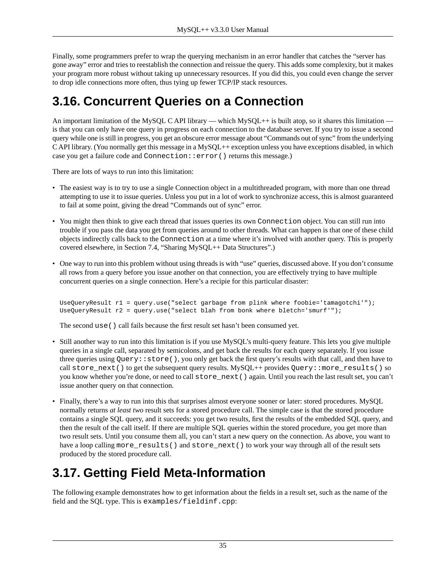Finally, some programmers prefer to wrap the querying mechanism in an error handler that catches the "server has gone away" error and tries to reestablish the connection and reissue the query. This adds some complexity, but it makes your program more robust without taking up unnecessary resources. If you did this, you could even change the server to drop idle connections more often, thus tying up fewer TCP/IP stack resources.

#### <span id="page-34-0"></span>**3.16. Concurrent Queries on a Connection**

An important limitation of the MySQL C API library — which  $MySQL++$  is built atop, so it shares this limitation is that you can only have one query in progress on each connection to the database server. If you try to issue a second query while one is still in progress, you get an obscure error message about "Commands out of sync" from the underlying C API library. (You normally get this message in a MySQL++ exception unless you have exceptions disabled, in which case you get a failure code and Connection::error() returns this message.)

There are lots of ways to run into this limitation:

- The easiest way is to try to use a single Connection object in a multithreaded program, with more than one thread attempting to use it to issue queries. Unless you put in a lot of work to synchronize access, this is almost guaranteed to fail at some point, giving the dread "Commands out of sync" error.
- You might then think to give each thread that issues queries its own Connection object. You can still run into trouble if you pass the data you get from queries around to other threads. What can happen is that one of these child objects indirectly calls back to the Connection at a time where it's involved with another query. This is properly covered elsewhere, in [Section 7.4, "Sharing MySQL++ Data Structures".](#page-71-0))
- One way to run into this problem without using threads is with "use" queries, discussed [above](#page-24-0). If you don't consume all rows from a query before you issue another on that connection, you are effectively trying to have multiple concurrent queries on a single connection. Here's a recipie for this particular disaster:

```
UseQueryResult r1 = query.use("select garbage from plink where foobie='tamagotchi'");
UseQueryResult r2 = query.use("select blah from bonk where bletch='smurf'");
```
The second use() call fails because the first result set hasn't been consumed yet.

- Still another way to run into this limitation is if you use MySQL's multi-query feature. This lets you give multiple queries in a single call, separated by semicolons, and get back the results for each query separately. If you issue three queries using Query: : store(), you only get back the first query's results with that call, and then have to call store\_next() to get the subsequent query results. MySQL++ provides Query::more\_results() so you know whether you're done, or need to call store\_next() again. Until you reach the last result set, you can't issue another query on that connection.
- <span id="page-34-1"></span>• Finally, there's a way to run into this that surprises almost everyone sooner or later: stored procedures. MySQL normally returns *at least two* result sets for a stored procedure call. The simple case is that the stored procedure contains a single SQL query, and it succeeds: you get two results, first the results of the embedded SQL query, and then the result of the call itself. If there are multiple SQL queries within the stored procedure, you get more than two result sets. Until you consume them all, you can't start a new query on the connection. As above, you want to have a loop calling more\_results() and store\_next() to work your way through all of the result sets produced by the stored procedure call.

### **3.17. Getting Field Meta-Information**

The following example demonstrates how to get information about the fields in a result set, such as the name of the field and the SQL type. This is examples/fieldinf.cpp: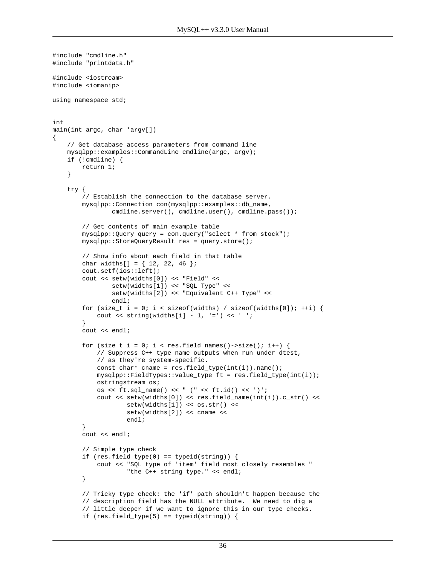```
#include "cmdline.h"
#include "printdata.h"
#include <iostream>
#include <iomanip>
using namespace std;
int
main(int argc, char *argv[])
     // Get database access parameters from command line
     mysqlpp::examples::CommandLine cmdline(argc, argv);
     if (!cmdline) {
         return 1;
     }
     try {
         // Establish the connection to the database server.
         mysqlpp::Connection con(mysqlpp::examples::db_name,
                cmdline.server(), cmdline.user(), cmdline.pass());
         // Get contents of main example table
         mysqlpp::Query query = con.query("select * from stock");
         mysqlpp::StoreQueryResult res = query.store();
         // Show info about each field in that table
        char widths[] = \{ 12, 22, 46 \};
         cout.setf(ios::left);
         cout << setw(widths[0]) << "Field" <<
                 setw(widths[1]) << "SQL Type" <<
                 setw(widths[2]) << "Equivalent C++ Type" <<
                 endl;
        for (size_t i = 0; i < sizeof(widths) / sizeof(widths[0]); ++i) {
            cout \langle string(widths[i] - 1, '=') \langle / ';
 }
         cout << endl;
        for (size_t i = 0; i < res.field_names()->size(); i++) {
             // Suppress C++ type name outputs when run under dtest,
             // as they're system-specific.
             const char* cname = res.field_type(int(i)).name();
             mysqlpp::FieldTypes::value_type ft = res.field_type(int(i));
             ostringstream os;
             os << ft.sql_name() << " (" << ft.id() << ')';
            cout << setw(widths[0]) << res.field_name(int(i)).c_str() <<
                     setw(widths[1]) << os.str() <<
                    setw(widths[2]) << cname <<
                     endl;
 }
         cout << endl;
         // Simple type check
         if (res.field_type(0) == typeid(string)) {
             cout << "SQL type of 'item' field most closely resembles "
                     "the C++ string type." << endl;
         }
         // Tricky type check: the 'if' path shouldn't happen because the
         // description field has the NULL attribute. We need to dig a
         // little deeper if we want to ignore this in our type checks.
        if (res.field_type(5) == typeid(string)) {
```
{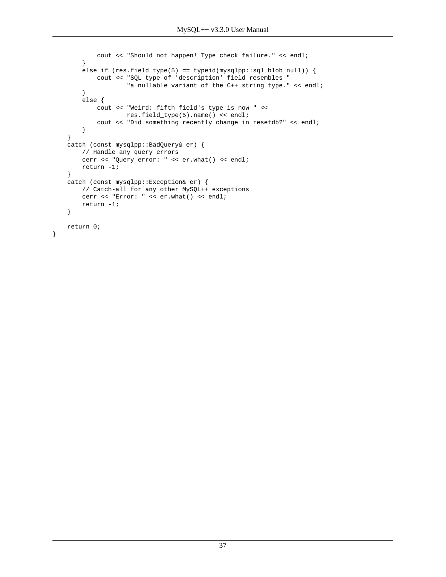```
 cout << "Should not happen! Type check failure." << endl;
     }
    else if (res.field_type(5) == typeid(mysglpp::sgl_blob_null)) {
        cout << "SQL type of 'description' field resembles "
                "a nullable variant of the C++ string type." << endl;
     }
     else {
        cout << "Weird: fifth field's type is now " <<
                res.field_type(5).name() << endl;
         cout << "Did something recently change in resetdb?" << endl;
     }
 }
 catch (const mysqlpp::BadQuery& er) {
     // Handle any query errors
     cerr << "Query error: " << er.what() << endl;
    return -1;
 }
 catch (const mysqlpp::Exception& er) {
    // Catch-all for any other MySQL++ exceptions
     cerr << "Error: " << er.what() << endl;
    return -1;
 }
 return 0;
```
}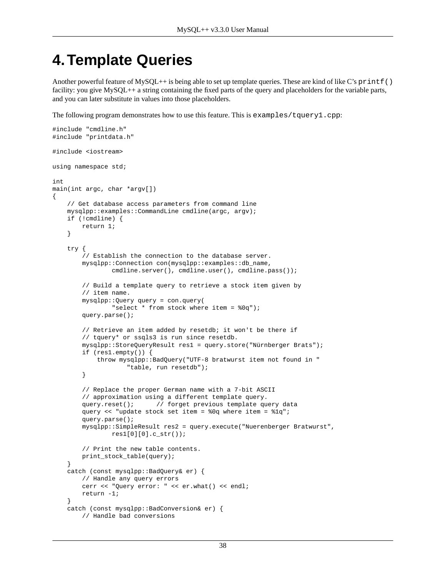# **4.Template Queries**

Another powerful feature of MySQL++ is being able to set up template queries. These are kind of like C's printf() facility: you give MySQL++ a string containing the fixed parts of the query and placeholders for the variable parts, and you can later substitute in values into those placeholders.

The following program demonstrates how to use this feature. This is examples/tquery1.cpp:

```
#include "cmdline.h"
#include "printdata.h"
#include <iostream>
using namespace std;
int
main(int argc, char *argv[])
{
     // Get database access parameters from command line
     mysqlpp::examples::CommandLine cmdline(argc, argv);
     if (!cmdline) {
         return 1;
     }
     try {
         // Establish the connection to the database server.
         mysqlpp::Connection con(mysqlpp::examples::db_name,
                cmdline.server(), cmdline.user(), cmdline.pass());
         // Build a template query to retrieve a stock item given by
         // item name.
         mysqlpp::Query query = con.query(
                 "select * from stock where item = %0q");
         query.parse();
         // Retrieve an item added by resetdb; it won't be there if
         // tquery* or ssqls3 is run since resetdb.
         mysqlpp::StoreQueryResult res1 = query.store("Nürnberger Brats");
         if (res1.empty()) {
             throw mysqlpp::BadQuery("UTF-8 bratwurst item not found in "
                     "table, run resetdb");
         }
         // Replace the proper German name with a 7-bit ASCII
         // approximation using a different template query.
        query.reset(); \qquad // forget previous template query data
         query << "update stock set item = %0q where item = %1q";
         query.parse();
         mysqlpp::SimpleResult res2 = query.execute("Nuerenberger Bratwurst",
                res1[0][0].cstr();
         // Print the new table contents.
         print_stock_table(query);
     }
     catch (const mysqlpp::BadQuery& er) {
         // Handle any query errors
         cerr << "Query error: " << er.what() << endl;
         return -1;
     }
     catch (const mysqlpp::BadConversion& er) {
         // Handle bad conversions
```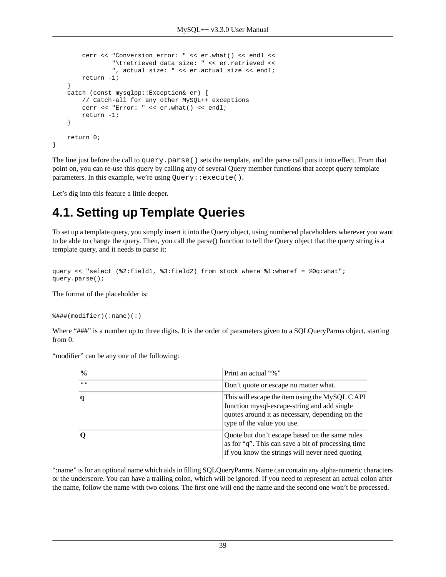```
 cerr << "Conversion error: " << er.what() << endl <<
                 "\tretrieved data size: " << er.retrieved <<
                 ", actual size: " << er.actual_size << endl;
         return -1;
     }
     catch (const mysqlpp::Exception& er) {
         // Catch-all for any other MySQL++ exceptions
         cerr << "Error: " << er.what() << endl;
         return -1;
     }
     return 0;
}
```
The line just before the call to query.parse() sets the template, and the parse call puts it into effect. From that point on, you can re-use this query by calling any of several Query member functions that accept query template parameters. In this example, we're using Query: : execute().

Let's dig into this feature a little deeper.

# **4.1. Setting up Template Queries**

To set up a template query, you simply insert it into the Query object, using numbered placeholders wherever you want to be able to change the query. Then, you call the parse() function to tell the Query object that the query string is a template query, and it needs to parse it:

```
query << "select (%2:field1, %3:field2) from stock where %1:wheref = %0q:what";
query.parse();
```
The format of the placeholder is:

%###(modifier)(:name)(:)

Where "###" is a number up to three digits. It is the order of parameters given to a SQLQueryParms object, starting from 0.

"modifier" can be any one of the following:

| $\frac{0}{0}$ | Print an actual "%"                                                                                                                                                            |
|---------------|--------------------------------------------------------------------------------------------------------------------------------------------------------------------------------|
|               | Don't quote or escape no matter what.                                                                                                                                          |
|               | This will escape the item using the MySQL CAPI<br>function mysql-escape-string and add single<br>quotes around it as necessary, depending on the<br>type of the value you use. |
|               | Quote but don't escape based on the same rules<br>as for "q". This can save a bit of processing time<br>if you know the strings will never need quoting                        |

":name" is for an optional name which aids in filling SQLQueryParms. Name can contain any alpha-numeric characters or the underscore. You can have a trailing colon, which will be ignored. If you need to represent an actual colon after the name, follow the name with two colons. The first one will end the name and the second one won't be processed.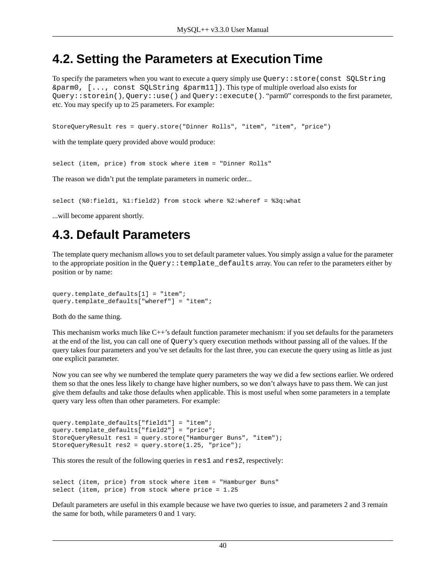#### **4.2. Setting the Parameters at Execution Time**

To specify the parameters when you want to execute a query simply use Query::store(const SQLString &parm0, [..., const SQLString &parm11]). This type of multiple overload also exists for Query::storein(), Query::use() and Query::execute(). "parm0" corresponds to the first parameter, etc. You may specify up to 25 parameters. For example:

StoreQueryResult res = query.store("Dinner Rolls", "item", "item", "price")

with the template query provided above would produce:

select (item, price) from stock where item = "Dinner Rolls"

The reason we didn't put the template parameters in numeric order...

select (%0:field1, %1:field2) from stock where %2:wheref = %3q:what

...will become apparent shortly.

#### **4.3. Default Parameters**

The template query mechanism allows you to set default parameter values. You simply assign a value for the parameter to the appropriate position in the Query::template\_defaults array. You can refer to the parameters either by position or by name:

query.template defaults[1] = "item"; query.template\_defaults["wheref"] = "item";

Both do the same thing.

This mechanism works much like C++'s default function parameter mechanism: if you set defaults for the parameters at the end of the list, you can call one of Query's query execution methods without passing all of the values. If the query takes four parameters and you've set defaults for the last three, you can execute the query using as little as just one explicit parameter.

Now you can see why we numbered the template query parameters the way we did a few sections earlier. We ordered them so that the ones less likely to change have higher numbers, so we don't always have to pass them. We can just give them defaults and take those defaults when applicable. This is most useful when some parameters in a template query vary less often than other parameters. For example:

```
query.template_defaults["field1"] = "item"; 
query.template_defaults["field2"] = "price"; 
StoreQueryResult res1 = query.store("Hamburger Buns", "item"); 
StoreQueryResult res2 = query.store(1.25, "price");
```
This stores the result of the following queries in res1 and res2, respectively:

select (item, price) from stock where item = "Hamburger Buns" select (item, price) from stock where price = 1.25

Default parameters are useful in this example because we have two queries to issue, and parameters 2 and 3 remain the same for both, while parameters 0 and 1 vary.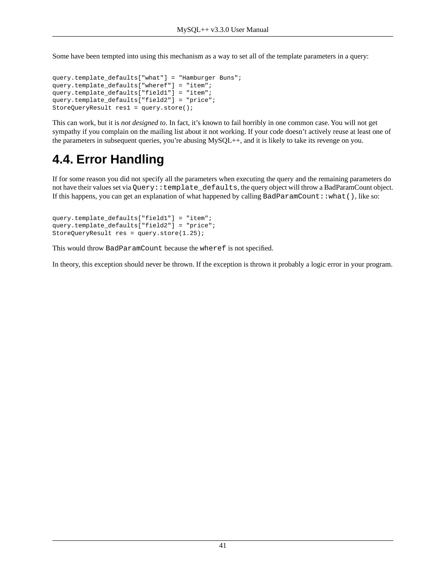Some have been tempted into using this mechanism as a way to set all of the template parameters in a query:

```
query.template_defaults["what"] = "Hamburger Buns";
query.template_defaults["wheref"] = "item";
query.template_defaults["field1"] = "item"; 
query.template_defaults["field2"] = "price"; 
StoreQueryResult res1 = query.store();
```
This can work, but it is *not designed to*. In fact, it's known to fail horribly in one common case. You will not get sympathy if you complain on the mailing list about it not working. If your code doesn't actively reuse at least one of the parameters in subsequent queries, you're abusing MySQL++, and it is likely to take its revenge on you.

# **4.4. Error Handling**

If for some reason you did not specify all the parameters when executing the query and the remaining parameters do not have their values set via Query::template\_defaults, the query object will throw a BadParamCount object. If this happens, you can get an explanation of what happened by calling BadParamCount::what(), like so:

```
query.template_defaults["field1"] = "item"; 
query.template_defaults["field2"] = "price"; 
StoreQueryResult res = query.store(1.25);
```
This would throw BadParamCount because the wheref is not specified.

In theory, this exception should never be thrown. If the exception is thrown it probably a logic error in your program.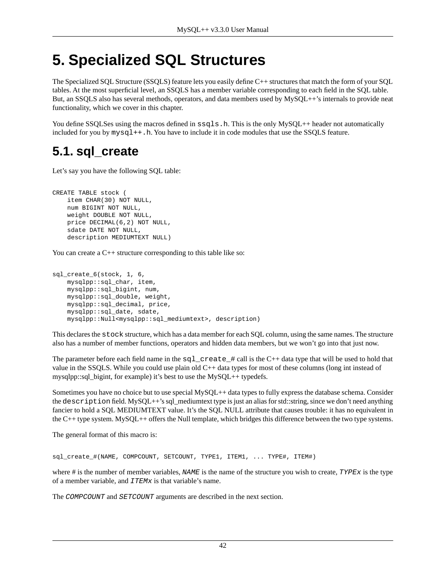# **5. Specialized SQL Structures**

The Specialized SQL Structure (SSQLS) feature lets you easily define C++ structures that match the form of your SQL tables. At the most superficial level, an SSQLS has a member variable corresponding to each field in the SQL table. But, an SSQLS also has several methods, operators, and data members used by MySQL++'s internals to provide neat functionality, which we cover in this chapter.

<span id="page-41-0"></span>You define SSQLSes using the macros defined in  $ssqls$ .h. This is the only MySQL++ header not automatically included for you by  $mysq1++$ . h. You have to include it in code modules that use the SSQLS feature.

# **5.1. sql\_create**

Let's say you have the following SQL table:

CREATE TABLE stock ( item CHAR(30) NOT NULL, num BIGINT NOT NULL, weight DOUBLE NOT NULL, price DECIMAL(6,2) NOT NULL, sdate DATE NOT NULL, description MEDIUMTEXT NULL)

You can create a C++ structure corresponding to this table like so:

```
sql_create_6(stock, 1, 6,
    mysqlpp::sql_char, item,
     mysqlpp::sql_bigint, num,
     mysqlpp::sql_double, weight,
     mysqlpp::sql_decimal, price,
     mysqlpp::sql_date, sdate,
     mysqlpp::Null<mysqlpp::sql_mediumtext>, description)
```
This declares the stock structure, which has a data member for each SQL column, using the same names. The structure also has a number of member functions, operators and hidden data members, but we won't go into that just now.

The parameter before each field name in the  $sql\_create\_#$  call is the C++ data type that will be used to hold that value in the SSQLS. While you could use plain old C++ data types for most of these columns (long int instead of mysqlpp::sql\_bigint, for example) it's [best to use the MySQL++ typedefs](#page-12-0).

Sometimes you have no choice but to use special MySQL++ data types to fully express the database schema. Consider the description field. MySQL++'s sql\_mediumtext type is just an alias for std::string, since we don't need anything fancier to hold a SQL MEDIUMTEXT value. It's the SQL NULL attribute that causes trouble: it [has no equivalent in](#page-14-0) [the C++ type system](#page-14-0). MySQL++ offers the Null template, which bridges this difference between the two type systems.

The general format of this macro is:

sql\_create\_#(NAME, COMPCOUNT, SETCOUNT, TYPE1, ITEM1, ... TYPE#, ITEM#)

where # is the number of member variables, *NAME* is the name of the structure you wish to create, *TYPEx* is the type of a member variable, and *ITEMx* is that variable's name.

The *COMPCOUNT* and *SETCOUNT* arguments are described in the next section.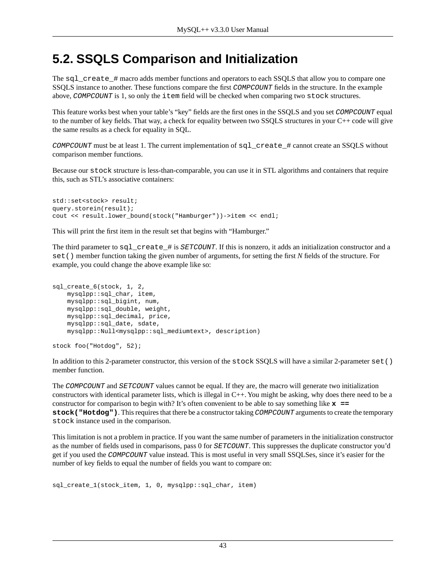### <span id="page-42-0"></span>**5.2. SSQLS Comparison and Initialization**

The sql\_create  $\#$  macro adds member functions and operators to each SSQLS that allow you to compare one SSQLS instance to another. These functions compare the first *COMPCOUNT* fields in the structure. In the example above, *COMPCOUNT* is 1, so only the item field will be checked when comparing two stock structures.

This feature works best when your table's "key" fields are the first ones in the SSQLS and you set *COMPCOUNT* equal to the number of key fields. That way, a check for equality between two SSQLS structures in your C++ code will give the same results as a check for equality in SQL.

*COMPCOUNT* must be at least 1. The current implementation of sql\_create\_# cannot create an SSQLS without comparison member functions.

Because our stock structure is less-than-comparable, you can use it in STL algorithms and containers that require this, such as STL's associative containers:

```
std::set<stock> result;
query.storein(result);
cout << result.lower_bound(stock("Hamburger"))->item << endl;
```
This will print the first item in the result set that begins with "Hamburger."

The third parameter to sql\_create\_# is *SETCOUNT*. If this is nonzero, it adds an initialization constructor and a set() member function taking the given number of arguments, for setting the first *N* fields of the structure. For example, you could change the above example like so:

```
sql_create_6(stock, 1, 2,
     mysqlpp::sql_char, item,
     mysqlpp::sql_bigint, num, 
     mysqlpp::sql_double, weight, 
     mysqlpp::sql_decimal, price, 
     mysqlpp::sql_date, sdate,
     mysqlpp::Null<mysqlpp::sql_mediumtext>, description)
```

```
stock foo("Hotdog", 52);
```
In addition to this 2-parameter constructor, this version of the stock SSQLS will have a similar 2-parameter set() member function.

The *COMPCOUNT* and *SETCOUNT* values cannot be equal. If they are, the macro will generate two initialization constructors with identical parameter lists, which is illegal in C++. You might be asking, why does there need to be a constructor for comparison to begin with? It's often convenient to be able to say something like **x == stock("Hotdog")**. This requires that there be a constructor taking *COMPCOUNT* arguments to create the temporary stock instance used in the comparison.

This limitation is not a problem in practice. If you want the same number of parameters in the initialization constructor as the number of fields used in comparisons, pass 0 for *SETCOUNT*. This suppresses the duplicate constructor you'd get if you used the *COMPCOUNT* value instead. This is most useful in very small SSQLSes, since it's easier for the number of key fields to equal the number of fields you want to compare on:

```
sql_create_1(stock_item, 1, 0, mysqlpp::sql_char, item)
```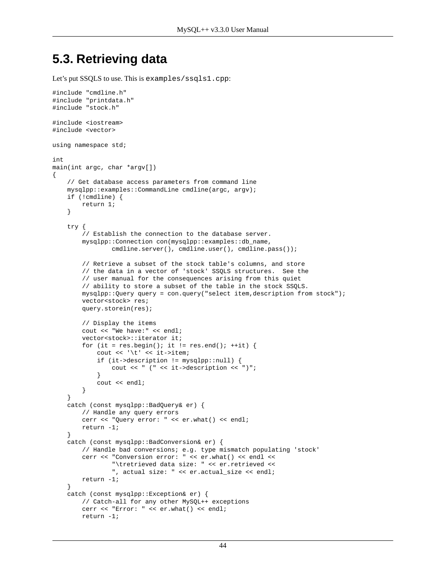### <span id="page-43-0"></span>**5.3. Retrieving data**

Let's put SSQLS to use. This is examples/ssqls1.cpp:

```
#include "cmdline.h"
#include "printdata.h"
#include "stock.h"
#include <iostream>
#include <vector>
using namespace std;
int
main(int argc, char *argv[])
{
     // Get database access parameters from command line
     mysqlpp::examples::CommandLine cmdline(argc, argv);
     if (!cmdline) {
         return 1;
     }
     try { 
         // Establish the connection to the database server.
         mysqlpp::Connection con(mysqlpp::examples::db_name,
                 cmdline.server(), cmdline.user(), cmdline.pass());
         // Retrieve a subset of the stock table's columns, and store
         // the data in a vector of 'stock' SSQLS structures. See the
         // user manual for the consequences arising from this quiet
         // ability to store a subset of the table in the stock SSQLS.
         mysqlpp::Query query = con.query("select item,description from stock");
         vector<stock> res;
         query.storein(res);
         // Display the items
         cout << "We have:" << endl;
         vector<stock>::iterator it;
        for (it = res.begin(); it != res.end(); ++it) {
            cout << '\t' << it->item;
             if (it->description != mysqlpp::null) {
                 cout << " (" << it->description << ")";
 }
             cout << endl;
         }
     }
     catch (const mysqlpp::BadQuery& er) {
         // Handle any query errors
         cerr << "Query error: " << er.what() << endl;
         return -1;
     }
     catch (const mysqlpp::BadConversion& er) {
         // Handle bad conversions; e.g. type mismatch populating 'stock'
         cerr << "Conversion error: " << er.what() << endl <<
                  "\tretrieved data size: " << er.retrieved <<
                 ", actual size: " << er.actual_size << endl;
         return -1;
     }
     catch (const mysqlpp::Exception& er) {
         // Catch-all for any other MySQL++ exceptions
         cerr << "Error: " << er.what() << endl;
         return -1;
```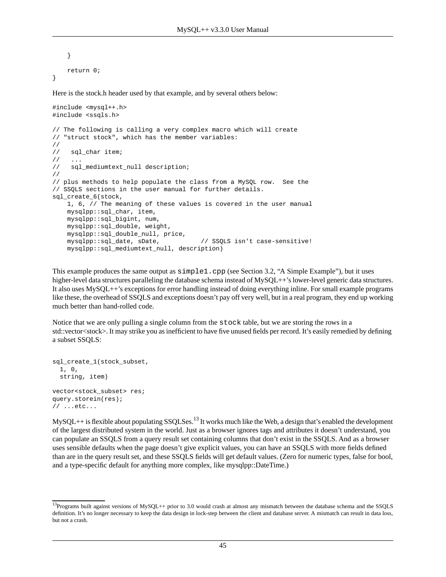} return 0;

}

Here is the stock.h header used by that example, and by several others below:

```
#include <mysql++.h>
#include <ssqls.h>
// The following is calling a very complex macro which will create
// "struct stock", which has the member variables:
//
// sql_char item;
/ /
// sql mediumtext null description;
//
// plus methods to help populate the class from a MySQL row. See the
// SSQLS sections in the user manual for further details.
sql_create_6(stock,
     1, 6, // The meaning of these values is covered in the user manual
     mysqlpp::sql_char, item,
     mysqlpp::sql_bigint, num,
     mysqlpp::sql_double, weight,
     mysqlpp::sql_double_null, price,
     mysqlpp::sql_date, sDate, // SSQLS isn't case-sensitive!
     mysqlpp::sql_mediumtext_null, description)
```
This example produces the same output as simple1.cpp (see [Section 3.2, "A Simple Example"](#page-8-0)), but it uses higher-level data structures paralleling the database schema instead of MySQL++'s lower-level generic data structures. It also uses MySQL++'s [exceptions](#page-10-0) for error handling instead of doing everything inline. For small example programs like these, the overhead of SSQLS and exceptions doesn't pay off very well, but in a real program, they end up working much better than hand-rolled code.

Notice that we are only pulling a single column from the stock table, but we are storing the rows in a std::vector<stock>. It may strike you as inefficient to have five unused fields per record. It's easily remedied by defining a subset SSQLS:

```
sql_create_1(stock_subset,
   1, 0,
   string, item)
vector<stock_subset> res;
query.storein(res);
// ...etc...
```
 $MySQL++$  is flexible about populating SSQLSes.<sup>13</sup> It works much like the Web, a design that's enabled the development of the largest distributed system in the world. Just as a browser ignores tags and attributes it doesn't understand, you can populate an SSQLS from a query result set containing columns that don't exist in the SSQLS. And as a browser uses sensible defaults when the page doesn't give explicit values, you can have an SSQLS with more fields defined than are in the query result set, and these SSQLS fields will get default values. (Zero for numeric types, false for bool, and a type-specific default for anything more complex, like mysqlpp::DateTime.)

 $13$ Programs built against versions of MySQL++ prior to 3.0 would crash at almost any mismatch between the database schema and the SSQLS definition. It's no longer necessary to keep the data design in lock-step between the client and database server. A mismatch can result in data loss, but not a crash.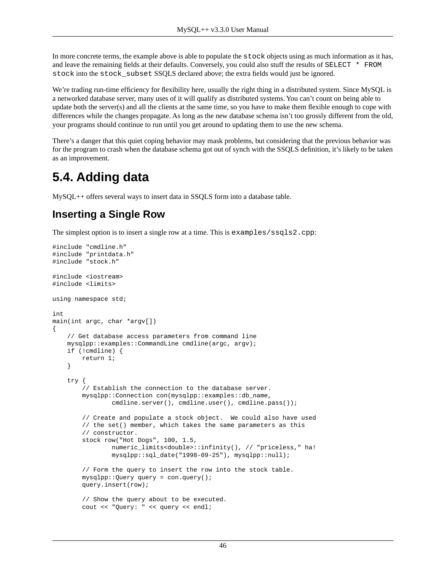In more concrete terms, the example above is able to populate the stock objects using as much information as it has, and leave the remaining fields at their defaults. Conversely, you could also stuff the results of SELECT \* FROM stock into the stock\_subset SSQLS declared above; the extra fields would just be ignored.

We're trading run-time efficiency for flexibility here, usually the right thing in a distributed system. Since MySQL is a networked database server, many uses of it will qualify as distributed systems. You can't count on being able to update both the server(s) and all the clients at the same time, so you have to make them flexible enough to cope with differences while the changes propagate. As long as the new database schema isn't too grossly different from the old, your programs should continue to run until you get around to updating them to use the new schema.

There's a danger that this quiet coping behavior may mask problems, but considering that the previous behavior was for the program to crash when the database schema got out of synch with the SSQLS definition, it's likely to be taken as an improvement.

### **5.4. Adding data**

MySQL++ offers several ways to insert data in SSQLS form into a database table.

#### **Inserting a Single Row**

The simplest option is to insert a single row at a time. This is examples/ssqls2.cpp:

```
#include "cmdline.h"
#include "printdata.h"
#include "stock.h"
#include <iostream>
#include <limits>
using namespace std;
int
main(int argc, char *argv[])
{
     // Get database access parameters from command line
     mysqlpp::examples::CommandLine cmdline(argc, argv);
     if (!cmdline) {
         return 1;
     }
     try {
         // Establish the connection to the database server.
         mysqlpp::Connection con(mysqlpp::examples::db_name,
                cmdline.server(), cmdline.user(), cmdline.pass());
         // Create and populate a stock object. We could also have used
         // the set() member, which takes the same parameters as this
         // constructor.
         stock row("Hot Dogs", 100, 1.5,
                 numeric_limits<double>::infinity(), // "priceless," ha!
                 mysqlpp::sql_date("1998-09-25"), mysqlpp::null);
         // Form the query to insert the row into the stock table.
         mysqlpp::Query query = con.query();
         query.insert(row);
         // Show the query about to be executed.
         cout << "Query: " << query << endl;
```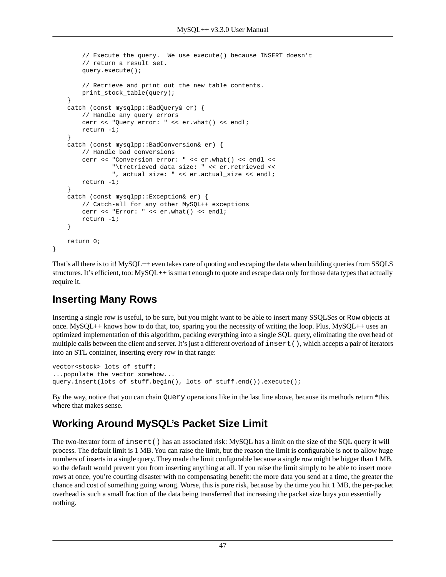```
 // Execute the query. We use execute() because INSERT doesn't
     // return a result set.
     query.execute();
     // Retrieve and print out the new table contents.
     print_stock_table(query);
 }
 catch (const mysqlpp::BadQuery& er) {
     // Handle any query errors
     cerr << "Query error: " << er.what() << endl;
     return -1;
 }
 catch (const mysqlpp::BadConversion& er) { 
     // Handle bad conversions
     cerr << "Conversion error: " << er.what() << endl <<
             "\tretrieved data size: " << er.retrieved <<
             ", actual size: " << er.actual_size << endl;
     return -1;
 }
 catch (const mysqlpp::Exception& er) {
     // Catch-all for any other MySQL++ exceptions
     cerr << "Error: " << er.what() << endl;
     return -1;
 }
 return 0;
```
That's all there is to it! MySQL++ even takes care of [quoting and escaping](#page-11-0) the data when building queries from SSQLS structures. It's efficient, too: MySQL++ is smart enough to quote and escape data only for those data types that actually require it.

#### **Inserting Many Rows**

}

Inserting a single row is useful, to be sure, but you might want to be able to insert many SSQLSes or Row objects at once. MySQL++ knows how to do that, too, sparing you the necessity of writing the loop. Plus, MySQL++ uses an optimized implementation of this algorithm, packing everything into a single SQL query, eliminating the overhead of multiple calls between the client and server. It's just a different overload of insert(), which accepts a pair of iterators into an STL container, inserting every row in that range:

```
vector<stock> lots_of_stuff;
...populate the vector somehow...
query.insert(lots_of_stuff.begin(), lots_of_stuff.end()).execute();
```
By the way, notice that you can chain Query operations like in the last line above, because its methods return \*this where that makes sense.

#### **Working Around MySQL's Packet Size Limit**

The two-iterator form of insert() has an associated risk: MySQL has a limit on the size of the SQL query it will process. The default limit is 1 MB. You can raise the limit, but the reason the limit is configurable is not to allow huge numbers of inserts in a single query. They made the limit configurable because a single row might be bigger than 1 MB, so the default would prevent you from inserting anything at all. If you raise the limit simply to be able to insert more rows at once, you're courting disaster with no compensating benefit: the more data you send at a time, the greater the chance and cost of something going wrong. Worse, this is pure risk, because by the time you hit 1 MB, the per-packet overhead is such a small fraction of the data being transferred that increasing the packet size buys you essentially nothing.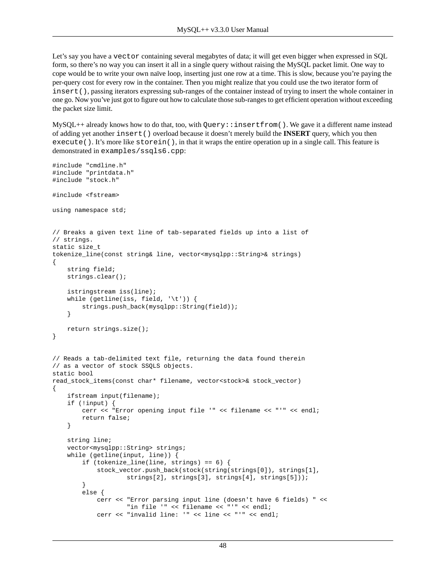Let's say you have a vector containing several megabytes of data; it will get even bigger when expressed in SQL form, so there's no way you can insert it all in a single query without raising the MySQL packet limit. One way to cope would be to write your own naïve loop, inserting just one row at a time. This is slow, because you're paying the per-query cost for every row in the container. Then you might realize that you could use the two iterator form of insert(), passing iterators expressing sub-ranges of the container instead of trying to insert the whole container in one go. Now you've just got to figure out how to calculate those sub-ranges to get efficient operation without exceeding the packet size limit.

 $MySQL++$  already knows how to do that, too, with Query: : insertfrom(). We gave it a different name instead of adding yet another insert() overload because it doesn't merely build the **INSERT** query, which you then execute(). It's more like storein(), in that it wraps the entire operation up in a single call. This feature is demonstrated in examples/ssqls6.cpp:

```
#include "cmdline.h"
#include "printdata.h"
#include "stock.h"
#include <fstream>
using namespace std;
// Breaks a given text line of tab-separated fields up into a list of
// strings.
static size_t
tokenize_line(const string& line, vector<mysqlpp::String>& strings)
{
     string field;
     strings.clear();
     istringstream iss(line);
    while (getline(iss, field, '\t')) {
         strings.push_back(mysqlpp::String(field));
     }
    return strings.size();
}
// Reads a tab-delimited text file, returning the data found therein
// as a vector of stock SSQLS objects.
static bool
read_stock_items(const char* filename, vector<stock>& stock_vector)
{
     ifstream input(filename);
     if (!input) {
         cerr << "Error opening input file '" << filename << "'" << endl;
         return false;
     }
     string line;
     vector<mysqlpp::String> strings;
     while (getline(input, line)) {
         if (tokenize_line(line, strings) == 6) {
             stock_vector.push_back(stock(string(strings[0]), strings[1],
                    strings[2], strings[3], strings[4], strings[5]));
 }
         else {
             cerr << "Error parsing input line (doesn't have 6 fields) " << 
                      "in file '" << filename << "'" << endl;
             cerr << "invalid line: '" << line << "'" << endl;
```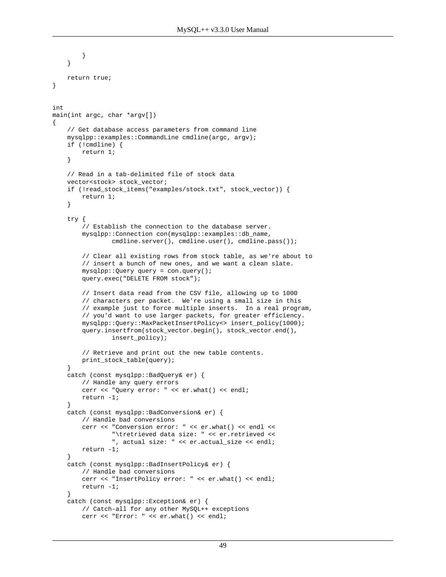```
 }
     }
     return true;
}
int
main(int argc, char *argv[])
     // Get database access parameters from command line
     mysqlpp::examples::CommandLine cmdline(argc, argv);
     if (!cmdline) {
         return 1;
     }
     // Read in a tab-delimited file of stock data
     vector<stock> stock_vector;
     if (!read_stock_items("examples/stock.txt", stock_vector)) {
         return 1;
     }
     try {
         // Establish the connection to the database server.
         mysqlpp::Connection con(mysqlpp::examples::db_name,
                cmdline.server(), cmdline.user(), cmdline.pass());
         // Clear all existing rows from stock table, as we're about to
         // insert a bunch of new ones, and we want a clean slate.
         mysqlpp::Query query = con.query();
         query.exec("DELETE FROM stock");
         // Insert data read from the CSV file, allowing up to 1000
         // characters per packet. We're using a small size in this
         // example just to force multiple inserts. In a real program,
         // you'd want to use larger packets, for greater efficiency.
         mysqlpp::Query::MaxPacketInsertPolicy<> insert_policy(1000);
         query.insertfrom(stock_vector.begin(), stock_vector.end(),
                 insert_policy);
         // Retrieve and print out the new table contents.
         print_stock_table(query);
     }
     catch (const mysqlpp::BadQuery& er) {
         // Handle any query errors
         cerr << "Query error: " << er.what() << endl;
         return -1;
     }
     catch (const mysqlpp::BadConversion& er) {
         // Handle bad conversions
         cerr << "Conversion error: " << er.what() << endl <<
                  "\tretrieved data size: " << er.retrieved <<
                 ", actual size: " << er.actual_size << endl;
         return -1;
     }
     catch (const mysqlpp::BadInsertPolicy& er) {
         // Handle bad conversions
         cerr << "InsertPolicy error: " << er.what() << endl;
         return -1;
 }
     catch (const mysqlpp::Exception& er) {
         // Catch-all for any other MySQL++ exceptions
         cerr << "Error: " << er.what() << endl;
```
{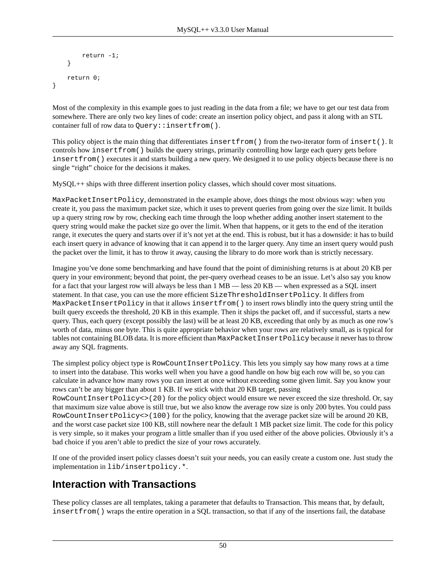```
 return -1;
     }
     return 0;
}
```
Most of the complexity in this example goes to just reading in the data from a file; we have to get our test data from somewhere. There are only two key lines of code: create an insertion policy object, and pass it along with an STL container full of row data to Query:: insertfrom().

This policy object is the main thing that differentiates insertfrom() from the two-iterator form of insert(). It controls how insertfrom() builds the query strings, primarily controlling how large each query gets before insertfrom() executes it and starts building a new query. We designed it to use policy objects because there is no single "right" choice for the decisions it makes.

MySQL++ ships with three different insertion policy classes, which should cover most situations.

MaxPacketInsertPolicy, demonstrated in the example above, does things the most obvious way: when you create it, you pass the maximum packet size, which it uses to prevent queries from going over the size limit. It builds up a query string row by row, checking each time through the loop whether adding another insert statement to the query string would make the packet size go over the limit. When that happens, or it gets to the end of the iteration range, it executes the query and starts over if it's not yet at the end. This is robust, but it has a downside: it has to build each insert query in advance of knowing that it can append it to the larger query. Any time an insert query would push the packet over the limit, it has to throw it away, causing the library to do more work than is strictly necessary.

Imagine you've done some benchmarking and have found that the point of diminishing returns is at about 20 KB per query in your environment; beyond that point, the per-query overhead ceases to be an issue. Let's also say you know for a fact that your largest row will always be less than 1 MB — less 20 KB — when expressed as a SQL insert statement. In that case, you can use the more efficient SizeThresholdInsertPolicy. It differs from MaxPacketInsertPolicy in that it allows insertfrom() to insert rows blindly into the query string until the built query exceeds the threshold, 20 KB in this example. Then it ships the packet off, and if successful, starts a new query. Thus, each query (except possibly the last) will be at least 20 KB, exceeding that only by as much as one row's worth of data, minus one byte. This is quite appropriate behavior when your rows are relatively small, as is typical for tables not containing BLOB data. It is more efficient than MaxPacketInsertPolicy because it never has to throw away any SQL fragments.

The simplest policy object type is RowCountInsertPolicy. This lets you simply say how many rows at a time to insert into the database. This works well when you have a good handle on how big each row will be, so you can calculate in advance how many rows you can insert at once without exceeding some given limit. Say you know your rows can't be any bigger than about 1 KB. If we stick with that 20 KB target, passing RowCountInsertPolicy<>(20) for the policy object would ensure we never exceed the size threshold. Or, say that maximum size value above is still true, but we also know the average row size is only 200 bytes. You could pass RowCountInsertPolicy<>(100) for the policy, knowing that the average packet size will be around 20 KB, and the worst case packet size 100 KB, still nowhere near the default 1 MB packet size limit. The code for this policy is very simple, so it makes your program a little smaller than if you used either of the above policies. Obviously it's a bad choice if you aren't able to predict the size of your rows accurately.

If one of the provided insert policy classes doesn't suit your needs, you can easily create a custom one. Just study the implementation in lib/insertpolicy.\*.

#### **Interaction with Transactions**

These policy classes are all templates, taking a parameter that defaults to Transaction. This means that, by default, insertfrom() wraps the entire operation in a SQL transaction, so that if any of the insertions fail, the database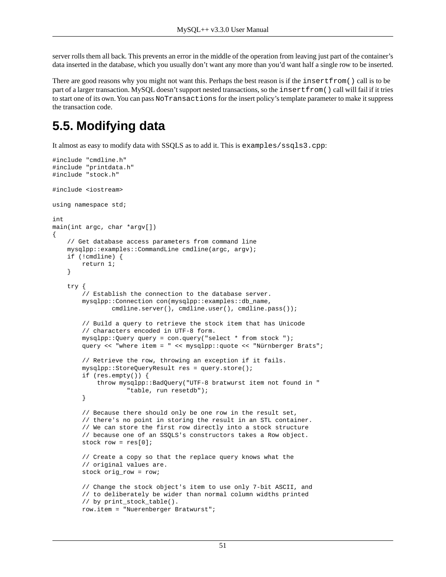server rolls them all back. This prevents an error in the middle of the operation from leaving just part of the container's data inserted in the database, which you usually don't want any more than you'd want half a single row to be inserted.

There are good reasons why you might not want this. Perhaps the best reason is if the insertfrom() call is to be part of a larger transaction. MySQL doesn't support nested transactions, so the insertfrom() call will fail if it tries to start one of its own. You can pass NoTransactions for the insert policy's template parameter to make it suppress the transaction code.

# **5.5. Modifying data**

It almost as easy to modify data with SSQLS as to add it. This is examples/ssqls3.cpp:

```
#include "cmdline.h"
#include "printdata.h"
#include "stock.h"
#include <iostream>
using namespace std;
int
main(int argc, char *argv[])
{
     // Get database access parameters from command line
     mysqlpp::examples::CommandLine cmdline(argc, argv);
     if (!cmdline) {
         return 1;
     }
     try {
         // Establish the connection to the database server.
         mysqlpp::Connection con(mysqlpp::examples::db_name,
                cmdline.server(), cmdline.user(), cmdline.pass());
         // Build a query to retrieve the stock item that has Unicode
         // characters encoded in UTF-8 form.
         mysqlpp::Query query = con.query("select * from stock ");
         query << "where item = " << mysqlpp::quote << "Nürnberger Brats";
         // Retrieve the row, throwing an exception if it fails.
         mysqlpp::StoreQueryResult res = query.store();
         if (res.empty()) {
             throw mysqlpp::BadQuery("UTF-8 bratwurst item not found in "
                     "table, run resetdb");
 }
         // Because there should only be one row in the result set,
         // there's no point in storing the result in an STL container.
         // We can store the first row directly into a stock structure
         // because one of an SSQLS's constructors takes a Row object.
        stock row = res[0];
         // Create a copy so that the replace query knows what the
         // original values are.
         stock orig_row = row;
         // Change the stock object's item to use only 7-bit ASCII, and
         // to deliberately be wider than normal column widths printed
         // by print_stock_table().
         row.item = "Nuerenberger Bratwurst";
```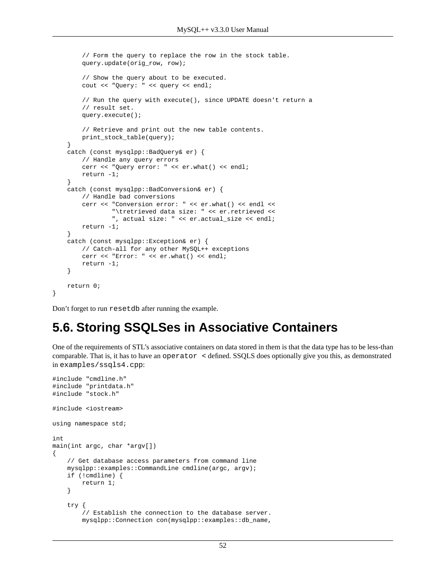```
 // Form the query to replace the row in the stock table.
     query.update(orig_row, row);
     // Show the query about to be executed.
     cout << "Query: " << query << endl;
     // Run the query with execute(), since UPDATE doesn't return a
     // result set.
     query.execute();
     // Retrieve and print out the new table contents.
     print_stock_table(query);
 }
 catch (const mysqlpp::BadQuery& er) {
     // Handle any query errors
     cerr << "Query error: " << er.what() << endl;
     return -1;
 }
 catch (const mysqlpp::BadConversion& er) {
     // Handle bad conversions
     cerr << "Conversion error: " << er.what() << endl <<
              "\tretrieved data size: " << er.retrieved <<
             ", actual size: " << er.actual_size << endl;
     return -1;
 }
 catch (const mysqlpp::Exception& er) {
     // Catch-all for any other MySQL++ exceptions
     cerr << "Error: " << er.what() << endl;
     return -1;
 }
 return 0;
```
Don't forget to run resetdb after running the example.

}

### **5.6. Storing SSQLSes in Associative Containers**

One of the requirements of STL's associative containers on data stored in them is that the data type has to be less-than comparable. That is, it has to have an operator < defined. SSQLS does optionally give you this, as demonstrated in examples/ssqls4.cpp:

```
#include "cmdline.h"
#include "printdata.h"
#include "stock.h"
#include <iostream>
using namespace std;
int
main(int argc, char *argv[])
{
     // Get database access parameters from command line
     mysqlpp::examples::CommandLine cmdline(argc, argv);
     if (!cmdline) {
         return 1;
     }
     try {
         // Establish the connection to the database server.
         mysqlpp::Connection con(mysqlpp::examples::db_name,
```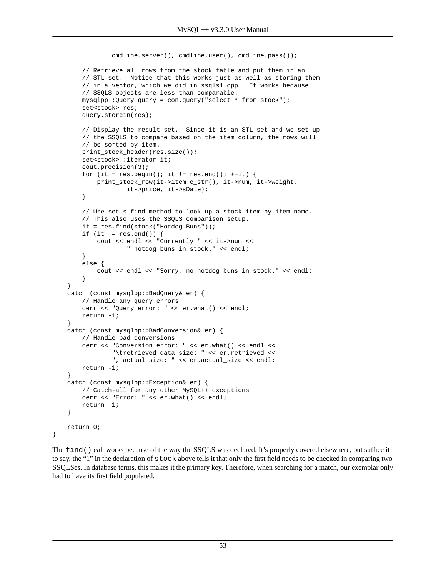```
cmdline.server(), cmdline.user(), cmdline.pass());
         // Retrieve all rows from the stock table and put them in an
        // STL set. Notice that this works just as well as storing them
        // in a vector, which we did in ssqls1.cpp. It works because
        // SSQLS objects are less-than comparable.
        mysqlpp::Query query = con.query("select * from stock");
       set<stock> res;
        query.storein(res);
         // Display the result set. Since it is an STL set and we set up
        // the SSQLS to compare based on the item column, the rows will
        // be sorted by item.
       print_stock_header(res.size());
       set<stock>::iterator it;
        cout.precision(3);
       for (it = res.begin(); it != res.end(); ++it) {
             print_stock_row(it->item.c_str(), it->num, it->weight,
                     it->price, it->sDate);
         }
         // Use set's find method to look up a stock item by item name.
         // This also uses the SSQLS comparison setup.
        it = res.find(stock("Hotdog Buns"));
        if (it != res.end()) {
             cout << endl << "Currently " << it->num <<
                     " hotdog buns in stock." << endl;
         }
        else {
             cout << endl << "Sorry, no hotdog buns in stock." << endl;
 }
    }
    catch (const mysqlpp::BadQuery& er) {
        // Handle any query errors
        cerr << "Query error: " << er.what() << endl;
        return -1;
 }
    catch (const mysqlpp::BadConversion& er) {
         // Handle bad conversions
        cerr << "Conversion error: " << er.what() << endl <<
                 "\tretrieved data size: " << er.retrieved <<
                 ", actual size: " << er.actual_size << endl;
        return -1;
    }
    catch (const mysqlpp::Exception& er) {
        // Catch-all for any other MySQL++ exceptions
        cerr << "Error: " << er.what() << endl;
        return -1;
    }
    return 0;
```
The find() call works because of the way the SSQLS was declared. It's properly covered [elsewhere](#page-42-0), but suffice it to say, the "1" in the declaration of stock [above](#page-43-0) tells it that only the first field needs to be checked in comparing two SSQLSes. In database terms, this makes it the primary key. Therefore, when searching for a match, our exemplar only had to have its first field populated.

}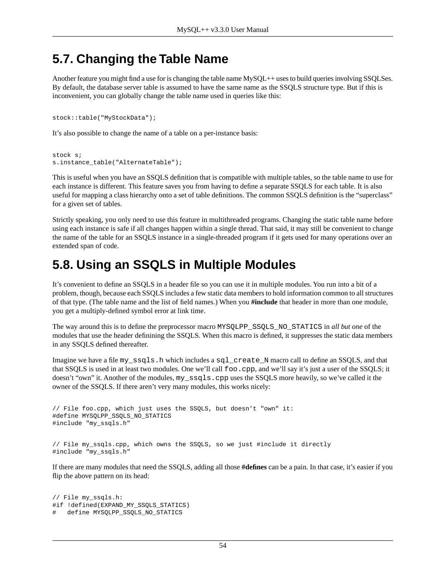### **5.7. Changing the Table Name**

Another feature you might find a use for is changing the table name MySQL++ uses to build queries involving SSQLSes. By default, the database server table is assumed to have the same name as the SSQLS structure type. But if this is inconvenient, you can globally change the table name used in queries like this:

```
stock::table("MyStockData");
```
It's also possible to change the name of a table on a per-instance basis:

```
stock s;
s.instance_table("AlternateTable");
```
This is useful when you have an SSQLS definition that is compatible with multiple tables, so the table name to use for each instance is different. This feature saves you from having to define a separate SSQLS for each table. It is also useful for mapping a class hierarchy onto a set of table definitions. The common SSQLS definition is the "superclass" for a given set of tables.

Strictly speaking, you only need to use this feature in multithreaded programs. Changing the static table name before using each instance is safe if all changes happen within a single thread. That said, it may still be convenient to change the name of the table for an SSQLS instance in a single-threaded program if it gets used for many operations over an extended span of code.

### **5.8. Using an SSQLS in Multiple Modules**

It's convenient to define an SSQLS in a header file so you can use it in multiple modules. You run into a bit of a problem, though, because each SSQLS includes a few static data members to hold information common to all structures of that type. (The table name and the list of field names.) When you **#include** that header in more than one module, you get a multiply-defined symbol error at link time.

The way around this is to define the preprocessor macro MYSQLPP\_SSQLS\_NO\_STATICS in *all but one* of the modules that use the header definining the SSQLS. When this macro is defined, it suppresses the static data members in any SSQLS defined thereafter.

Imagine we have a file my\_ssqls.h which includes a sql\_create\_N macro call to define an SSQLS, and that that SSQLS is used in at least two modules. One we'll call foo.cpp, and we'll say it's just a user of the SSQLS; it doesn't "own" it. Another of the modules, my\_ssqls.cpp uses the SSQLS more heavily, so we've called it the owner of the SSQLS. If there aren't very many modules, this works nicely:

```
// File foo.cpp, which just uses the SSQLS, but doesn't "own" it:
#define MYSQLPP_SSQLS_NO_STATICS
#include "my_ssqls.h"
// File my_ssqls.cpp, which owns the SSQLS, so we just #include it directly
#include "my_ssqls.h"
```
If there are many modules that need the SSQLS, adding all those **#defines** can be a pain. In that case, it's easier if you flip the above pattern on its head:

```
// File my_ssqls.h:
#if !defined(EXPAND_MY_SSQLS_STATICS)
# define MYSQLPP_SSQLS_NO_STATICS
```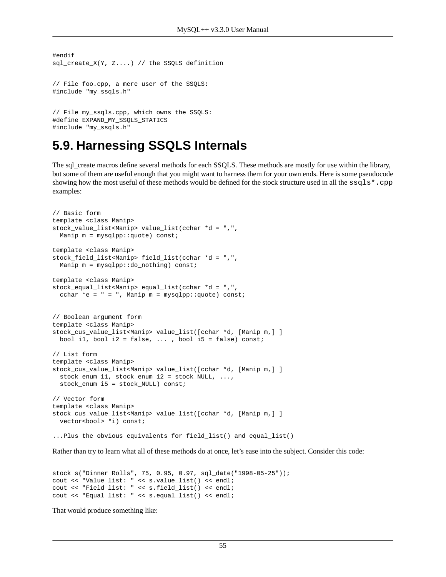```
#endif
sql_create_X(Y, Z....) // the SSQLS definition
// File foo.cpp, a mere user of the SSQLS:
#include "my_ssqls.h"
```

```
// File my_ssqls.cpp, which owns the SSQLS:
#define EXPAND_MY_SSQLS_STATICS
#include "my_ssqls.h"
```
#### **5.9. Harnessing SSQLS Internals**

The sql\_create macros define several methods for each SSQLS. These methods are mostly for use within the library, but some of them are useful enough that you might want to harness them for your own ends. Here is some pseudocode showing how the most useful of these methods would be defined for the stock structure used in all the  $ssqls*$ .cpp examples:

```
// Basic form
template <class Manip> 
stock_value_list<Manip> value_list(cchar *d = ",",
  Manip m = mysqlpp::quote) const; 
template <class Manip> 
stock field list<Manip> field list(cchar *d = ",",
 Manip m = mysq1pp::do\_nothing) const;
template <class Manip> 
stock_equal_list<Manip> equal_list(cchar *d = ",",
  cchar *e = " = ", Manip m = mysqlpp::quote) const;
// Boolean argument form
template <class Manip>
stock_cus_value_list<Manip> value_list([cchar *d, [Manip m,] ] 
 bool i1, bool i2 = false, \ldots, bool i5 = false) const;
// List form 
template <class Manip>
stock_cus_value_list<Manip> value_list([cchar *d, [Manip m,] ] 
  stock_enum i1, stock_enum i2 = stock_NULL, ...,
  stock_enum i5 = stock_NULL) const; 
// Vector form 
template <class Manip>
stock_cus_value_list<Manip> value_list([cchar *d, [Manip m,] ] 
 vector<bool> *i) const;
...Plus the obvious equivalents for field_list() and equal_list()
```
Rather than try to learn what all of these methods do at once, let's ease into the subject. Consider this code:

```
stock s("Dinner Rolls", 75, 0.95, 0.97, sql_date("1998-05-25")); 
cout << "Value list: " << s.value_list() << endl; 
cout << "Field list: " << s.field_list() << endl; 
cout << "Equal list: " << s.equal_list() << endl;
```
That would produce something like: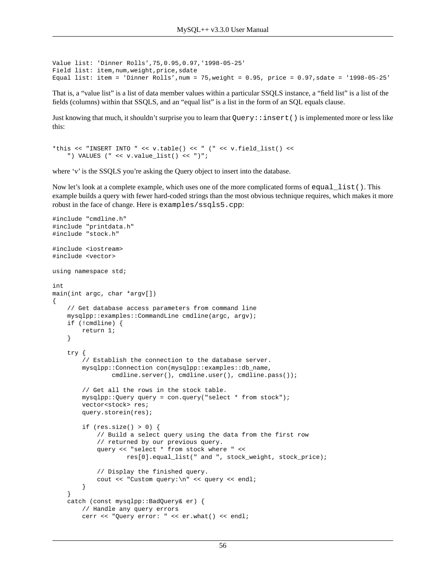```
Value list: 'Dinner Rolls',75,0.95,0.97,'1998-05-25' 
Field list: item,num,weight,price,sdate 
Equal list: item = 'Dinner Rolls', num = 75, weight = 0.95, price = 0.97, sdate = '1998-05-25'
```
That is, a "value list" is a list of data member values within a particular SSQLS instance, a "field list" is a list of the fields (columns) within that SSQLS, and an "equal list" is a list in the form of an SQL equals clause.

Just knowing that much, it shouldn't surprise you to learn that Query: : insert() is implemented more or less like this:

```
*this << "INSERT INTO " << v.table() << " (" << v.field_list() <<
     ") VALUES (" << v.value_list() << ")";
```
where 'v' is the SSQLS you're asking the Query object to insert into the database.

Now let's look at a complete example, which uses one of the more complicated forms of equal list (). This example builds a query with fewer hard-coded strings than the most obvious technique requires, which makes it more robust in the face of change. Here is examples/ssqls5.cpp:

```
#include "cmdline.h"
#include "printdata.h"
#include "stock.h"
#include <iostream>
#include <vector>
using namespace std;
int
main(int argc, char *argv[])
{
     // Get database access parameters from command line
     mysqlpp::examples::CommandLine cmdline(argc, argv);
     if (!cmdline) {
         return 1;
     }
     try {
         // Establish the connection to the database server.
         mysqlpp::Connection con(mysqlpp::examples::db_name,
                 cmdline.server(), cmdline.user(), cmdline.pass());
         // Get all the rows in the stock table.
         mysqlpp::Query query = con.query("select * from stock");
        vector<stock> res;
         query.storein(res);
         if (res.size() > 0) {
             // Build a select query using the data from the first row
             // returned by our previous query.
             query << "select * from stock where " <<
                     res[0].equal_list(" and ", stock_weight, stock_price);
             // Display the finished query.
             cout << "Custom query:\n" << query << endl;
         }
     }
     catch (const mysqlpp::BadQuery& er) {
         // Handle any query errors
         cerr << "Query error: " << er.what() << endl;
```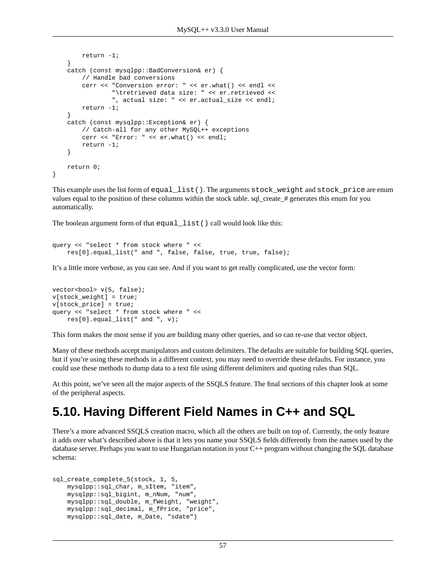```
 return -1;
     }
     catch (const mysqlpp::BadConversion& er) {
         // Handle bad conversions
         cerr << "Conversion error: " << er.what() << endl <<
                  "\tretrieved data size: " << er.retrieved <<
                  ", actual size: " << er.actual_size << endl;
         return -1;
     }
     catch (const mysqlpp::Exception& er) {
         // Catch-all for any other MySQL++ exceptions
         cerr << "Error: " << er.what() << endl;
         return -1;
     }
     return 0;
}
```
This example uses the list form of equal\_list(). The arguments stock\_weight and stock\_price are enum values equal to the position of these columns within the stock table. sql\_create\_# generates this enum for you automatically.

The boolean argument form of that equal\_list() call would look like this:

```
query << "select * from stock where " <<
     res[0].equal_list(" and ", false, false, true, true, false);
```
It's a little more verbose, as you can see. And if you want to get really complicated, use the vector form:

```
vector<br/>bool> v(5, false);
v[stock_weight] = true;
v[stock_price] = true;
query << "select * from stock where " <<
     res[0].equal_list(" and ", v);
```
This form makes the most sense if you are building many other queries, and so can re-use that vector object.

Many of these methods accept manipulators and custom delimiters. The defaults are suitable for building SQL queries, but if you're using these methods in a different context, you may need to override these defaults. For instance, you could use these methods to dump data to a text file using different delimiters and quoting rules than SQL.

At this point, we've seen all the major aspects of the SSQLS feature. The final sections of this chapter look at some of the peripheral aspects.

#### **5.10. Having Different Field Names in C++ and SQL**

There's a more advanced SSQLS creation macro, which all the others are built on top of. Currently, the only feature it adds over what's described above is that it lets you name your SSQLS fields differently from the names used by the database server. Perhaps you want to use Hungarian notation in your C++ program without changing the SQL database schema:

```
sql_create_complete_5(stock, 1, 5, 
     mysqlpp::sql_char, m_sItem, "item",
     mysqlpp::sql_bigint, m_nNum, "num",
     mysqlpp::sql_double, m_fWeight, "weight",
     mysqlpp::sql_decimal, m_fPrice, "price",
     mysqlpp::sql_date, m_Date, "sdate")
```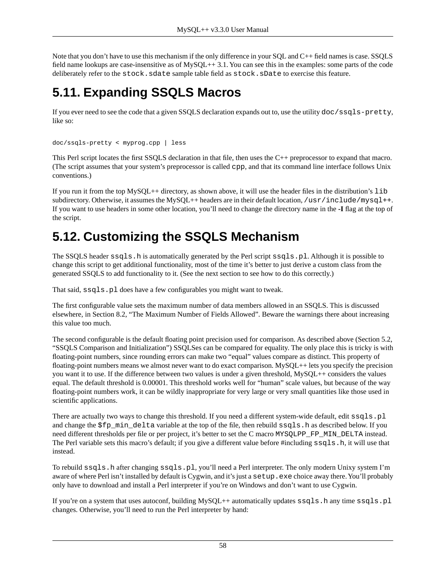Note that you don't have to use this mechanism if the only difference in your SQL and C++ field names is case. SSQLS field name lookups are case-insensitive as of MySQL++ 3.1. You can see this in the examples: some parts of the code deliberately refer to the stock.sdate sample table field as stock.sDate to exercise this feature.

# **5.11. Expanding SSQLS Macros**

If you ever need to see the code that a given SSQLS declaration expands out to, use the utility doc/ssqls-pretty, like so:

```
doc/ssqls-pretty < myprog.cpp | less
```
This Perl script locates the first SSQLS declaration in that file, then uses the C++ preprocessor to expand that macro. (The script assumes that your system's preprocessor is called cpp, and that its command line interface follows Unix conventions.)

If you run it from the top MySQL++ directory, as shown above, it will use the header files in the distribution's lib subdirectory. Otherwise, it assumes the MySQL++ headers are in their default location, /usr/include/mysql++. If you want to use headers in some other location, you'll need to change the directory name in the **-I** flag at the top of the script.

# **5.12. Customizing the SSQLS Mechanism**

The SSQLS header ssqls.h is automatically generated by the Perl script ssqls.pl. Although it is possible to change this script to get additional functionality, most of the time it's better to just derive a custom class from the generated SSQLS to add functionality to it. (See the [next section](#page-58-0) to see how to do this correctly.)

That said, ssqls.pl does have a few configurables you might want to tweak.

The first configurable value sets the maximum number of data members allowed in an SSQLS. This is discussed elsewhere, in [Section 8.2, "The Maximum Number of Fields Allowed".](#page-72-0) Beware the warnings there about increasing this value too much.

The second configurable is the default floating point precision used for comparison. As described above [\(Section 5.2,](#page-42-0) ["SSQLS Comparison and Initialization"\)](#page-42-0) SSQLSes can be compared for equality. The only place this is tricky is with floating-point numbers, since rounding errors can make two "equal" values compare as distinct. This property of floating-point numbers means we almost never want to do exact comparison. MySQL++ lets you specify the precision you want it to use. If the difference between two values is under a given threshold, MySQL++ considers the values equal. The default threshold is 0.00001. This threshold works well for "human" scale values, but because of the way floating-point numbers work, it can be wildly inappropriate for very large or very small quantities like those used in scientific applications.

There are actually two ways to change this threshold. If you need a different system-wide default, edit  $ssqls.pl$ and change the  $$fp\_min$  delta variable at the top of the file, then rebuild ssqls.h as described below. If you need different thresholds per file or per project, it's better to set the C macro MYSQLPP\_FP\_MIN\_DELTA instead. The Perl variable sets this macro's default; if you give a different value before #including ssqls.h, it will use that instead.

To rebuild ssqls.h after changing ssqls.pl, you'll need a Perl interpreter. The only modern Unixy system I'm aware of where Perl isn't installed by default is Cygwin, and it's just a setup. exe choice away there. You'll probably only have to download and install a Perl interpreter if you're on Windows and don't want to use Cygwin.

If you're on a system that uses autoconf, building  $MySQL++$  automatically updates  $ssqls.h$  any time  $ssqls.pl$ changes. Otherwise, you'll need to run the Perl interpreter by hand: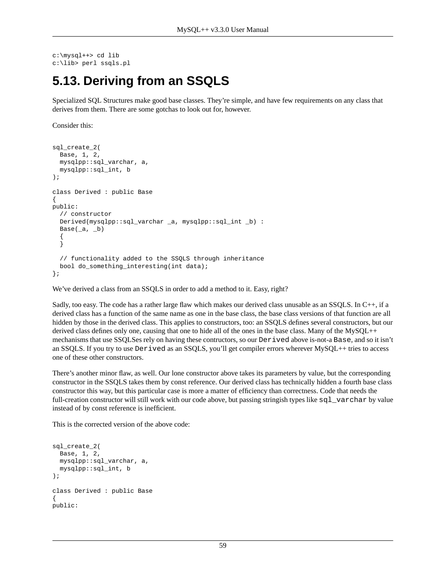```
c:\mysql++> cd lib
c:\lib> perl ssqls.pl
```
## <span id="page-58-0"></span>**5.13. Deriving from an SSQLS**

Specialized SQL Structures make good base classes. They're simple, and have few requirements on any class that derives from them. There are some gotchas to look out for, however.

Consider this:

```
sql_create_2(
  Base, 1, 2,
  mysqlpp::sql_varchar, a,
  mysqlpp::sql_int, b
);
class Derived : public Base
{
public:
   // constructor
   Derived(mysqlpp::sql_varchar _a, mysqlpp::sql_int _b) :
  Base(\_a, \_b) {
   }
   // functionality added to the SSQLS through inheritance
  bool do_something_interesting(int data);
};
```
We've derived a class from an SSQLS in order to add a method to it. Easy, right?

Sadly, too easy. The code has a rather large flaw which makes our derived class unusable as an SSQLS. In C++, if a derived class has a function of the same name as one in the base class, the base class versions of that function are all hidden by those in the derived class. This applies to constructors, too: an SSQLS defines several constructors, but our derived class defines only one, causing that one to hide all of the ones in the base class. Many of the MySQL++ mechanisms that use SSQLSes rely on having these contructors, so our Derived above is-not-a Base, and so it isn't an SSQLS. If you try to use Derived as an SSQLS, you'll get compiler errors wherever MySQL++ tries to access one of these other constructors.

There's another minor flaw, as well. Our lone constructor above takes its parameters by value, but the corresponding constructor in the SSQLS takes them by const reference. Our derived class has technically hidden a fourth base class constructor this way, but this particular case is more a matter of efficiency than correctness. Code that needs the full-creation constructor will still work with our code above, but passing stringish types like  $sq_l$  varchar by value instead of by const reference is inefficient.

This is the corrected version of the above code:

```
sql_create_2(
  Base, 1, 2,
  mysqlpp::sql_varchar, a,
   mysqlpp::sql_int, b
);
class Derived : public Base
{
public:
```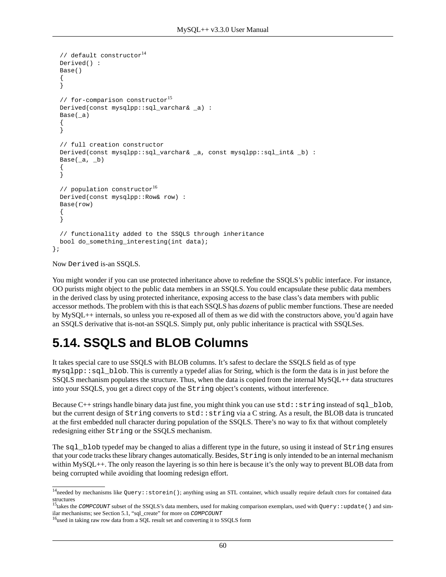```
// default constructor14 Derived() :
   Base()
   {
   }
  // for-comparison constructor<sup>15</sup>
   Derived(const mysqlpp::sql_varchar& _a) :
   Base(_a)
 {
 }
   // full creation constructor
   Derived(const mysqlpp::sql_varchar& _a, const mysqlpp::sql_int& _b) :
  Base(a, b) {
 }
  // population constructor16 Derived(const mysqlpp::Row& row) :
   Base(row)
 {
   }
   // functionality added to the SSQLS through inheritance
  bool do_something_interesting(int data);
};
```
Now Derived is-an SSQLS.

You might wonder if you can use protected inheritance above to redefine the SSQLS's public interface. For instance, OO purists might object to the public data members in an SSQLS. You could encapsulate these public data members in the derived class by using protected inheritance, exposing access to the base class's data members with public accessor methods. The problem with this is that each SSQLS has *dozens* of public member functions. These are needed by MySQL++ internals, so unless you re-exposed all of them as we did with the constructors above, you'd again have an SSQLS derivative that is-not-an SSQLS. Simply put, only public inheritance is practical with SSQLSes.

### **5.14. SSQLS and BLOB Columns**

It takes special care to use SSQLS with BLOB columns. It's safest to declare the SSQLS field as of type mysqlpp::sql\_blob. This is currently a typedef alias for String, which is the form the data is in just before the SSQLS mechanism populates the structure. Thus, when the data is copied from the internal MySQL++ data structures into your SSQLS, you get a direct copy of the String object's contents, without interference.

Because C++ strings handle binary data just fine, you might think you can use  $\text{std}$ : string instead of sql\_blob, but the current design of  $String$  converts to  $std$ : string via a C string. As a result, the BLOB data is truncated at the first embedded null character during population of the SSQLS. There's no way to fix that without completely redesigning either String or the SSQLS mechanism.

The sql\_blob typedef may be changed to alias a different type in the future, so using it instead of String ensures that your code tracks these library changes automatically. Besides, String is only intended to be an internal mechanism within MySQL++. The only reason the layering is so thin here is because it's the only way to prevent BLOB data from being corrupted while avoiding that looming redesign effort.

 $^{14}$ needed by mechanisms like Query::storein(); anything using an STL container, which usually require default ctors for contained data structures

<sup>&</sup>lt;sup>15</sup>takes the *COMPCOUNT* subset of the SSOLS's data members, used for making comparison exemplars, used with  $Query:$  update() and similar mechanisms; see [Section 5.1, "sql\\_create"](#page-41-0) for more on *COMPCOUNT*

<sup>&</sup>lt;sup>16</sup>used in taking raw row data from a SQL result set and converting it to SSQLS form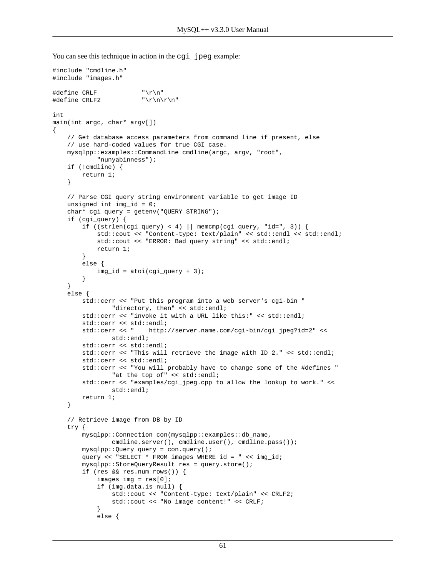```
You can see this technique in action in the cgi_jpeg example:
```

```
#include "cmdline.h"
#include "images.h"
#define CRLF "\r\n'\n''\#define \ CRLF2 "\r\n\r\n"
int
main(int argc, char* argv[])
{
     // Get database access parameters from command line if present, else
     // use hard-coded values for true CGI case.
     mysqlpp::examples::CommandLine cmdline(argc, argv, "root",
             "nunyabinness");
     if (!cmdline) {
         return 1;
     }
     // Parse CGI query string environment variable to get image ID
     unsigned int img_id = 0;
     char* cgi_query = getenv("QUERY_STRING");
     if (cgi_query) {
        if ((\text{strlen}(\text{cgi\_query}) < 4) || \text{memcmp}(\text{cgi\_query}, \text{ "id=", 3})) std::cout << "Content-type: text/plain" << std::endl << std::endl;
             std::cout << "ERROR: Bad query string" << std::endl;
             return 1;
         }
         else {
            img_id = atoi(cgi_query + 3); }
     }
     else {
         std::cerr << "Put this program into a web server's cgi-bin "
                 "directory, then" << std::endl;
         std::cerr << "invoke it with a URL like this:" << std::endl;
         std::cerr << std::endl;
         std::cerr << " http://server.name.com/cgi-bin/cgi_jpeg?id=2" <<
                 std::endl;
         std::cerr << std::endl;
        std::cerr << "This will retrieve the image with ID 2." << std::endl;
         std::cerr << std::endl;
         std::cerr << "You will probably have to change some of the #defines "
                "at the top of" << std::endl;
         std::cerr << "examples/cgi_jpeg.cpp to allow the lookup to work." <<
                 std::endl;
         return 1;
     }
     // Retrieve image from DB by ID
     try {
         mysqlpp::Connection con(mysqlpp::examples::db_name,
                cmdline.server(), cmdline.user(), cmdline.pass());
         mysqlpp::Query query = con.query();
         query << "SELECT * FROM images WHERE id = " << img_id;
         mysqlpp::StoreQueryResult res = query.store();
         if (res && res.num_rows()) {
            images img = res[0];
             if (img.data.is_null) {
                 std::cout << "Content-type: text/plain" << CRLF2;
                 std::cout << "No image content!" << CRLF;
 }
             else {
```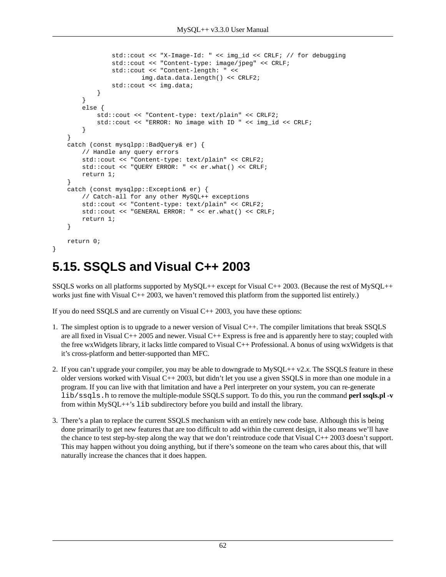```
 std::cout << "X-Image-Id: " << img_id << CRLF; // for debugging
                 std::cout << "Content-type: image/jpeg" << CRLF;
                 std::cout << "Content-length: " <<
                         img.data.data.length() << CRLF2;
                 std::cout << img.data;
 }
 }
        else {
             std::cout << "Content-type: text/plain" << CRLF2;
             std::cout << "ERROR: No image with ID " << img_id << CRLF;
 }
    }
    catch (const mysqlpp::BadQuery& er) {
        // Handle any query errors
        std::cout << "Content-type: text/plain" << CRLF2;
        std::cout << "QUERY ERROR: " << er.what() << CRLF;
        return 1;
    }
    catch (const mysqlpp::Exception& er) {
        // Catch-all for any other MySQL++ exceptions
        std::cout << "Content-type: text/plain" << CRLF2;
        std::cout << "GENERAL ERROR: " << er.what() << CRLF;
        return 1;
    }
    return 0;
```
# **5.15. SSQLS and Visual C++ 2003**

}

SSQLS works on all platforms supported by MySQL++ except for Visual C++ 2003. (Because the rest of MySQL++ works just fine with Visual C++ 2003, we haven't removed this platform from the supported list entirely.)

If you do need SSQLS and are currently on Visual C++ 2003, you have these options:

- 1. The simplest option is to upgrade to a newer version of Visual C++. The compiler limitations that break SSQLS are all fixed in Visual C++ 2005 and newer. Visual C++ Express is free and is apparently here to stay; coupled with the free wxWidgets library, it lacks little compared to Visual C++ Professional. A bonus of using wxWidgets is that it's cross-platform and better-supported than MFC.
- 2. If you can't upgrade your compiler, you may be able to downgrade to MySQL++ v2.x. The SSQLS feature in these older versions worked with Visual C++ 2003, but didn't let you use a given SSQLS in more than one module in a program. If you can live with that limitation and have a Perl interpreter on your system, you can re-generate lib/ssqls.h to remove the multiple-module SSQLS support. To do this, you run the command **perl ssqls.pl -v** from within MySQL++'s lib subdirectory before you build and install the library.
- 3. There's a plan to replace the current SSQLS mechanism with an entirely new code base. Although this is being done primarily to get new features that are too difficult to add within the current design, it also means we'll have the chance to test step-by-step along the way that we don't reintroduce code that Visual  $C_{++}$  2003 doesn't support. This may happen without you doing anything, but if there's someone on the team who cares about this, that will naturally increase the chances that it does happen.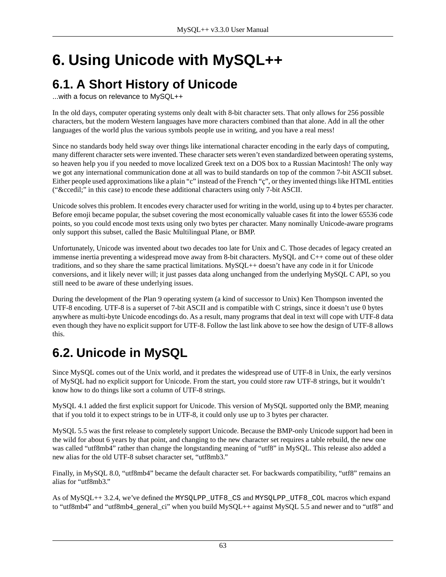# **6. Using Unicode with MySQL++**

# **6.1. A Short History of Unicode**

...with a focus on relevance to MySQL++

In the old days, computer operating systems only dealt with 8-bit character sets. That only allows for 256 possible characters, but the modern Western languages have more characters combined than that alone. Add in all the other languages of the world plus the various symbols people use in writing, and you have a real mess!

Since no standards body held sway over things like international character encoding in the early days of computing, many different character sets were invented. These character sets weren't even standardized between operating systems, so heaven help you if you needed to move localized Greek text on a DOS box to a Russian Macintosh! The only way we got any international communication done at all was to build standards on top of the common 7-bit ASCII subset. Either people used approximations like a plain "c" instead of the French "ç", or they invented things like HTML entities ("ç" in this case) to encode these additional characters using only 7-bit ASCII.

Unicode solves this problem. It encodes every character used for writing in the world, using up to 4 bytes per character. Before emoji became popular, the subset covering the most economically valuable cases fit into the lower 65536 code points, so you could encode most texts using only two bytes per character. Many nominally Unicode-aware programs only support this subset, called the Basic Multilingual Plane, or BMP.

Unfortunately, Unicode was invented about two decades too late for Unix and C. Those decades of legacy created an immense inertia preventing a widespread move away from 8-bit characters. MySQL and C++ come out of these older traditions, and so they share the same practical limitations. MySQL++ doesn't have any code in it for Unicode conversions, and it likely never will; it just passes data along unchanged from the underlying MySQL C API, so you still need to be aware of these underlying issues.

During the development of the Plan 9 operating system (a kind of successor to Unix) Ken Thompson invented the UTF-8 encoding. UTF-8 is a superset of 7-bit ASCII and is compatible with C strings, since it doesn't use 0 bytes anywhere as multi-byte Unicode encodings do. As a result, many programs that deal in text will cope with UTF-8 data even though they have no explicit support for UTF-8. Follow the last link above to see how the design of UTF-8 allows this.

# **6.2. Unicode in MySQL**

Since MySQL comes out of the Unix world, and it predates the widespread use of UTF-8 in Unix, the early versinos of MySQL had no explicit support for Unicode. From the start, you could store raw UTF-8 strings, but it wouldn't know how to do things like sort a column of UTF-8 strings.

MySQL 4.1 added the first explicit support for Unicode. This version of MySQL supported only the BMP, meaning that if you told it to expect strings to be in UTF-8, it could only use up to 3 bytes per character.

MySQL 5.5 was the first release to completely support Unicode. Because the BMP-only Unicode support had been in the wild for about 6 years by that point, and changing to the new character set requires a table rebuild, the new one was called "utf8mb4" rather than change the longstanding meaning of "utf8" in MySQL. This release also added a new alias for the old UTF-8 subset character set, "utf8mb3."

Finally, in MySQL 8.0, "utf8mb4" became the default character set. For backwards compatibility, "utf8" remains an alias for "utf8mb3."

As of MySQL++ 3.2.4, we've defined the MYSQLPP\_UTF8\_CS and MYSQLPP\_UTF8\_COL macros which expand to "utf8mb4" and "utf8mb4\_general\_ci" when you build MySQL++ against MySQL 5.5 and newer and to "utf8" and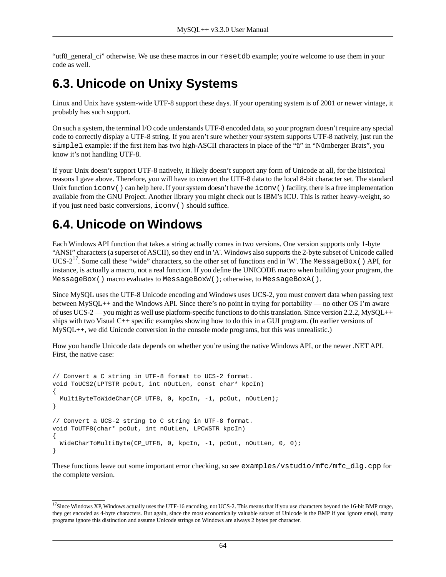"utf8\_general\_ci" otherwise. We use these macros in our resetdb example; you're welcome to use them in your code as well.

## **6.3. Unicode on Unixy Systems**

Linux and Unix have system-wide UTF-8 support these days. If your operating system is of 2001 or newer vintage, it probably has such support.

On such a system, the terminal I/O code understands UTF-8 encoded data, so your program doesn't require any special code to correctly display a UTF-8 string. If you aren't sure whether your system supports UTF-8 natively, just run the simple1 example: if the first item has two high-ASCII characters in place of the "ü" in "Nürnberger Brats", you know it's not handling UTF-8.

If your Unix doesn't support UTF-8 natively, it likely doesn't support any form of Unicode at all, for the historical reasons I gave above. Therefore, you will have to convert the UTF-8 data to the local 8-bit character set. The standard Unix function  $i$  conv() can help here. If your system doesn't have the  $i$  conv() facility, there is a free implementation available from the GNU Project. Another library you might check out is IBM's ICU. This is rather heavy-weight, so if you just need basic conversions, iconv() should suffice.

## **6.4. Unicode on Windows**

Each Windows API function that takes a string actually comes in two versions. One version supports only 1-byte "ANSI" characters (a superset of ASCII), so they end in 'A'. Windows also supports the 2-byte subset of Unicode called UCS- $2^{17}$ . Some call these "wide" characters, so the other set of functions end in 'W'. The MessageBox() API, for instance, is actually a macro, not a real function. If you define the UNICODE macro when building your program, the MessageBox() macro evaluates to MessageBoxW(); otherwise, to MessageBoxA().

Since MySQL uses the UTF-8 Unicode encoding and Windows uses UCS-2, you must convert data when passing text between MySQL++ and the Windows API. Since there's no point in trying for portability — no other OS I'm aware of uses UCS-2 — you might as well use platform-specific functions to do this translation. Since version 2.2.2, MySQL++ ships with two Visual C++ specific examples showing how to do this in a GUI program. (In earlier versions of MySQL++, we did Unicode conversion in the console mode programs, but this was unrealistic.)

How you handle Unicode data depends on whether you're using the native Windows API, or the newer .NET API. First, the native case:

```
// Convert a C string in UTF-8 format to UCS-2 format.
void ToUCS2(LPTSTR pcOut, int nOutLen, const char* kpcIn)
{
 MultiByteToWideChar(CP_UTF8, 0, kpcIn, -1, pcOut, nOutLen);
}
// Convert a UCS-2 string to C string in UTF-8 format.
void ToUTF8(char* pcOut, int nOutLen, LPCWSTR kpcIn)
{
  WideCharToMultiByte(CP_UTF8, 0, kpcIn, -1, pcOut, nOutLen, 0, 0);
}
```
These functions leave out some important error checking, so see examples/vstudio/mfc/mfc dlg.cpp for the complete version.

 $17$ Since Windows XP, Windows actually uses the UTF-16 encoding, not UCS-2. This means that if you use characters beyond the 16-bit BMP range, they get encoded as 4-byte characters. But again, since the most economically valuable subset of Unicode is the BMP if you ignore emoji, many programs ignore this distinction and assume Unicode strings on Windows are always 2 bytes per character.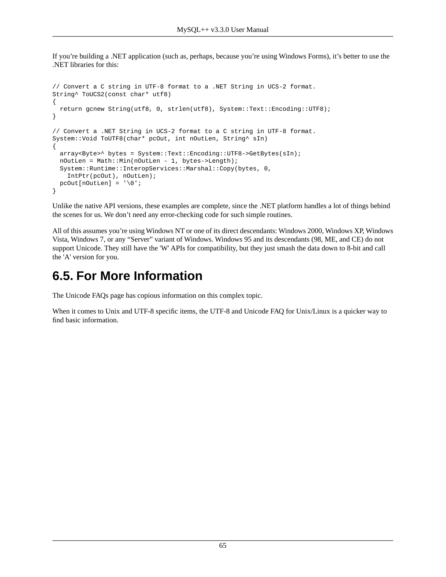If you're building a .NET application (such as, perhaps, because you're using Windows Forms), it's better to use the .NET libraries for this:

```
// Convert a C string in UTF-8 format to a .NET String in UCS-2 format.
String^ ToUCS2(const char* utf8)
{
  return gcnew String(utf8, 0, strlen(utf8), System::Text::Encoding::UTF8);
}
// Convert a .NET String in UCS-2 format to a C string in UTF-8 format.
System::Void ToUTF8(char* pcOut, int nOutLen, String^ sIn)
{
  array<Byte>^ bytes = System::Text::Encoding::UTF8->GetBytes(sIn);
  nOutLen = Math::Min(nOutLen - 1, bytes->Length);
  System::Runtime::InteropServices::Marshal::Copy(bytes, 0,
     IntPtr(pcOut), nOutLen);
 pcOut[noutLen] = '\\0';}
```
Unlike the native API versions, these examples are complete, since the .NET platform handles a lot of things behind the scenes for us. We don't need any error-checking code for such simple routines.

All of this assumes you're using Windows NT or one of its direct descendants: Windows 2000, Windows XP, Windows Vista, Windows 7, or any "Server" variant of Windows. Windows 95 and its descendants (98, ME, and CE) do not support Unicode. They still have the 'W' APIs for compatibility, but they just smash the data down to 8-bit and call the 'A' version for you.

### **6.5. For More Information**

The Unicode FAQs page has copious information on this complex topic.

When it comes to Unix and UTF-8 specific items, the UTF-8 and Unicode FAQ for Unix/Linux is a quicker way to find basic information.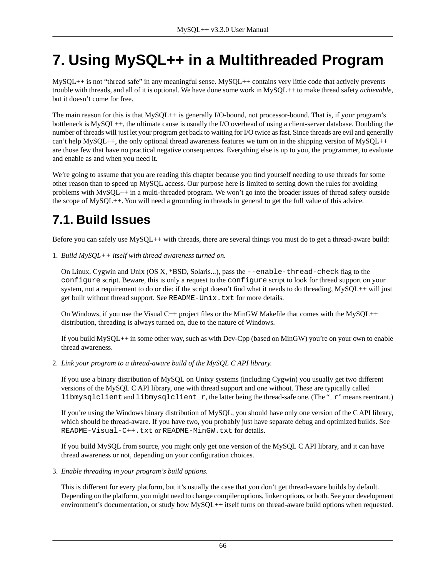# **7. Using MySQL++ in a Multithreaded Program**

MySQL++ is not "thread safe" in any meaningful sense. MySQL++ contains very little code that actively prevents trouble with threads, and all of it is optional. We have done some work in MySQL++ to make thread safety *achievable*, but it doesn't come for free.

The main reason for this is that MySQL++ is generally I/O-bound, not processor-bound. That is, if your program's bottleneck is MySQL++, the ultimate cause is usually the I/O overhead of using a client-server database. Doubling the number of threads will just let your program get back to waiting for I/O twice as fast. Since threads are evil and generally can't help MySQL++, the only optional thread awareness features we turn on in the shipping version of MySQL++ are those few that have no practical negative consequences. Everything else is up to you, the programmer, to evaluate and enable as and when you need it.

We're going to assume that you are reading this chapter because you find yourself needing to use threads for some other reason than to speed up MySQL access. Our purpose here is limited to setting down the rules for avoiding problems with MySQL++ in a multi-threaded program. We won't go into the broader issues of thread safety outside the scope of MySQL++. You will need a grounding in threads in general to get the full value of this advice.

# **7.1. Build Issues**

Before you can safely use MySQL++ with threads, there are several things you must do to get a thread-aware build:

1. *Build MySQL++ itself with thread awareness turned on.*

On Linux, Cygwin and Unix (OS X, \*BSD, Solaris...), pass the --enable-thread-check flag to the configure script. Beware, this is only a request to the configure script to look for thread support on your system, not a requirement to do or die: if the script doesn't find what it needs to do threading, MySQL++ will just get built without thread support. See README-Unix.txt for more details.

On Windows, if you use the Visual C++ project files or the MinGW Makefile that comes with the MySQL++ distribution, threading is always turned on, due to the nature of Windows.

If you build MySQL++ in some other way, such as with Dev-Cpp (based on MinGW) you're on your own to enable thread awareness.

2. *Link your program to a thread-aware build of the MySQL C API library.*

If you use a binary distribution of MySQL on Unixy systems (including Cygwin) you usually get two different versions of the MySQL C API library, one with thread support and one without. These are typically called libmysqlclient and libmysqlclient\_r, the latter being the thread-safe one. (The "\_r" means reentrant.)

If you're using the Windows binary distribution of MySQL, you should have only one version of the C API library, which should be thread-aware. If you have two, you probably just have separate debug and optimized builds. See README-Visual-C++.txt or README-MinGW.txt for details.

If you build MySQL from source, you might only get one version of the MySQL C API library, and it can have thread awareness or not, depending on your configuration choices.

3. *Enable threading in your program's build options.*

This is different for every platform, but it's usually the case that you don't get thread-aware builds by default. Depending on the platform, you might need to change compiler options, linker options, or both. See your development environment's documentation, or study how MySQL++ itself turns on thread-aware build options when requested.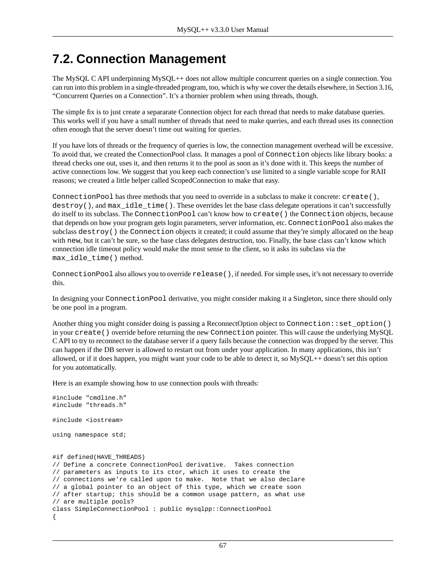## **7.2. Connection Management**

The MySQL C API underpinning MySQL++ does not allow multiple concurrent queries on a single connection. You can run into this problem in a single-threaded program, too, which is why we cover the details elsewhere, in [Section 3.16,](#page-34-0) ["Concurrent Queries on a Connection".](#page-34-0) It's a thornier problem when using threads, though.

The simple fix is to just create a separarate Connection object for each thread that needs to make database queries. This works well if you have a small number of threads that need to make queries, and each thread uses its connection often enough that the server doesn't [time out](#page-33-0) waiting for queries.

If you have lots of threads or the frequency of queries is low, the connection management overhead will be excessive. To avoid that, we created the ConnectionPool class. It manages a pool of Connection objects like library books: a thread checks one out, uses it, and then returns it to the pool as soon as it's done with it. This keeps the number of active connections low. We suggest that you keep each connection's use limited to a single variable scope for RAII reasons; we created a little helper called ScopedConnection to make that easy.

ConnectionPool has three methods that you need to override in a subclass to make it concrete: create(), destroy(), and max\_idle\_time(). These overrides let the base class delegate operations it can't successfully do itself to its subclass. The ConnectionPool can't know how to create() the Connection objects, because that depends on how your program gets login parameters, server information, etc. ConnectionPool also makes the subclass destroy() the Connection objects it created; it could assume that they're simply allocated on the heap with new, but it can't be sure, so the base class delegates destruction, too. Finally, the base class can't know which connection idle timeout policy would make the most sense to the client, so it asks its subclass via the max idle time() method.

ConnectionPool also allows you to override release(), if needed. For simple uses, it's not necessary to override this.

In designing your ConnectionPool derivative, you might consider making it a Singleton, since there should only be one pool in a program.

Another thing you might consider doing is passing a ReconnectOption object to Connection::set\_option() in your create() override before returning the new Connection pointer. This will cause the underlying MySQL C API to try to reconnect to the database server if a query fails because the connection was dropped by the server. This can happen if the DB server is allowed to restart out from under your application. In many applications, this isn't allowed, or if it does happen, you might want your code to be able to detect it, so MySQL++ doesn't set this option for you automatically.

Here is an example showing how to use connection pools with threads:

```
#include "cmdline.h"
#include "threads.h"
#include <iostream>
using namespace std;
#if defined(HAVE_THREADS)
// Define a concrete ConnectionPool derivative. Takes connection
// parameters as inputs to its ctor, which it uses to create the
// connections we're called upon to make. Note that we also declare
// a global pointer to an object of this type, which we create soon
// after startup; this should be a common usage pattern, as what use
// are multiple pools?
class SimpleConnectionPool : public mysqlpp::ConnectionPool
{
```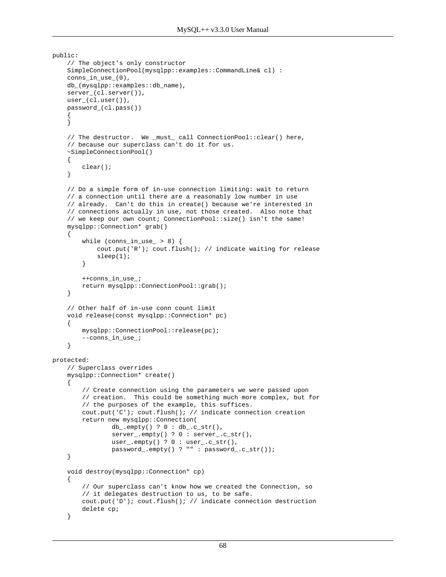```
public:
     // The object's only constructor
     SimpleConnectionPool(mysqlpp::examples::CommandLine& cl) :
     conns_in_use_(0),
     db_(mysqlpp::examples::db_name),
     server_(cl.server()),
     user_(cl.user()),
     password_(cl.pass())
\left\{\begin{array}{ccc} \end{array}\right\} }
     // The destructor. We _must_ call ConnectionPool::clear() here,
     // because our superclass can't do it for us.
     ~SimpleConnectionPool()
     {
         clear();
     }
     // Do a simple form of in-use connection limiting: wait to return
     // a connection until there are a reasonably low number in use
     // already. Can't do this in create() because we're interested in
     // connections actually in use, not those created. Also note that
     // we keep our own count; ConnectionPool::size() isn't the same!
     mysqlpp::Connection* grab()
     {
        while (cons_in_user > 8) {
              cout.put('R'); cout.flush(); // indicate waiting for release
              sleep(1);
         }
         ++conns_in_use_;
         return mysqlpp::ConnectionPool::grab();
     }
     // Other half of in-use conn count limit
     void release(const mysqlpp::Connection* pc)
     {
         mysqlpp::ConnectionPool::release(pc);
         --conns_in_use_;
     }
protected:
     // Superclass overrides
     mysqlpp::Connection* create()
     {
         // Create connection using the parameters we were passed upon
         // creation. This could be something much more complex, but for
         // the purposes of the example, this suffices.
         cout.put('C'); cout.flush(); // indicate connection creation
         return new mysqlpp::Connection(
                 db_.empty() ? 0 : db<sub>_.</sub>c_str(),
                 server_.empty() ? 0 : server_.c_str(),
                 user_.empty() ? 0 : user_.c_str(),
                  password_.empty() ? "" : password_.c_str());
     }
     void destroy(mysqlpp::Connection* cp)
\left\{\begin{array}{ccc} \end{array}\right\} // Our superclass can't know how we created the Connection, so
         // it delegates destruction to us, to be safe.
         cout.put('D'); cout.flush(); // indicate connection destruction
         delete cp;
     }
```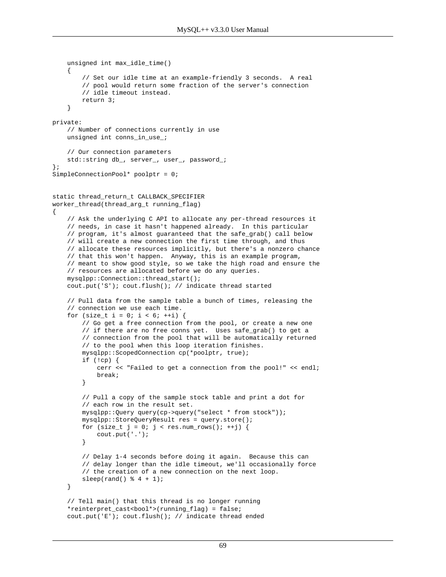```
 unsigned int max_idle_time()
\left\{\begin{array}{ccc} \end{array}\right\} // Set our idle time at an example-friendly 3 seconds. A real
         // pool would return some fraction of the server's connection
         // idle timeout instead.
         return 3;
     }
private:
     // Number of connections currently in use
     unsigned int conns_in_use_;
     // Our connection parameters
    std::string db_, server_, user_, password_;
};
SimpleConnectionPool* poolptr = 0;
static thread_return_t CALLBACK_SPECIFIER
worker_thread(thread_arg_t running_flag)
{
     // Ask the underlying C API to allocate any per-thread resources it
     // needs, in case it hasn't happened already. In this particular
     // program, it's almost guaranteed that the safe_grab() call below
     // will create a new connection the first time through, and thus
     // allocate these resources implicitly, but there's a nonzero chance
     // that this won't happen. Anyway, this is an example program,
     // meant to show good style, so we take the high road and ensure the
     // resources are allocated before we do any queries.
     mysqlpp::Connection::thread_start();
     cout.put('S'); cout.flush(); // indicate thread started
     // Pull data from the sample table a bunch of times, releasing the
     // connection we use each time.
    for (size_t i = 0; i < 6; ++i) {
         // Go get a free connection from the pool, or create a new one
         // if there are no free conns yet. Uses safe_grab() to get a
         // connection from the pool that will be automatically returned
         // to the pool when this loop iteration finishes.
         mysqlpp::ScopedConnection cp(*poolptr, true);
         if (!cp) {
             cerr << "Failed to get a connection from the pool!" << endl;
             break;
         }
         // Pull a copy of the sample stock table and print a dot for
         // each row in the result set.
         mysqlpp::Query query(cp->query("select * from stock"));
         mysqlpp::StoreQueryResult res = query.store();
        for (size_t j = 0; j < res.num_rows(); ++j) {
             cout.put('.');
         }
         // Delay 1-4 seconds before doing it again. Because this can
         // delay longer than the idle timeout, we'll occasionally force
         // the creation of a new connection on the next loop.
        sleep(rand() % 4 + 1); }
     // Tell main() that this thread is no longer running
     *reinterpret_cast<bool*>(running_flag) = false;
     cout.put('E'); cout.flush(); // indicate thread ended
```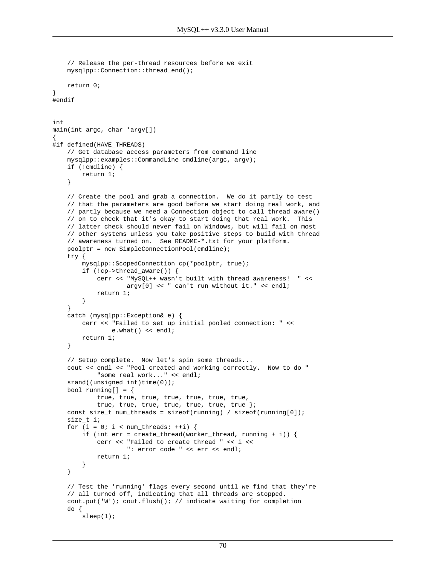```
 // Release the per-thread resources before we exit
     mysqlpp::Connection::thread_end();
    return 0;
}
#endif
int
main(int argc, char *argv[])
{
#if defined(HAVE_THREADS)
     // Get database access parameters from command line
     mysqlpp::examples::CommandLine cmdline(argc, argv);
     if (!cmdline) {
         return 1;
     }
     // Create the pool and grab a connection. We do it partly to test
     // that the parameters are good before we start doing real work, and
     // partly because we need a Connection object to call thread_aware()
     // on to check that it's okay to start doing that real work. This
     // latter check should never fail on Windows, but will fail on most
     // other systems unless you take positive steps to build with thread
     // awareness turned on. See README-*.txt for your platform.
     poolptr = new SimpleConnectionPool(cmdline);
     try {
         mysqlpp::ScopedConnection cp(*poolptr, true);
         if (!cp->thread_aware()) {
             cerr << "MySQL++ wasn't built with thread awareness! " <<
                     argv[0] << " can't run without it." << endl;
             return 1;
         }
 }
     catch (mysqlpp::Exception& e) {
         cerr << "Failed to set up initial pooled connection: " <<
                e.what() << endl;
         return 1;
     }
     // Setup complete. Now let's spin some threads...
     cout << endl << "Pool created and working correctly. Now to do "
             "some real work..." << endl;
    srand((unsigned int)time(0));bool running[] = \{ true, true, true, true, true, true, true,
             true, true, true, true, true, true, true };
     const size_t num_threads = sizeof(running) / sizeof(running[0]);
     size_t i;
    for (i = 0; i < num threads; ++i) {
        if (int err = create_thread(worker_thread, running + i)) {
             cerr << "Failed to create thread " << i <<
                     ": error code " << err << endl;
             return 1;
         }
     }
     // Test the 'running' flags every second until we find that they're
     // all turned off, indicating that all threads are stopped.
     cout.put('W'); cout.flush(); // indicate waiting for completion
     do {
         sleep(1);
```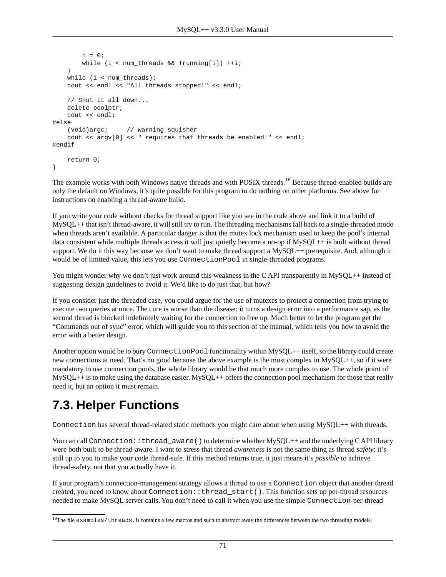```
i = 0; while (i < num_threads && !running[i]) ++i;
 }
   while (i < num threads);
    cout << endl << "All threads stopped!" << endl;
     // Shut it all down...
    delete poolptr;
    cout << endl;
#else
    (void)argc; // warning squisher
    cout << argv[0] << " requires that threads be enabled!" << endl;
#endif
    return 0;
}
```
The example works with both Windows native threads and with POSIX threads.<sup>18</sup> Because thread-enabled builds are only the default on Windows, it's quite possible for this program to do nothing on other platforms. See above for instructions on enabling a thread-aware build.

If you write your code without checks for thread support like you see in the code above and link it to a build of MySQL++ that isn't thread-aware, it will still try to run. The threading mechanisms fall back to a single-threaded mode when threads aren't available. A particular danger is that the mutex lock mechanism used to keep the pool's internal data consistent while multiple threads access it will just quietly become a no-op if MySQL++ is built without thread support. We do it this way because we don't want to make thread support a MySQL++ prerequisite. And, although it would be of limited value, this lets you use ConnectionPool in single-threaded programs.

You might wonder why we don't just work around this weakness in the C API transparently in MySQL++ instead of suggesting design guidelines to avoid it. We'd like to do just that, but how?

If you consider just the threaded case, you could argue for the use of mutexes to protect a connection from trying to execute two queries at once. The cure is worse than the disease: it turns a design error into a performance sap, as the second thread is blocked indefinitely waiting for the connection to free up. Much better to let the program get the "Commands out of sync" error, which will guide you to this section of the manual, which tells you how to avoid the error with a better design.

Another option would be to bury ConnectionPool functionality within MySQL++ itself, so the library could create new connections at need. That's no good because the above example is the most complex in MySQL++, so if it were mandatory to use connection pools, the whole library would be that much more complex to use. The whole point of  $MySOL++$  is to make using the database easier.  $MySOL++$  offers the connection pool mechanism for those that really need it, but an option it must remain.

# **7.3. Helper Functions**

Connection has several thread-related static methods you might care about when using MySQL++ with threads.

You can call Connection::thread\_aware() to determine whether MySQL++ and the underlying CAPI library were both built to be thread-aware. I want to stress that thread *awareness* is not the same thing as thread *safety*: it's still up to you to make your code thread-safe. If this method returns true, it just means it's *possible* to achieve thread-safety, not that you actually have it.

If your program's connection-management strategy allows a thread to use a Connection object that another thread created, you need to know about Connection::thread\_start(). This function sets up per-thread resources needed to make MySQL server calls. You don't need to call it when you use the simple Connection-per-thread

 $18$ The file examples/threads.h contains a few macros and such to abstract away the differences between the two threading models.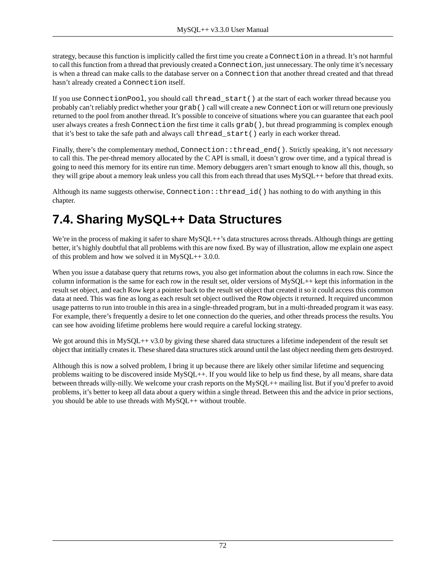strategy, because this function is implicitly called the first time you create a Connection in a thread. It's not harmful to call this function from a thread that previously created a Connection, just unnecessary. The only time it's necessary is when a thread can make calls to the database server on a Connection that another thread created and that thread hasn't already created a Connection itself.

If you use ConnectionPool, you should call thread\_start() at the start of each worker thread because you probably can't reliably predict whether your grab() call will create a new Connection or will return one previously returned to the pool from another thread. It's possible to conceive of situations where you can guarantee that each pool user always creates a fresh Connection the first time it calls grab(), but thread programming is complex enough that it's best to take the safe path and always call thread\_start() early in each worker thread.

Finally, there's the complementary method, Connection::thread\_end(). Strictly speaking, it's not *necessary* to call this. The per-thread memory allocated by the C API is small, it doesn't grow over time, and a typical thread is going to need this memory for its entire run time. Memory debuggers aren't smart enough to know all this, though, so they will gripe about a memory leak unless you call this from each thread that uses MySQL++ before that thread exits.

Although its name suggests otherwise, Connection::thread\_id() has nothing to do with anything in this chapter.

# **7.4. Sharing MySQL++ Data Structures**

We're in the process of making it safer to share MySQL++'s data structures across threads. Although things are getting better, it's highly doubtful that all problems with this are now fixed. By way of illustration, allow me explain one aspect of this problem and how we solved it in MySQL++ 3.0.0.

When you issue a database query that returns rows, you also get information about the columns in each row. Since the column information is the same for each row in the result set, older versions of MySQL++ kept this information in the result set object, and each Row kept a pointer back to the result set object that created it so it could access this common data at need. This was fine as long as each result set object outlived the Row objects it returned. It required uncommon usage patterns to run into trouble in this area in a single-threaded program, but in a multi-threaded program it was easy. For example, there's frequently a desire to let one connection do the queries, and other threads process the results. You can see how avoiding lifetime problems here would require a careful locking strategy.

We got around this in MySQL++ v3.0 by giving these shared data structures a lifetime independent of the result set object that intitially creates it. These shared data structures stick around until the last object needing them gets destroyed.

Although this is now a solved problem, I bring it up because there are likely other similar lifetime and sequencing problems waiting to be discovered inside MySQL++. If you would like to help us find these, by all means, share data between threads willy-nilly. We welcome your crash reports on the MySQL++ mailing list. But if you'd prefer to avoid problems, it's better to keep all data about a query within a single thread. Between this and the advice in prior sections, you should be able to use threads with MySQL++ without trouble.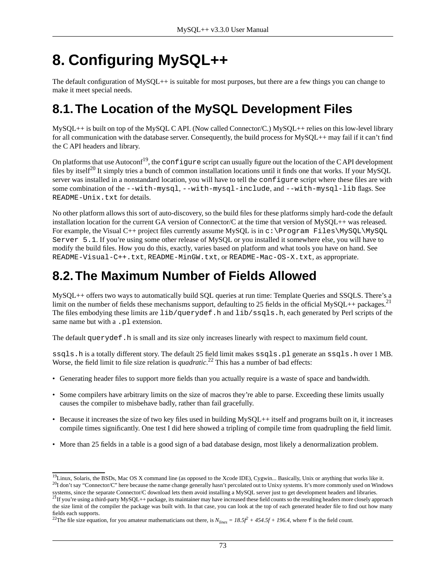# **8. Configuring MySQL++**

The default configuration of MySQL++ is suitable for most purposes, but there are a few things you can change to make it meet special needs.

## **8.1.The Location of the MySQL Development Files**

MySQL++ is built on top of the MySQL C API. (Now called Connector/C.) MySQL++ relies on this low-level library for all communication with the database server. Consequently, the build process for MySQL++ may fail if it can't find the C API headers and library.

On platforms that use Autoconf<sup>19</sup>, the configure script can usually figure out the location of the CAPI development files by itself<sup>20</sup> It simply tries a bunch of common installation locations until it finds one that works. If your MySOL server was installed in a nonstandard location, you will have to tell the configure script where these files are with some combination of the --with-mysql, --with-mysql-include, and --with-mysql-lib flags. See README-Unix.txt for details.

No other platform allows this sort of auto-discovery, so the build files for these platforms simply hard-code the default installation location for the current GA version of Connector/C at the time that version of MySQL++ was released. For example, the Visual C++ project files currently assume MySQL is in  $c:\Perogram$  Files\MySQL\MySQL Server 5.1. If you're using some other release of MySQL or you installed it somewhere else, you will have to modify the build files. How you do this, exactly, varies based on platform and what tools you have on hand. See README-Visual-C++.txt, README-MinGW.txt, or README-Mac-OS-X.txt, as appropriate.

## **8.2.The Maximum Number of Fields Allowed**

MySQL++ offers two ways to automatically build SQL queries at run time: [Template Queries](#page-37-0) and [SSQLS](#page-41-0). There's a limit on the number of fields these mechanisms support, defaulting to 25 fields in the official MySQL++ packages.<sup>21</sup> The files embodying these limits are lib/querydef.h and lib/ssqls.h, each generated by Perl scripts of the same name but with a .pl extension.

The default querydef.h is small and its size only increases linearly with respect to maximum field count.

ssqls.h is a totally different story. The default 25 field limit makes ssqls.pl generate an ssqls.h over 1 MB. Worse, the field limit to file size relation is *quadratic*. <sup>22</sup> This has a number of bad effects:

- Generating header files to support more fields than you actually require is a waste of space and bandwidth.
- Some compilers have arbitrary limits on the size of macros they're able to parse. Exceeding these limits usually causes the compiler to misbehave badly, rather than fail gracefully.
- Because it increases the size of two key files used in building MySQL++ itself and programs built on it, it increases compile times significantly. One test I did here showed a tripling of compile time from quadrupling the field limit.
- More than 25 fields in a table is a good sign of a bad database design, most likely a denormalization problem.

<sup>&</sup>lt;sup>19</sup>Linux, Solaris, the BSDs, Mac OS X command line (as opposed to the Xcode IDE), Cygwin... Basically, Unix or anything that works like it. <sup>20</sup>I don't say "Connector/C" here because the name change generally hasn't percolated out to Unixy systems. It's more commonly used on Windows

systems, since the separate Connector/C download lets them avoid installing a MySQL server just to get development headers and libraries.<br><sup>21</sup> If you're using a third-party MySQL++ package, its maintainer may have increase

the size limit of the compiler the package was built with. In that case, you can look at the top of each generated header file to find out how many fields each supports.

<sup>&</sup>lt;sup>22</sup>The file size equation, for you amateur mathematicians out there, is  $N_{lines} = 18.5f^2 + 454.5f + 196.4$ , where f is the field count.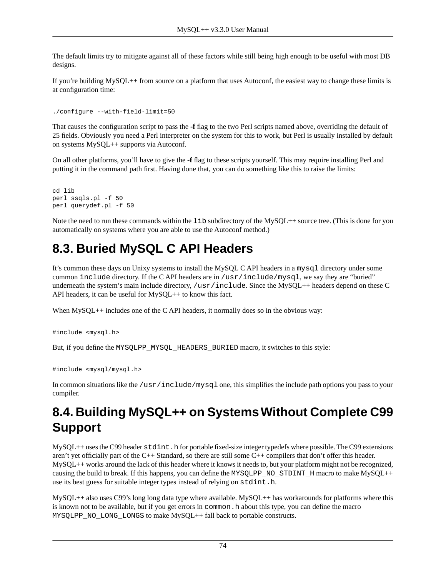The default limits try to mitigate against all of these factors while still being high enough to be useful with most DB designs.

If you're building MySQL++ from source on a platform that uses Autoconf, the easiest way to change these limits is at configuration time:

```
./configure --with-field-limit=50
```
That causes the configuration script to pass the **-f** flag to the two Perl scripts named above, overriding the default of 25 fields. Obviously you need a Perl interpreter on the system for this to work, but Perl is usually installed by default on systems MySQL++ supports via Autoconf.

On all other platforms, you'll have to give the **-f** flag to these scripts yourself. This may require installing Perl and putting it in the command path first. Having done that, you can do something like this to raise the limits:

```
cd lib
perl ssqls.pl -f 50
perl querydef.pl -f 50
```
Note the need to run these commands within the lib subdirectory of the MySQL++ source tree. (This is done for you automatically on systems where you are able to use the Autoconf method.)

## **8.3. Buried MySQL C API Headers**

It's common these days on Unixy systems to install the MySQL C API headers in a mysql directory under some common include directory. If the C API headers are in /usr/include/mysql, we say they are "buried" underneath the system's main include directory, /usr/include. Since the MySQL++ headers depend on these C API headers, it can be useful for MySQL++ to know this fact.

When MySQL++ includes one of the C API headers, it normally does so in the obvious way:

#include <mysql.h>

But, if you define the MYSQLPP\_MYSQL\_HEADERS\_BURIED macro, it switches to this style:

```
#include <mysql/mysql.h>
```
In common situations like the /usr/include/mysql one, this simplifies the include path options you pass to your compiler.

## **8.4. Building MySQL++ on Systems Without Complete C99 Support**

MySQL++ uses the C99 header stdint.h for portable fixed-size integer typedefs where possible. The C99 extensions aren't yet officially part of the C++ Standard, so there are still some C++ compilers that don't offer this header. MySQL++ works around the lack of this header where it knows it needs to, but your platform might not be recognized, causing the build to break. If this happens, you can define the MYSQLPP\_NO\_STDINT\_H macro to make MySQL++ use its best guess for suitable integer types instead of relying on stdint.h.

MySQL++ also uses C99's long long data type where available. MySQL++ has workarounds for platforms where this is known not to be available, but if you get errors in common. h about this type, you can define the macro MYSQLPP\_NO\_LONG\_LONGS to make MySQL++ fall back to portable constructs.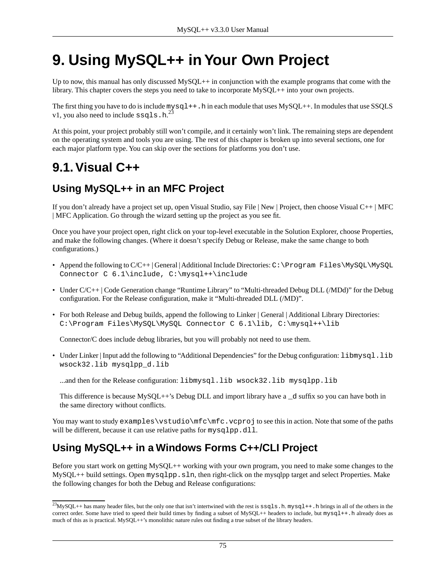# **9. Using MySQL++ in Your Own Project**

Up to now, this manual has only discussed MySQL++ in conjunction with the example programs that come with the library. This chapter covers the steps you need to take to incorporate MySQL++ into your own projects.

The first thing you have to do is include  $mysql++h$  in each module that uses  $Mysql++h$ . In modules that use [SSQLS](#page-41-0) [v1](#page-41-0), you also need to include  $ssq1s.h.<sup>23</sup>$ 

At this point, your project probably still won't compile, and it certainly won't link. The remaining steps are dependent on the operating system and tools you are using. The rest of this chapter is broken up into several sections, one for each major platform type. You can skip over the sections for platforms you don't use.

## **9.1.Visual C++**

### **Using MySQL++ in an MFC Project**

If you don't already have a project set up, open Visual Studio, say File | New | Project, then choose Visual C++ | MFC | MFC Application. Go through the wizard setting up the project as you see fit.

Once you have your project open, right click on your top-level executable in the Solution Explorer, choose Properties, and make the following changes. (Where it doesn't specify Debug or Release, make the same change to both configurations.)

- Append the following to C/C++ | General | Additional Include Directories: C:\Program Files\MySQL\MySQL Connector C 6.1\include, C:\mysql++\include
- Under C/C++ | Code Generation change "Runtime Library" to "Multi-threaded Debug DLL (/MDd)" for the Debug configuration. For the Release configuration, make it "Multi-threaded DLL (/MD)".
- For both Release and Debug builds, append the following to Linker | General | Additional Library Directories: C:\Program Files\MySQL\MySQL Connector C 6.1\lib, C:\mysql++\lib

Connector/C does include debug libraries, but you will probably not need to use them.

• Under Linker | Input add the following to "Additional Dependencies" for the Debug configuration: libmysql.lib wsock32.lib mysqlpp\_d.lib

...and then for the Release configuration: libmysql.lib wsock32.lib mysqlpp.lib

This difference is because MySQL++'s Debug DLL and import library have a  $_d$  suffix so you can have both in the same directory without conflicts.

You may want to study examples\vstudio\mfc.vcproj to see this in action. Note that some of the paths will be different, because it can use relative paths for mysqlpp.dll.

### **Using MySQL++ in a Windows Forms C++/CLI Project**

Before you start work on getting MySQL++ working with your own program, you need to make some changes to the MySQL++ build settings. Open mysqlpp.sln, then right-click on the mysqlpp target and select Properties. Make the following changes for both the Debug and Release configurations:

 $^{23}$ MvSOL++ has many header files, but the only one that isn't intertwined with the rest is  $ssqls$ . h. mysql++. h brings in all of the others in the correct order. Some have tried to speed their build times by finding a subset of MySQL++ headers to include, but mysql++.h already does as much of this as is practical. MySQL++'s monolithic nature rules out finding a true subset of the library headers.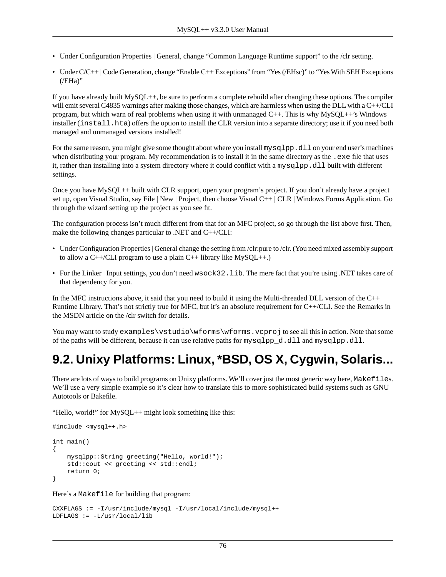- Under Configuration Properties | General, change "Common Language Runtime support" to the /clr setting.
- Under C/C++ | Code Generation, change "Enable C++ Exceptions" from "Yes (/EHsc)" to "Yes With SEH Exceptions  $($ /EHa)"

If you have already built MySQL++, be sure to perform a complete rebuild after changing these options. The compiler will emit several C4835 warnings after making those changes, which are harmless when using the DLL with a C++/CLI program, but which warn of real problems when using it with unmanaged C++. This is why MySQL++'s Windows installer (install.hta) offers the option to install the CLR version into a separate directory; use it if you need both managed and unmanaged versions installed!

For the same reason, you might give some thought about where you install mysqlpp.dll on your end user's machines when distributing your program. My recommendation is to install it in the same directory as the .exe file that uses it, rather than installing into a system directory where it could conflict with a mysqlpp.dll built with different settings.

Once you have MySQL++ built with CLR support, open your program's project. If you don't already have a project set up, open Visual Studio, say File | New | Project, then choose Visual C++ | CLR | Windows Forms Application. Go through the wizard setting up the project as you see fit.

The configuration process isn't much different from that for an MFC project, so go through the list above first. Then, make the following changes particular to .NET and C++/CLI:

- Under Configuration Properties | General change the setting from /clr:pure to /clr. (You need mixed assembly support to allow a  $C++/CLI$  program to use a plain  $C++$  library like  $MySOL++$ .)
- For the Linker | Input settings, you don't need wsock32.lib. The mere fact that you're using .NET takes care of that dependency for you.

In the MFC instructions above, it said that you need to build it using the Multi-threaded DLL version of the C++ Runtime Library. That's not strictly true for MFC, but it's an absolute requirement for C++/CLI. See the Remarks in the MSDN article on the /clr switch for details.

<span id="page-75-0"></span>You may want to study examples\vstudio\wforms\wforms.vcproj to see all this in action. Note that some of the paths will be different, because it can use relative paths for mysqlpp\_d.dll and mysqlpp.dll.

## **9.2. Unixy Platforms: Linux, \*BSD, OS X, Cygwin, Solaris...**

There are lots of ways to build programs on Unixy platforms. We'll cover just the most generic way here, Makefiles. We'll use a very simple example so it's clear how to translate this to more sophisticated build systems such as GNU Autotools or Bakefile.

"Hello, world!" for MySQL++ might look something like this:

```
#include <mysql++.h>
int main()
{
     mysqlpp::String greeting("Hello, world!");
    std::cout << greeting << std::endl;
     return 0;
}
```
Here's a Makefile for building that program:

```
CXXFLAGS := -I/usr/include/mysql -I/usr/local/include/mysql++
LDFLAGS := -L/usr/local/lib
```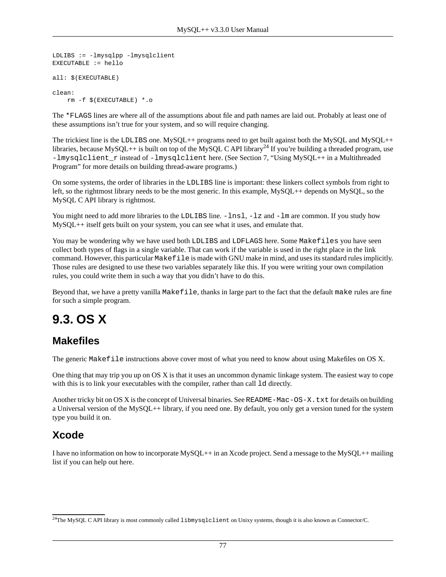```
LDLIBS := -lmysqlpp -lmysqlclient
EXECUTABLE := hello
all: $(EXECUTABLE)
clean: 
     rm -f $(EXECUTABLE) *.o
```
The \*FLAGS lines are where all of the assumptions about file and path names are laid out. Probably at least one of these assumptions isn't true for your system, and so will require changing.

The trickiest line is the LDLIBS one. MySQL++ programs need to get built against both the MySQL and MySQL++ libraries, because MySQL++ is built on top of the MySQL C API library<sup>24</sup> If you're building a threaded program, use -lmysqlclient r instead of -lmysqlclient here. (See [Section 7, "Using MySQL++ in a Multithreaded](#page-65-0) [Program"](#page-65-0) for more details on building thread-aware programs.)

On some systems, the order of libraries in the LDLIBS line is important: these linkers collect symbols from right to left, so the rightmost library needs to be the most generic. In this example, MySQL++ depends on MySQL, so the MySQL C API library is rightmost.

You might need to add more libraries to the LDLIBS line.  $-\ln 1$ ,  $-\ln 1$  and  $-\ln 1$  are common. If you study how MySQL++ itself gets built on your system, you can see what it uses, and emulate that.

You may be wondering why we have used both LDLIBS and LDFLAGS here. Some Makefiles you have seen collect both types of flags in a single variable. That can work if the variable is used in the right place in the link command. However, this particular Makefile is made with GNU make in mind, and uses its standard rules implicitly. Those rules are designed to use these two variables separately like this. If you were writing your own compilation rules, you could write them in such a way that you didn't have to do this.

Beyond that, we have a pretty vanilla Makefile, thanks in large part to the fact that the default make rules are fine for such a simple program.

## **9.3. OS X**

### **Makefiles**

The generic Makefile [instructions above](#page-75-0) cover most of what you need to know about using Makefiles on OS X.

One thing that may trip you up on OS X is that it uses an uncommon dynamic linkage system. The easiest way to cope with this is to link your executables with the compiler, rather than call 1d directly.

Another tricky bit on OS X is the concept of Universal binaries. See README-Mac-OS-X. txt for details on building a Universal version of the MySQL++ library, if you need one. By default, you only get a version tuned for the system type you build it on.

### **Xcode**

I have no information on how to incorporate MySQL++ in an Xcode project. Send a message to the MySQL++ mailing list if you can help out here.

<sup>&</sup>lt;sup>24</sup>The MySQL C API library is most commonly called libmysqlclient on Unixy systems, though it is also known as Connector/C.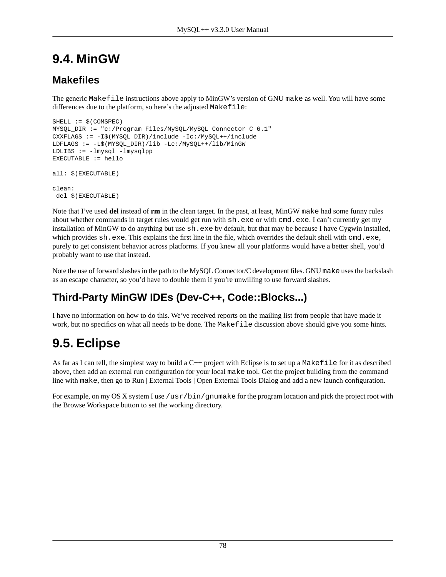## **9.4. MinGW**

### **Makefiles**

The generic Makefile [instructions above](#page-75-0) apply to MinGW's version of GNU make as well. You will have some differences due to the platform, so here's the adjusted Makefile:

```
SHELL := $(COMSPEC)
MYSQL_DIR := "c:/Program Files/MySQL/MySQL Connector C 6.1"
CXXFLAGS := -I$(MYSQL_DIR)/include -Ic:/MySQL++/include
LDFLAGS := -L$(MYSQL_DIR)/lib -Lc:/MySQL++/lib/MinGW
LDLIBS := -lmysql -lmysqlppEXECUTABLE := hello
all: $(EXECUTABLE)
clean: 
 del $(EXECUTABLE)
```
Note that I've used **del** instead of **rm** in the clean target. In the past, at least, MinGW make had some funny rules about whether commands in target rules would get run with  $sh.$  exe or with cmd.exe. I can't currently get my installation of MinGW to do anything but use  $sh.$  exe by default, but that may be because I have Cygwin installed, which provides  $sh.$  exe. This explains the first line in the file, which overrides the default shell with cmd.exe, purely to get consistent behavior across platforms. If you knew all your platforms would have a better shell, you'd probably want to use that instead.

Note the use of forward slashes in the path to the MySQL Connector/C development files. GNU make uses the backslash as an escape character, so you'd have to double them if you're unwilling to use forward slashes.

### **Third-Party MinGW IDEs (Dev-C++, Code::Blocks...)**

I have no information on how to do this. We've received reports on the mailing list from people that have made it work, but no specifics on what all needs to be done. The Makefile discussion above should give you some hints.

## **9.5. Eclipse**

As far as I can tell, the simplest way to build a  $C_{++}$  project with Eclipse is to set up a Makefile for it as described [above,](#page-75-0) then add an external run configuration for your local make tool. Get the project building from the command line with make, then go to Run | External Tools | Open External Tools Dialog and add a new launch configuration.

For example, on my OS X system I use /usr/bin/gnumake for the program location and pick the project root with the Browse Workspace button to set the working directory.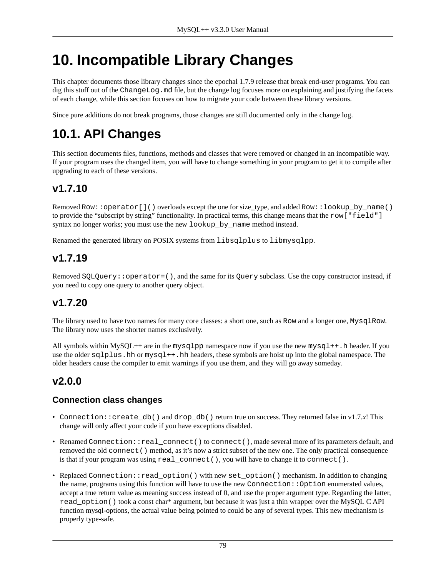# **10. Incompatible Library Changes**

This chapter documents those library changes since the epochal 1.7.9 release that break end-user programs. You can dig this stuff out of the ChangeLog.md file, but the change log focuses more on explaining and justifying the facets of each change, while this section focuses on how to migrate your code between these library versions.

Since pure additions do not break programs, those changes are still documented only in the change log.

## **10.1. API Changes**

This section documents files, functions, methods and classes that were removed or changed in an incompatible way. If your program uses the changed item, you will have to change something in your program to get it to compile after upgrading to each of these versions.

### **v1.7.10**

Removed Row::operator[]() overloads except the one for size\_type, and added Row::lookup\_by\_name() to provide the "subscript by string" functionality. In practical terms, this change means that the row["field"] syntax no longer works; you must use the new lookup\_by\_name method instead.

Renamed the generated library on POSIX systems from libsqlplus to libmysqlpp.

### **v1.7.19**

Removed SQLQuery::operator=(), and the same for its Query subclass. Use the copy constructor instead, if you need to copy one query to another query object.

### **v1.7.20**

The library used to have two names for many core classes: a short one, such as Row and a longer one, MysqlRow. The library now uses the shorter names exclusively.

All symbols within MySQL++ are in the mysqlpp namespace now if you use the new mysql++.h header. If you use the older sqlplus.hh or mysql++.hh headers, these symbols are hoist up into the global namespace. The older headers cause the compiler to emit warnings if you use them, and they will go away someday.

### **v2.0.0**

#### **Connection class changes**

- Connection::create\_db() and drop\_db() return true on success. They returned false in v1.7.*x*! This change will only affect your code if you have exceptions disabled.
- Renamed Connection::real\_connect() to connect(), made several more of its parameters default, and removed the old connect() method, as it's now a strict subset of the new one. The only practical consequence is that if your program was using real\_connect(), you will have to change it to connect().
- Replaced Connection::read\_option() with new set\_option() mechanism. In addition to changing the name, programs using this function will have to use the new Connection::Option enumerated values, accept a true return value as meaning success instead of 0, and use the proper argument type. Regarding the latter, read\_option() took a const char\* argument, but because it was just a thin wrapper over the MySQL C API function mysql-options, the actual value being pointed to could be any of several types. This new mechanism is properly type-safe.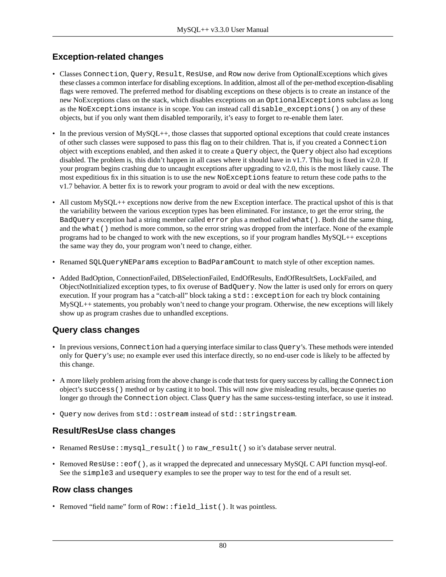#### **Exception-related changes**

- Classes Connection, Query, Result, ResUse, and Row now derive from OptionalExceptions which gives these classes a common interface for disabling exceptions. In addition, almost all of the per-method exception-disabling flags were removed. The preferred method for disabling exceptions on these objects is to create an instance of the new NoExceptions class on the stack, which disables exceptions on an OptionalExceptions subclass as long as the NoExceptions instance is in scope. You can instead call disable\_exceptions() on any of these objects, but if you only want them disabled temporarily, it's easy to forget to re-enable them later.
- In the previous version of MySQL++, those classes that supported optional exceptions that could create instances of other such classes were supposed to pass this flag on to their children. That is, if you created a Connection object with exceptions enabled, and then asked it to create a Query object, the Query object also had exceptions disabled. The problem is, this didn't happen in all cases where it should have in v1.7. This bug is fixed in v2.0. If your program begins crashing due to uncaught exceptions after upgrading to v2.0, this is the most likely cause. The most expeditious fix in this situation is to use the new NoExceptions feature to return these code paths to the v1.7 behavior. A better fix is to rework your program to avoid or deal with the new exceptions.
- All custom MySQL++ exceptions now derive from the new Exception interface. The practical upshot of this is that the variability between the various exception types has been eliminated. For instance, to get the error string, the BadQuery exception had a string member called error plus a method called what(). Both did the same thing, and the what () method is more common, so the error string was dropped from the interface. None of the example programs had to be changed to work with the new exceptions, so if your program handles MySQL++ exceptions the same way they do, your program won't need to change, either.
- Renamed SQLQueryNEParams exception to BadParamCount to match style of other exception names.
- Added BadOption, ConnectionFailed, DBSelectionFailed, EndOfResults, EndOfResultSets, LockFailed, and ObjectNotInitialized exception types, to fix overuse of BadQuery. Now the latter is used only for errors on query execution. If your program has a "catch-all" block taking a std: exception for each try block containing MySQL++ statements, you probably won't need to change your program. Otherwise, the new exceptions will likely show up as program crashes due to unhandled exceptions.

#### **Query class changes**

- In previous versions, Connection had a querying interface similar to class Query's. These methods were intended only for Query's use; no example ever used this interface directly, so no end-user code is likely to be affected by this change.
- A more likely problem arising from the above change is code that tests for query success by calling the Connection object's success() method or by casting it to bool. This will now give misleading results, because queries no longer go through the Connection object. Class Query has the same success-testing interface, so use it instead.
- Query now derives from std:: ostream instead of std:: stringstream.

#### **Result/ResUse class changes**

- Renamed ResUse:: mysql\_result() to raw\_result() so it's database server neutral.
- Removed ResUse: : eof (), as it wrapped the deprecated and unnecessary MySQL C API function mysql-eof. See the simple3 and usequery examples to see the proper way to test for the end of a result set.

#### **Row class changes**

• Removed "field name" form of  $Row::field$  list(). It was pointless.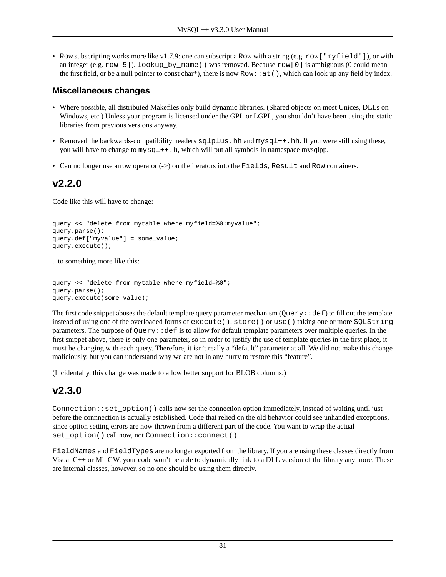• Row subscripting works more like v1.7.9: one can subscript a Row with a string (e.g. row ["myfield"]), or with an integer (e.g. row [5]). lookup by name () was removed. Because row [0] is ambiguous (0 could mean the first field, or be a null pointer to const char\*), there is now  $Row:at()$ , which can look up any field by index.

#### **Miscellaneous changes**

- Where possible, all distributed Makefiles only build dynamic libraries. (Shared objects on most Unices, DLLs on Windows, etc.) Unless your program is licensed under the GPL or LGPL, you shouldn't have been using the static libraries from previous versions anyway.
- Removed the backwards-compatibility headers sqlplus.hh and mysql++.hh. If you were still using these, you will have to change to  $mysgl++h$ , which will put all symbols in namespace mysqlpp.
- Can no longer use arrow operator (->) on the iterators into the Fields, Result and Row containers.

### **v2.2.0**

Code like this will have to change:

```
query << "delete from mytable where myfield=%0:myvalue";
query.parse();
query.def["myvalue"] = some_value;
query.execute();
```
...to something more like this:

```
query << "delete from mytable where myfield=%0";
query.parse();
query.execute(some_value);
```
The first code snippet abuses the default template query parameter mechanism (Query:  $:def)$  to fill out the template instead of using one of the overloaded forms of execute(), store() or use() taking one or more SQLString parameters. The purpose of Query::def is to allow for default template parameters over multiple queries. In the first snippet above, there is only one parameter, so in order to justify the use of template queries in the first place, it must be changing with each query. Therefore, it isn't really a "default" parameter at all. We did not make this change maliciously, but you can understand why we are not in any hurry to restore this "feature".

(Incidentally, this change was made to allow better support for BLOB columns.)

### **v2.3.0**

Connection::set\_option() calls now set the connection option immediately, instead of waiting until just before the connnection is actually established. Code that relied on the old behavior could see unhandled exceptions, since option setting errors are now thrown from a different part of the code. You want to wrap the actual set\_option() call now, not Connection::connect()

FieldNames and FieldTypes are no longer exported from the library. If you are using these classes directly from Visual C++ or MinGW, your code won't be able to dynamically link to a DLL version of the library any more. These are internal classes, however, so no one should be using them directly.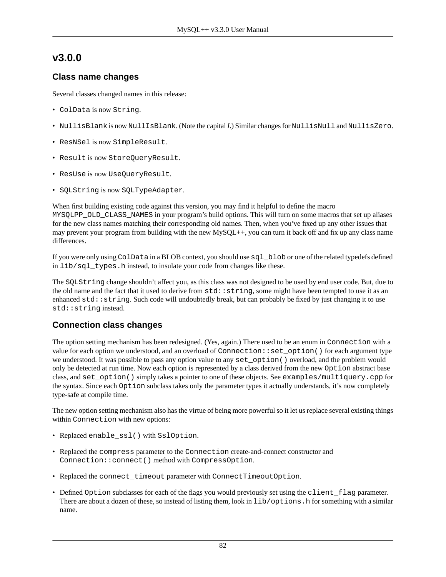### **v3.0.0**

#### **Class name changes**

Several classes changed names in this release:

- ColData is now String.
- NullisBlank is now NullIsBlank. (Note the capital *I*.) Similar changes for NullisNull and NullisZero.
- ResNSel is now SimpleResult.
- Result is now StoreQueryResult.
- ResUse is now UseQueryResult.
- SQLString is now SQLTypeAdapter.

When first building existing code against this version, you may find it helpful to define the macro MYSQLPP\_OLD\_CLASS\_NAMES in your program's build options. This will turn on some macros that set up aliases for the new class names matching their corresponding old names. Then, when you've fixed up any other issues that may prevent your program from building with the new MySQL++, you can turn it back off and fix up any class name differences.

If you were only using ColData in a BLOB context, you should use  $sql$  blob or one of the related typedefs defined in lib/sql\_types.h instead, to insulate your code from changes like these.

The SQLString change shouldn't affect you, as this class was not designed to be used by end user code. But, due to the old name and the fact that it used to derive from  $std:$ : string, some might have been tempted to use it as an enhanced  $\text{std}$ : string. Such code will undoubtedly break, but can probably be fixed by just changing it to use std::string instead.

#### **Connection class changes**

The option setting mechanism has been redesigned. (Yes, again.) There used to be an enum in Connection with a value for each option we understood, and an overload of Connection::set\_option() for each argument type we understood. It was possible to pass any option value to any set\_option() overload, and the problem would only be detected at run time. Now each option is represented by a class derived from the new Option abstract base class, and set\_option() simply takes a pointer to one of these objects. See examples/multiquery.cpp for the syntax. Since each Option subclass takes only the parameter types it actually understands, it's now completely type-safe at compile time.

The new option setting mechanism also has the virtue of being more powerful so it let us replace several existing things within Connection with new options:

- Replaced enable\_ssl() with SslOption.
- Replaced the compress parameter to the Connection create-and-connect constructor and Connection::connect() method with CompressOption.
- Replaced the connect\_timeout parameter with ConnectTimeoutOption.
- Defined Option subclasses for each of the flags you would previously set using the client\_flag parameter. There are about a dozen of these, so instead of listing them, look in lib/options.h for something with a similar name.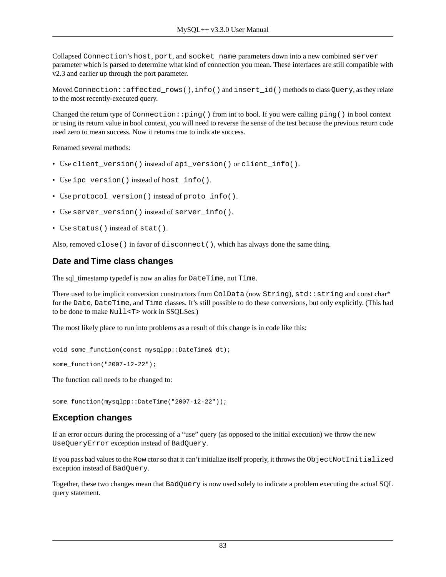Collapsed Connection's host, port, and socket\_name parameters down into a new combined server parameter which is parsed to determine what kind of connection you mean. These interfaces are still compatible with v2.3 and earlier up through the port parameter.

Moved Connection::affected\_rows(), info() and insert\_id() methods to class Query, as they relate to the most recently-executed query.

Changed the return type of Connection::ping() from int to bool. If you were calling ping() in bool context or using its return value in bool context, you will need to reverse the sense of the test because the previous return code used zero to mean success. Now it returns true to indicate success.

Renamed several methods:

- Use client\_version() instead of api\_version() or client\_info().
- Use ipc\_version() instead of host\_info().
- Use protocol\_version() instead of proto\_info().
- Use server\_version() instead of server\_info().
- Use status() instead of stat().

Also, removed close() in favor of disconnect(), which has always done the same thing.

#### **Date and Time class changes**

The sql\_timestamp typedef is now an alias for DateTime, not Time.

There used to be implicit conversion constructors from ColData (now String), std::string and const char\* for the Date, DateTime, and Time classes. It's still possible to do these conversions, but only explicitly. (This had to be done to make Null<T> work in SSQLSes.)

The most likely place to run into problems as a result of this change is in code like this:

```
void some_function(const mysqlpp::DateTime& dt);
```
some\_function("2007-12-22");

The function call needs to be changed to:

some\_function(mysqlpp::DateTime("2007-12-22"));

#### **Exception changes**

If an error occurs during the processing of a "use" query (as opposed to the initial execution) we throw the new UseQueryError exception instead of BadQuery.

If you pass bad values to the Row ctor so that it can't initialize itself properly, it throws the ObjectNotInitialized exception instead of BadQuery.

Together, these two changes mean that BadQuery is now used solely to indicate a problem executing the actual SQL query statement.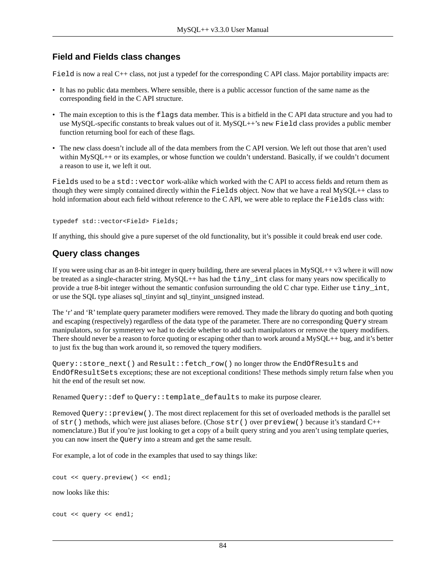#### **Field and Fields class changes**

Field is now a real C++ class, not just a typedef for the corresponding C API class. Major portability impacts are:

- It has no public data members. Where sensible, there is a public accessor function of the same name as the corresponding field in the C API structure.
- The main exception to this is the flags data member. This is a bitfield in the C API data structure and you had to use MySQL-specific constants to break values out of it. MySQL++'s new Field class provides a public member function returning bool for each of these flags.
- The new class doesn't include all of the data members from the C API version. We left out those that aren't used within MySQL++ or its examples, or whose function we couldn't understand. Basically, if we couldn't document a reason to use it, we left it out.

Fields used to be a std::vector work-alike which worked with the C API to access fields and return them as though they were simply contained directly within the Fields object. Now that we have a real MySQL++ class to hold information about each field without reference to the CAPI, we were able to replace the Fields class with:

typedef std::vector<Field> Fields;

If anything, this should give a pure superset of the old functionality, but it's possible it could break end user code.

#### **Query class changes**

If you were using char as an 8-bit integer in query building, there are several places in  $MysQL++ v3$  where it will now be treated as a single-character string. MySQL++ has had the tiny\_int class for many years now specifically to provide a true 8-bit integer without the semantic confusion surrounding the old C char type. Either use tiny\_int, or use the SQL type aliases sql\_tinyint and sql\_tinyint\_unsigned instead.

The 'r' and 'R' template query parameter modifiers were removed. They made the library do quoting and both quoting and escaping (respectively) regardless of the data type of the parameter. There are no corresponding Query stream manipulators, so for symmetery we had to decide whether to add such manipulators or remove the tquery modifiers. There should never be a reason to force quoting or escaping other than to work around a  $MySQL++$  bug, and it's better to just fix the bug than work around it, so removed the tquery modifiers.

Query::store\_next() and Result::fetch\_row() no longer throw the EndOfResults and EndOfResultSets exceptions; these are not exceptional conditions! These methods simply return false when you hit the end of the result set now.

Renamed Query::def to Query::template\_defaults to make its purpose clearer.

Removed Query::preview(). The most direct replacement for this set of overloaded methods is the parallel set of str() methods, which were just aliases before. (Chose str() over preview() because it's standard C++ nomenclature.) But if you're just looking to get a copy of a built query string and you aren't using template queries, you can now insert the Query into a stream and get the same result.

For example, a lot of code in the examples that used to say things like:

```
cout << query.preview() << endl;
```
now looks like this:

```
cout << query << endl;
```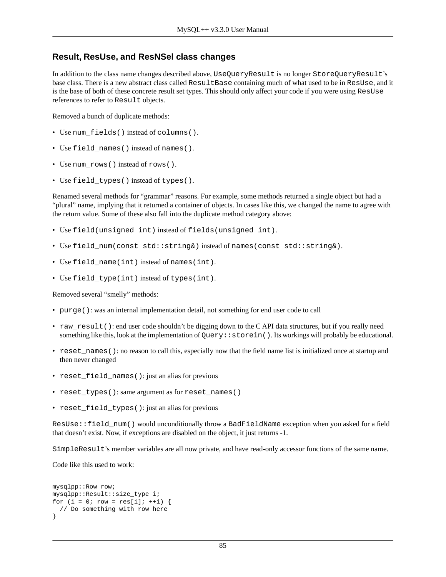#### **Result, ResUse, and ResNSel class changes**

In addition to the class name changes described above, UseQueryResult is no longer StoreQueryResult's base class. There is a new abstract class called ResultBase containing much of what used to be in ResUse, and it is the base of both of these concrete result set types. This should only affect your code if you were using ResUse references to refer to Result objects.

Removed a bunch of duplicate methods:

- Use num\_fields() instead of columns().
- Use field\_names() instead of names().
- Use num\_rows() instead of rows().
- Use field\_types() instead of types().

Renamed several methods for "grammar" reasons. For example, some methods returned a single object but had a "plural" name, implying that it returned a container of objects. In cases like this, we changed the name to agree with the return value. Some of these also fall into the duplicate method category above:

- Use field(unsigned int) instead of fields(unsigned int).
- Use field\_num(const std::string&) instead of names(const std::string&).
- Use field name(int) instead of names(int).
- Use field\_type(int) instead of types(int).

Removed several "smelly" methods:

- purge(): was an internal implementation detail, not something for end user code to call
- raw\_result(): end user code shouldn't be digging down to the CAPI data structures, but if you really need something like this, look at the implementation of Query: : storein(). Its workings will probably be educational.
- reset\_names(): no reason to call this, especially now that the field name list is initialized once at startup and then never changed
- reset\_field\_names(): just an alias for previous
- reset\_types(): same argument as for reset\_names()
- reset\_field\_types(): just an alias for previous

ResUse::field\_num() would unconditionally throw a BadFieldName exception when you asked for a field that doesn't exist. Now, if exceptions are disabled on the object, it just returns -1.

SimpleResult's member variables are all now private, and have read-only accessor functions of the same name.

Code like this used to work:

```
mysqlpp::Row row;
mysqlpp::Result::size_type i;
for (i = 0; row = res[i]; ++i) {
   // Do something with row here
}
```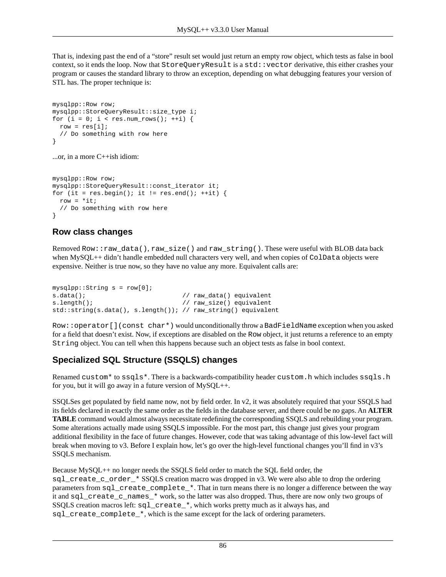That is, indexing past the end of a "store" result set would just return an empty row object, which tests as false in bool context, so it ends the loop. Now that StoreQueryResult is a std::vector derivative, this either crashes your program or causes the standard library to throw an exception, depending on what debugging features your version of STL has. The proper technique is:

```
mysqlpp::Row row;
mysqlpp::StoreQueryResult::size_type i;
for (i = 0; i < res.num_rows(); ++i) {
 row = res[i];
   // Do something with row here
}
```
...or, in a more C++ish idiom:

```
mysqlpp::Row row;
mysqlpp::StoreQueryResult::const_iterator it;
for (it = res.begin(); it != res.end(); ++it) {
 row = *it; // Do something with row here
}
```
#### **Row class changes**

Removed Row::raw\_data(), raw\_size() and raw\_string(). These were useful with BLOB data back when MySQL++ didn't handle embedded null characters very well, and when copies of ColData objects were expensive. Neither is true now, so they have no value any more. Equivalent calls are:

```
mysqlpp::String s = row[0];
s.data(); \frac{1}{2} // raw_data() equivalent
s.length(); \frac{1}{2} // raw_size() equivalent
std::string(s.data(), s.length()); // raw_string() equivalent
```
Row::operator[](const char\*) would unconditionally throw a BadFieldName exception when you asked for a field that doesn't exist. Now, if exceptions are disabled on the Row object, it just returns a reference to an empty String object. You can tell when this happens because such an object tests as false in bool context.

#### **Specialized SQL Structure (SSQLS) changes**

Renamed custom\* to ssqls\*. There is a backwards-compatibility header custom.h which includes ssqls.h for you, but it will go away in a future version of  $MySQL++$ .

SSQLSes get populated by field name now, not by field order. In v2, it was absolutely required that your SSQLS had its fields declared in exactly the same order as the fields in the database server, and there could be no gaps. An **ALTER TABLE** command would almost always necessitate redefining the corresponding SSQLS and rebuilding your program. Some alterations actually made using SSQLS impossible. For the most part, this change just gives your program additional flexibility in the face of future changes. However, code that was taking advantage of this low-level fact will break when moving to v3. Before I explain how, let's go over the high-level functional changes you'll find in v3's SSQLS mechanism.

Because MySQL++ no longer needs the SSQLS field order to match the SQL field order, the sql\_create\_c\_order\_\* SSQLS creation macro was dropped in v3. We were also able to drop the ordering parameters from sql\_create\_complete\_\*. That in turn means there is no longer a difference between the way it and sql\_create\_c\_names\_\* work, so the latter was also dropped. Thus, there are now only two groups of SSQLS creation macros left: sql\_create\_\*, which works pretty much as it always has, and sql\_create\_complete\_\*, which is the same except for the lack of ordering parameters.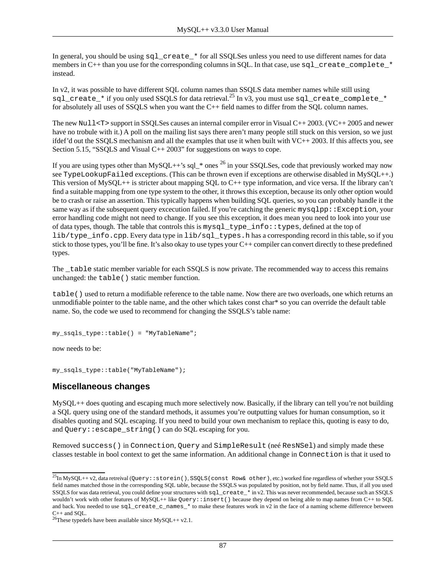In general, you should be using sql\_create\_\* for all SSQLSes unless you need to use different names for data members in  $C_{++}$  than you use for the corresponding columns in SQL. In that case, use sql\_create\_complete  $*$ instead.

In v2, it was possible to have different SQL column names than SSQLS data member names while still using sql\_create\_\* if you only used SSQLS for data retrieval.<sup>25</sup> In v3, you must use sql\_create\_complete\_\* for absolutely all uses of SSQLS when you want the C++ field names to differ from the SQL column names.

The new Null <T> support in SSQLSes causes an internal compiler error in Visual  $C++ 2003$ . (VC++ 2005 and newer have no trobule with it.) A poll on the mailing list says there aren't many people still stuck on this version, so we just ifdef'd out the SSQLS mechanism and all the examples that use it when built with VC++ 2003. If this affects you, see [Section 5.15, "SSQLS and Visual C++ 2003"](#page-61-0) for suggestions on ways to cope.

If you are using types other than MySQL++'s sql  $*$  ones  $^{26}$  in your SSQLSes, code that previously worked may now see TypeLookupFailed exceptions. (This can be thrown even if exceptions are otherwise disabled in MySQL++.) This version of MySQL++ is stricter about mapping SQL to C++ type information, and vice versa. If the library can't find a suitable mapping from one type system to the other, it throws this exception, because its only other option would be to crash or raise an assertion. This typically happens when building SQL queries, so you can probably handle it the same way as if the subsequent query excecution failed. If you're catching the generic mysqlpp:: $Exception$ , your error handling code might not need to change. If you see this exception, it does mean you need to look into your use of data types, though. The table that controls this is mysql\_type\_info::types, defined at the top of lib/type\_info.cpp. Every data type in lib/sql\_types.h has a corresponding record in this table, so if you stick to those types, you'll be fine. It's also okay to use types your C++ compiler can convert directly to these predefined types.

The table static member variable for each SSQLS is now private. The recommended way to access this remains unchanged: the table() static member function.

table() used to return a modifiable reference to the table name. Now there are two overloads, one which returns an unmodifiable pointer to the table name, and the other which takes const char\* so you can override the default table name. So, the code we used to recommend for changing the SSQLS's table name:

my\_ssqls\_type::table() = "MyTableName";

now needs to be:

my\_ssqls\_type::table("MyTableName");

#### **Miscellaneous changes**

MySQL++ does quoting and escaping much more selectively now. Basically, if the library can tell you're not building a SQL query using one of the standard methods, it assumes you're outputting values for human consumption, so it disables quoting and SQL escaping. If you need to build your own mechanism to replace this, quoting is easy to do, and Query::escape\_string() can do SQL escaping for you.

Removed success() in Connection, Query and SimpleResult (neé ResNSel) and simply made these classes testable in bool context to get the same information. An additional change in Connection is that it used to

 $^{25}$ In MySQL++ v2, data retreival (Query::storein(), SSQLS(const Row& other), etc.) worked fine regardless of whether your SSQLS field names matched those in the corresponding SQL table, because the SSQLS was populated by position, not by field name. Thus, if all you used SSQLS for was data retrieval, you could define your structures with sql\_create\_\* in v2. This was never recommended, because such an SSQLS wouldn't work with other features of MySQL++ like Query::insert() because they depend on being able to map names from C++ to SQL and back. You needed to use  $sq_1$  create\_c\_names\_\* to make these features work in  $\overline{v_2}$  in the face of a naming scheme difference between  $C_{++}$  and SOL.

<sup>&</sup>lt;sup>26</sup>These typedefs have been available since MySQL++ v2.1.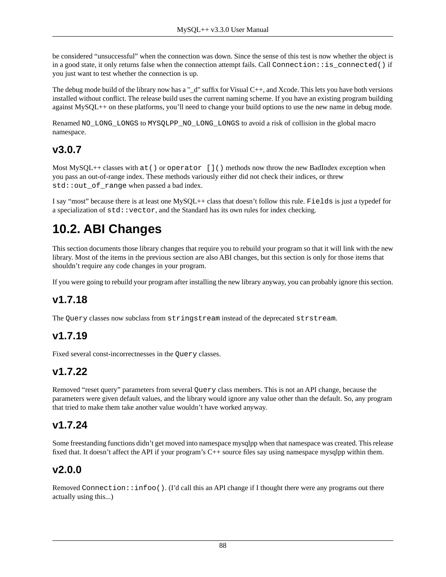be considered "unsuccessful" when the connection was down. Since the sense of this test is now whether the object is in a good state, it only returns false when the connection attempt fails. Call Connection:  $:$  is connected() if you just want to test whether the connection is up.

The debug mode build of the library now has a " $d$ " suffix for Visual C++, and Xcode. This lets you have both versions installed without conflict. The release build uses the current naming scheme. If you have an existing program building against MySQL++ on these platforms, you'll need to change your build options to use the new name in debug mode.

Renamed NO\_LONG\_LONGS to MYSQLPP\_NO\_LONG LONGS to avoid a risk of collision in the global macro namespace.

### **v3.0.7**

Most MySQL++ classes with at() or operator []() methods now throw the new BadIndex exception when you pass an out-of-range index. These methods variously either did not check their indices, or threw std::out\_of\_range when passed a bad index.

I say "most" because there is at least one MySQL++ class that doesn't follow this rule. Fields is just a typedef for a specialization of  $std$ : vector, and the Standard has its own rules for index checking.

## **10.2. ABI Changes**

This section documents those library changes that require you to rebuild your program so that it will link with the new library. Most of the items in the previous section are also ABI changes, but this section is only for those items that shouldn't require any code changes in your program.

If you were going to rebuild your program after installing the new library anyway, you can probably ignore this section.

### **v1.7.18**

The Query classes now subclass from stringstream instead of the deprecated strstream.

### **v1.7.19**

Fixed several const-incorrectnesses in the Query classes.

### **v1.7.22**

Removed "reset query" parameters from several Query class members. This is not an API change, because the parameters were given default values, and the library would ignore any value other than the default. So, any program that tried to make them take another value wouldn't have worked anyway.

### **v1.7.24**

Some freestanding functions didn't get moved into namespace mysqlpp when that namespace was created. This release fixed that. It doesn't affect the API if your program's C++ source files say using namespace mysqlpp within them.

### **v2.0.0**

Removed Connection:: $infoo()$ . (I'd call this an API change if I thought there were any programs out there actually using this...)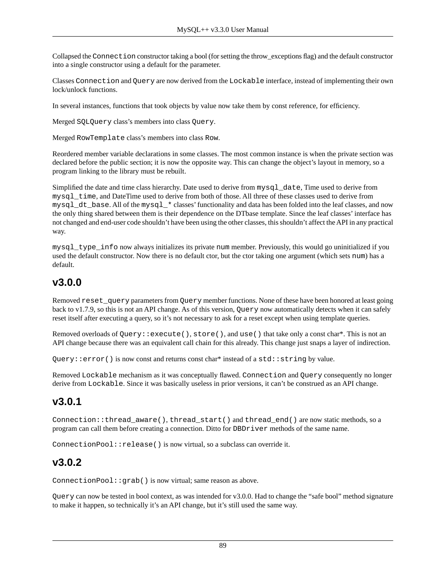Collapsed the Connection constructor taking a bool (for setting the throw\_exceptions flag) and the default constructor into a single constructor using a default for the parameter.

Classes Connection and Query are now derived from the Lockable interface, instead of implementing their own lock/unlock functions.

In several instances, functions that took objects by value now take them by const reference, for efficiency.

Merged SQLQuery class's members into class Query.

Merged RowTemplate class's members into class Row.

Reordered member variable declarations in some classes. The most common instance is when the private section was declared before the public section; it is now the opposite way. This can change the object's layout in memory, so a program linking to the library must be rebuilt.

Simplified the date and time class hierarchy. Date used to derive from mysql\_date, Time used to derive from mysql\_time, and DateTime used to derive from both of those. All three of these classes used to derive from mysql\_dt\_base. All of the mysql\_\* classes' functionality and data has been folded into the leaf classes, and now the only thing shared between them is their dependence on the DTbase template. Since the leaf classes' interface has not changed and end-user code shouldn't have been using the other classes, this shouldn't affect the API in any practical way.

mysql\_type\_info now always initializes its private num member. Previously, this would go uninitialized if you used the default constructor. Now there is no default ctor, but the ctor taking one argument (which sets num) has a default.

### **v3.0.0**

Removed reset\_query parameters from Query member functions. None of these have been honored at least going back to v1.7.9, so this is not an API change. As of this version, Query now automatically detects when it can safely reset itself after executing a query, so it's not necessary to ask for a reset except when using template queries.

Removed overloads of Query::execute(), store(), and use() that take only a const char\*. This is not an API change because there was an equivalent call chain for this already. This change just snaps a layer of indirection.

Query: : error () is now const and returns const char\* instead of a std: : string by value.

Removed Lockable mechanism as it was conceptually flawed. Connection and Query consequently no longer derive from Lockable. Since it was basically useless in prior versions, it can't be construed as an API change.

### **v3.0.1**

Connection::thread\_aware(), thread\_start() and thread\_end() are now static methods, so a program can call them before creating a connection. Ditto for DBDriver methods of the same name.

ConnectionPool::release() is now virtual, so a subclass can override it.

### **v3.0.2**

ConnectionPool::grab() is now virtual; same reason as above.

Query can now be tested in bool context, as was intended for v3.0.0. Had to change the "safe bool" method signature to make it happen, so technically it's an API change, but it's still used the same way.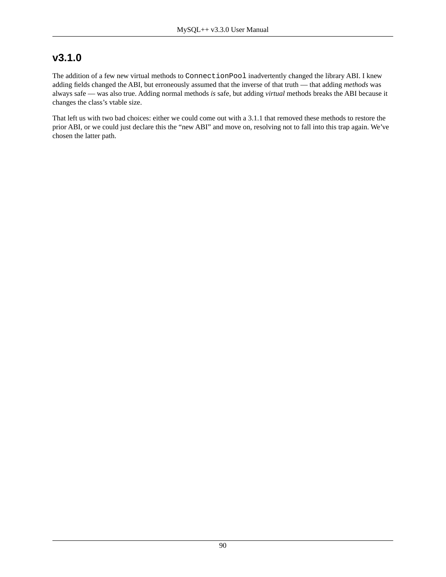### **v3.1.0**

The addition of a few new virtual methods to ConnectionPool inadvertently changed the library ABI. I knew adding fields changed the ABI, but erroneously assumed that the inverse of that truth — that adding *methods* was always safe — was also true. Adding normal methods *is* safe, but adding *virtual* methods breaks the ABI because it changes the class's vtable size.

That left us with two bad choices: either we could come out with a 3.1.1 that removed these methods to restore the prior ABI, or we could just declare this the "new ABI" and move on, resolving not to fall into this trap again. We've chosen the latter path.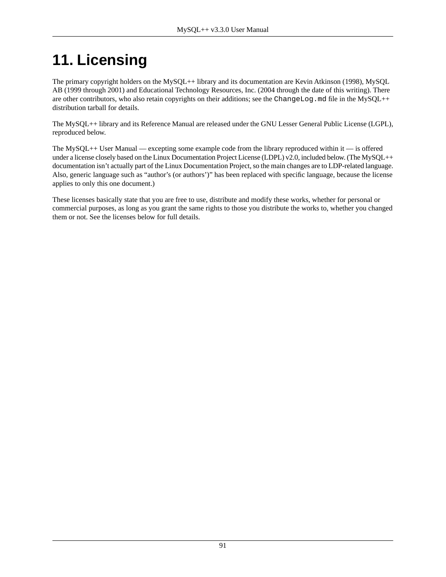# **11. Licensing**

The primary copyright holders on the MySQL++ library and its documentation are Kevin Atkinson (1998), MySQL AB (1999 through 2001) and Educational Technology Resources, Inc. (2004 through the date of this writing). There are other contributors, who also retain copyrights on their additions; see the ChangeLog.md file in the MySQL++ distribution tarball for details.

The MySQL++ library and its Reference Manual are released under the GNU Lesser General Public License (LGPL), reproduced below.

The MySQL++ User Manual — excepting some example code from the library reproduced within it — is offered under a license closely based on the Linux Documentation Project License (LDPL) v2.0, included below. (The MySOL++ documentation isn't actually part of the Linux Documentation Project, so the main changes are to LDP-related language. Also, generic language such as "author's (or authors')" has been replaced with specific language, because the license applies to only this one document.)

These licenses basically state that you are free to use, distribute and modify these works, whether for personal or commercial purposes, as long as you grant the same rights to those you distribute the works to, whether you changed them or not. See the licenses below for full details.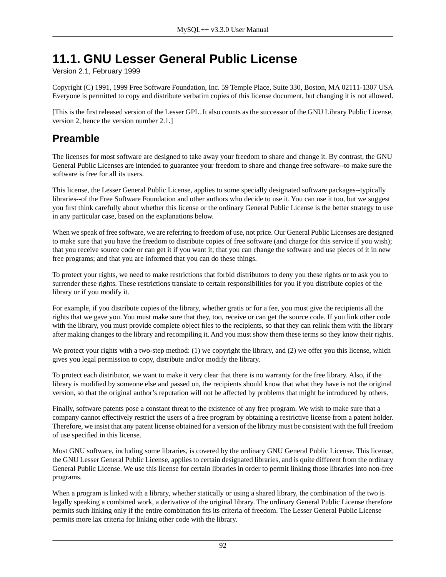## **11.1. GNU Lesser General Public License**

Version 2.1, February 1999

Copyright (C) 1991, 1999 Free Software Foundation, Inc. 59 Temple Place, Suite 330, Boston, MA 02111-1307 USA Everyone is permitted to copy and distribute verbatim copies of this license document, but changing it is not allowed.

[This is the first released version of the Lesser GPL. It also counts as the successor of the GNU Library Public License, version 2, hence the version number 2.1.]

### **Preamble**

The licenses for most software are designed to take away your freedom to share and change it. By contrast, the GNU General Public Licenses are intended to guarantee your freedom to share and change free software--to make sure the software is free for all its users.

This license, the Lesser General Public License, applies to some specially designated software packages--typically libraries--of the Free Software Foundation and other authors who decide to use it. You can use it too, but we suggest you first think carefully about whether this license or the ordinary General Public License is the better strategy to use in any particular case, based on the explanations below.

When we speak of free software, we are referring to freedom of use, not price. Our General Public Licenses are designed to make sure that you have the freedom to distribute copies of free software (and charge for this service if you wish); that you receive source code or can get it if you want it; that you can change the software and use pieces of it in new free programs; and that you are informed that you can do these things.

To protect your rights, we need to make restrictions that forbid distributors to deny you these rights or to ask you to surrender these rights. These restrictions translate to certain responsibilities for you if you distribute copies of the library or if you modify it.

For example, if you distribute copies of the library, whether gratis or for a fee, you must give the recipients all the rights that we gave you. You must make sure that they, too, receive or can get the source code. If you link other code with the library, you must provide complete object files to the recipients, so that they can relink them with the library after making changes to the library and recompiling it. And you must show them these terms so they know their rights.

We protect your rights with a two-step method: (1) we copyright the library, and (2) we offer you this license, which gives you legal permission to copy, distribute and/or modify the library.

To protect each distributor, we want to make it very clear that there is no warranty for the free library. Also, if the library is modified by someone else and passed on, the recipients should know that what they have is not the original version, so that the original author's reputation will not be affected by problems that might be introduced by others.

Finally, software patents pose a constant threat to the existence of any free program. We wish to make sure that a company cannot effectively restrict the users of a free program by obtaining a restrictive license from a patent holder. Therefore, we insist that any patent license obtained for a version of the library must be consistent with the full freedom of use specified in this license.

Most GNU software, including some libraries, is covered by the ordinary GNU General Public License. This license, the GNU Lesser General Public License, applies to certain designated libraries, and is quite different from the ordinary General Public License. We use this license for certain libraries in order to permit linking those libraries into non-free programs.

When a program is linked with a library, whether statically or using a shared library, the combination of the two is legally speaking a combined work, a derivative of the original library. The ordinary General Public License therefore permits such linking only if the entire combination fits its criteria of freedom. The Lesser General Public License permits more lax criteria for linking other code with the library.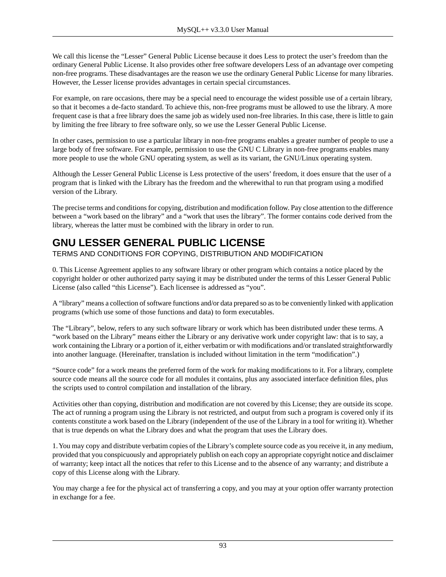We call this license the "Lesser" General Public License because it does Less to protect the user's freedom than the ordinary General Public License. It also provides other free software developers Less of an advantage over competing non-free programs. These disadvantages are the reason we use the ordinary General Public License for many libraries. However, the Lesser license provides advantages in certain special circumstances.

For example, on rare occasions, there may be a special need to encourage the widest possible use of a certain library, so that it becomes a de-facto standard. To achieve this, non-free programs must be allowed to use the library. A more frequent case is that a free library does the same job as widely used non-free libraries. In this case, there is little to gain by limiting the free library to free software only, so we use the Lesser General Public License.

In other cases, permission to use a particular library in non-free programs enables a greater number of people to use a large body of free software. For example, permission to use the GNU C Library in non-free programs enables many more people to use the whole GNU operating system, as well as its variant, the GNU/Linux operating system.

Although the Lesser General Public License is Less protective of the users' freedom, it does ensure that the user of a program that is linked with the Library has the freedom and the wherewithal to run that program using a modified version of the Library.

The precise terms and conditions for copying, distribution and modification follow. Pay close attention to the difference between a "work based on the library" and a "work that uses the library". The former contains code derived from the library, whereas the latter must be combined with the library in order to run.

### **GNU LESSER GENERAL PUBLIC LICENSE**

TERMS AND CONDITIONS FOR COPYING, DISTRIBUTION AND MODIFICATION

0. This License Agreement applies to any software library or other program which contains a notice placed by the copyright holder or other authorized party saying it may be distributed under the terms of this Lesser General Public License (also called "this License"). Each licensee is addressed as "you".

A "library" means a collection of software functions and/or data prepared so as to be conveniently linked with application programs (which use some of those functions and data) to form executables.

The "Library", below, refers to any such software library or work which has been distributed under these terms. A "work based on the Library" means either the Library or any derivative work under copyright law: that is to say, a work containing the Library or a portion of it, either verbatim or with modifications and/or translated straightforwardly into another language. (Hereinafter, translation is included without limitation in the term "modification".)

"Source code" for a work means the preferred form of the work for making modifications to it. For a library, complete source code means all the source code for all modules it contains, plus any associated interface definition files, plus the scripts used to control compilation and installation of the library.

Activities other than copying, distribution and modification are not covered by this License; they are outside its scope. The act of running a program using the Library is not restricted, and output from such a program is covered only if its contents constitute a work based on the Library (independent of the use of the Library in a tool for writing it). Whether that is true depends on what the Library does and what the program that uses the Library does.

1. You may copy and distribute verbatim copies of the Library's complete source code as you receive it, in any medium, provided that you conspicuously and appropriately publish on each copy an appropriate copyright notice and disclaimer of warranty; keep intact all the notices that refer to this License and to the absence of any warranty; and distribute a copy of this License along with the Library.

You may charge a fee for the physical act of transferring a copy, and you may at your option offer warranty protection in exchange for a fee.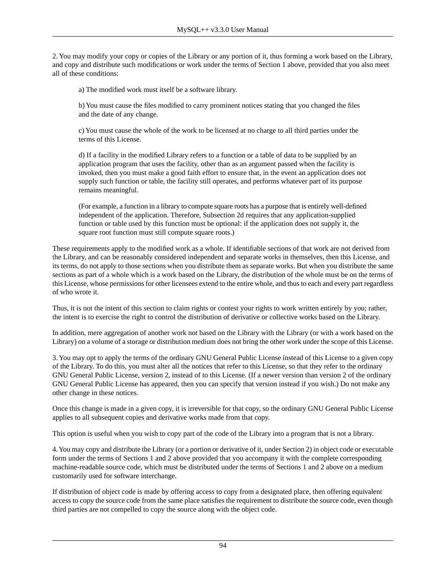2. You may modify your copy or copies of the Library or any portion of it, thus forming a work based on the Library, and copy and distribute such modifications or work under the terms of Section 1 above, provided that you also meet all of these conditions:

a) The modified work must itself be a software library.

b) You must cause the files modified to carry prominent notices stating that you changed the files and the date of any change.

c) You must cause the whole of the work to be licensed at no charge to all third parties under the terms of this License.

d) If a facility in the modified Library refers to a function or a table of data to be supplied by an application program that uses the facility, other than as an argument passed when the facility is invoked, then you must make a good faith effort to ensure that, in the event an application does not supply such function or table, the facility still operates, and performs whatever part of its purpose remains meaningful.

(For example, a function in a library to compute square roots has a purpose that is entirely well-defined independent of the application. Therefore, Subsection 2d requires that any application-supplied function or table used by this function must be optional: if the application does not supply it, the square root function must still compute square roots.)

These requirements apply to the modified work as a whole. If identifiable sections of that work are not derived from the Library, and can be reasonably considered independent and separate works in themselves, then this License, and its terms, do not apply to those sections when you distribute them as separate works. But when you distribute the same sections as part of a whole which is a work based on the Library, the distribution of the whole must be on the terms of this License, whose permissions for other licensees extend to the entire whole, and thus to each and every part regardless of who wrote it.

Thus, it is not the intent of this section to claim rights or contest your rights to work written entirely by you; rather, the intent is to exercise the right to control the distribution of derivative or collective works based on the Library.

In addition, mere aggregation of another work not based on the Library with the Library (or with a work based on the Library) on a volume of a storage or distribution medium does not bring the other work under the scope of this License.

3. You may opt to apply the terms of the ordinary GNU General Public License instead of this License to a given copy of the Library. To do this, you must alter all the notices that refer to this License, so that they refer to the ordinary GNU General Public License, version 2, instead of to this License. (If a newer version than version 2 of the ordinary GNU General Public License has appeared, then you can specify that version instead if you wish.) Do not make any other change in these notices.

Once this change is made in a given copy, it is irreversible for that copy, so the ordinary GNU General Public License applies to all subsequent copies and derivative works made from that copy.

This option is useful when you wish to copy part of the code of the Library into a program that is not a library.

4. You may copy and distribute the Library (or a portion or derivative of it, under Section 2) in object code or executable form under the terms of Sections 1 and 2 above provided that you accompany it with the complete corresponding machine-readable source code, which must be distributed under the terms of Sections 1 and 2 above on a medium customarily used for software interchange.

If distribution of object code is made by offering access to copy from a designated place, then offering equivalent access to copy the source code from the same place satisfies the requirement to distribute the source code, even though third parties are not compelled to copy the source along with the object code.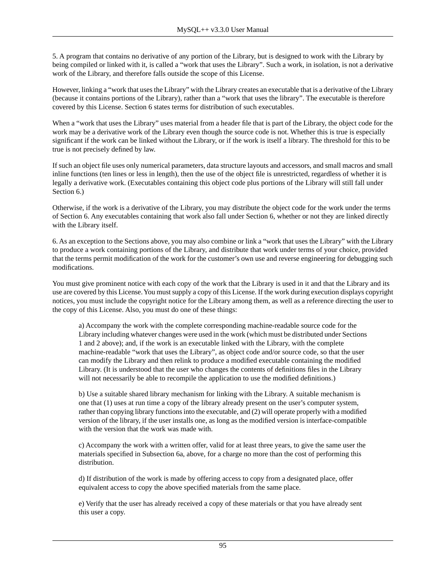5. A program that contains no derivative of any portion of the Library, but is designed to work with the Library by being compiled or linked with it, is called a "work that uses the Library". Such a work, in isolation, is not a derivative work of the Library, and therefore falls outside the scope of this License.

However, linking a "work that uses the Library" with the Library creates an executable that is a derivative of the Library (because it contains portions of the Library), rather than a "work that uses the library". The executable is therefore covered by this License. Section 6 states terms for distribution of such executables.

When a "work that uses the Library" uses material from a header file that is part of the Library, the object code for the work may be a derivative work of the Library even though the source code is not. Whether this is true is especially significant if the work can be linked without the Library, or if the work is itself a library. The threshold for this to be true is not precisely defined by law.

If such an object file uses only numerical parameters, data structure layouts and accessors, and small macros and small inline functions (ten lines or less in length), then the use of the object file is unrestricted, regardless of whether it is legally a derivative work. (Executables containing this object code plus portions of the Library will still fall under Section 6.)

Otherwise, if the work is a derivative of the Library, you may distribute the object code for the work under the terms of Section 6. Any executables containing that work also fall under Section 6, whether or not they are linked directly with the Library itself.

6. As an exception to the Sections above, you may also combine or link a "work that uses the Library" with the Library to produce a work containing portions of the Library, and distribute that work under terms of your choice, provided that the terms permit modification of the work for the customer's own use and reverse engineering for debugging such modifications.

You must give prominent notice with each copy of the work that the Library is used in it and that the Library and its use are covered by this License. You must supply a copy of this License. If the work during execution displays copyright notices, you must include the copyright notice for the Library among them, as well as a reference directing the user to the copy of this License. Also, you must do one of these things:

a) Accompany the work with the complete corresponding machine-readable source code for the Library including whatever changes were used in the work (which must be distributed under Sections 1 and 2 above); and, if the work is an executable linked with the Library, with the complete machine-readable "work that uses the Library", as object code and/or source code, so that the user can modify the Library and then relink to produce a modified executable containing the modified Library. (It is understood that the user who changes the contents of definitions files in the Library will not necessarily be able to recompile the application to use the modified definitions.)

b) Use a suitable shared library mechanism for linking with the Library. A suitable mechanism is one that (1) uses at run time a copy of the library already present on the user's computer system, rather than copying library functions into the executable, and (2) will operate properly with a modified version of the library, if the user installs one, as long as the modified version is interface-compatible with the version that the work was made with.

c) Accompany the work with a written offer, valid for at least three years, to give the same user the materials specified in Subsection 6a, above, for a charge no more than the cost of performing this distribution.

d) If distribution of the work is made by offering access to copy from a designated place, offer equivalent access to copy the above specified materials from the same place.

e) Verify that the user has already received a copy of these materials or that you have already sent this user a copy.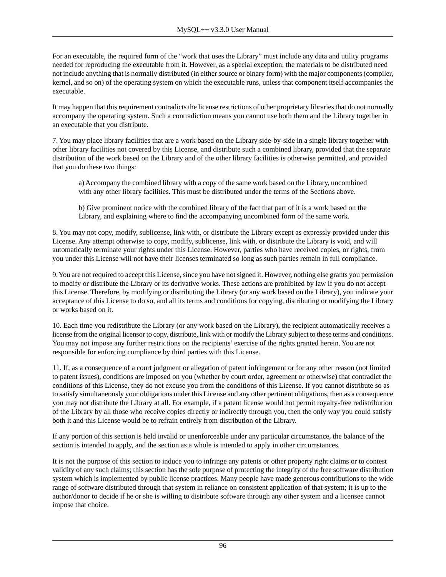For an executable, the required form of the "work that uses the Library" must include any data and utility programs needed for reproducing the executable from it. However, as a special exception, the materials to be distributed need not include anything that is normally distributed (in either source or binary form) with the major components (compiler, kernel, and so on) of the operating system on which the executable runs, unless that component itself accompanies the executable.

It may happen that this requirement contradicts the license restrictions of other proprietary libraries that do not normally accompany the operating system. Such a contradiction means you cannot use both them and the Library together in an executable that you distribute.

7. You may place library facilities that are a work based on the Library side-by-side in a single library together with other library facilities not covered by this License, and distribute such a combined library, provided that the separate distribution of the work based on the Library and of the other library facilities is otherwise permitted, and provided that you do these two things:

a) Accompany the combined library with a copy of the same work based on the Library, uncombined with any other library facilities. This must be distributed under the terms of the Sections above.

b) Give prominent notice with the combined library of the fact that part of it is a work based on the Library, and explaining where to find the accompanying uncombined form of the same work.

8. You may not copy, modify, sublicense, link with, or distribute the Library except as expressly provided under this License. Any attempt otherwise to copy, modify, sublicense, link with, or distribute the Library is void, and will automatically terminate your rights under this License. However, parties who have received copies, or rights, from you under this License will not have their licenses terminated so long as such parties remain in full compliance.

9. You are not required to accept this License, since you have not signed it. However, nothing else grants you permission to modify or distribute the Library or its derivative works. These actions are prohibited by law if you do not accept this License. Therefore, by modifying or distributing the Library (or any work based on the Library), you indicate your acceptance of this License to do so, and all its terms and conditions for copying, distributing or modifying the Library or works based on it.

10. Each time you redistribute the Library (or any work based on the Library), the recipient automatically receives a license from the original licensor to copy, distribute, link with or modify the Library subject to these terms and conditions. You may not impose any further restrictions on the recipients' exercise of the rights granted herein. You are not responsible for enforcing compliance by third parties with this License.

11. If, as a consequence of a court judgment or allegation of patent infringement or for any other reason (not limited to patent issues), conditions are imposed on you (whether by court order, agreement or otherwise) that contradict the conditions of this License, they do not excuse you from the conditions of this License. If you cannot distribute so as to satisfy simultaneously your obligations under this License and any other pertinent obligations, then as a consequence you may not distribute the Library at all. For example, if a patent license would not permit royalty-free redistribution of the Library by all those who receive copies directly or indirectly through you, then the only way you could satisfy both it and this License would be to refrain entirely from distribution of the Library.

If any portion of this section is held invalid or unenforceable under any particular circumstance, the balance of the section is intended to apply, and the section as a whole is intended to apply in other circumstances.

It is not the purpose of this section to induce you to infringe any patents or other property right claims or to contest validity of any such claims; this section has the sole purpose of protecting the integrity of the free software distribution system which is implemented by public license practices. Many people have made generous contributions to the wide range of software distributed through that system in reliance on consistent application of that system; it is up to the author/donor to decide if he or she is willing to distribute software through any other system and a licensee cannot impose that choice.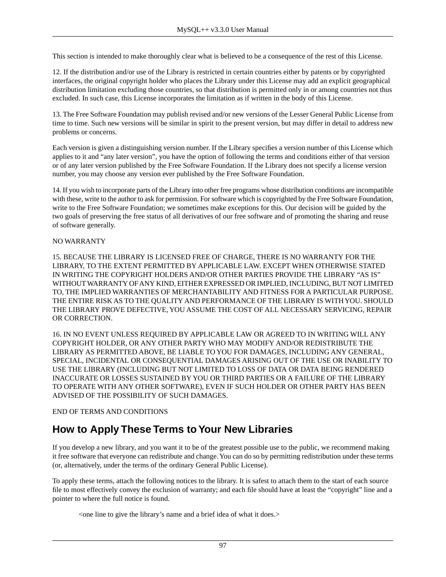This section is intended to make thoroughly clear what is believed to be a consequence of the rest of this License.

12. If the distribution and/or use of the Library is restricted in certain countries either by patents or by copyrighted interfaces, the original copyright holder who places the Library under this License may add an explicit geographical distribution limitation excluding those countries, so that distribution is permitted only in or among countries not thus excluded. In such case, this License incorporates the limitation as if written in the body of this License.

13. The Free Software Foundation may publish revised and/or new versions of the Lesser General Public License from time to time. Such new versions will be similar in spirit to the present version, but may differ in detail to address new problems or concerns.

Each version is given a distinguishing version number. If the Library specifies a version number of this License which applies to it and "any later version", you have the option of following the terms and conditions either of that version or of any later version published by the Free Software Foundation. If the Library does not specify a license version number, you may choose any version ever published by the Free Software Foundation.

14. If you wish to incorporate parts of the Library into other free programs whose distribution conditions are incompatible with these, write to the author to ask for permission. For software which is copyrighted by the Free Software Foundation, write to the Free Software Foundation; we sometimes make exceptions for this. Our decision will be guided by the two goals of preserving the free status of all derivatives of our free software and of promoting the sharing and reuse of software generally.

#### NO WARRANTY

15. BECAUSE THE LIBRARY IS LICENSED FREE OF CHARGE, THERE IS NO WARRANTY FOR THE LIBRARY, TO THE EXTENT PERMITTED BY APPLICABLE LAW. EXCEPT WHEN OTHERWISE STATED IN WRITING THE COPYRIGHT HOLDERS AND/OR OTHER PARTIES PROVIDE THE LIBRARY "AS IS" WITHOUT WARRANTY OF ANY KIND, EITHER EXPRESSED OR IMPLIED, INCLUDING, BUT NOT LIMITED TO, THE IMPLIED WARRANTIES OF MERCHANTABILITY AND FITNESS FOR A PARTICULAR PURPOSE. THE ENTIRE RISK AS TO THE QUALITY AND PERFORMANCE OF THE LIBRARY IS WITH YOU. SHOULD THE LIBRARY PROVE DEFECTIVE, YOU ASSUME THE COST OF ALL NECESSARY SERVICING, REPAIR OR CORRECTION.

16. IN NO EVENT UNLESS REQUIRED BY APPLICABLE LAW OR AGREED TO IN WRITING WILL ANY COPYRIGHT HOLDER, OR ANY OTHER PARTY WHO MAY MODIFY AND/OR REDISTRIBUTE THE LIBRARY AS PERMITTED ABOVE, BE LIABLE TO YOU FOR DAMAGES, INCLUDING ANY GENERAL, SPECIAL, INCIDENTAL OR CONSEQUENTIAL DAMAGES ARISING OUT OF THE USE OR INABILITY TO USE THE LIBRARY (INCLUDING BUT NOT LIMITED TO LOSS OF DATA OR DATA BEING RENDERED INACCURATE OR LOSSES SUSTAINED BY YOU OR THIRD PARTIES OR A FAILURE OF THE LIBRARY TO OPERATE WITH ANY OTHER SOFTWARE), EVEN IF SUCH HOLDER OR OTHER PARTY HAS BEEN ADVISED OF THE POSSIBILITY OF SUCH DAMAGES.

#### END OF TERMS AND CONDITIONS

### **How to Apply These Terms to Your New Libraries**

If you develop a new library, and you want it to be of the greatest possible use to the public, we recommend making it free software that everyone can redistribute and change. You can do so by permitting redistribution under these terms (or, alternatively, under the terms of the ordinary General Public License).

To apply these terms, attach the following notices to the library. It is safest to attach them to the start of each source file to most effectively convey the exclusion of warranty; and each file should have at least the "copyright" line and a pointer to where the full notice is found.

<one line to give the library's name and a brief idea of what it does.>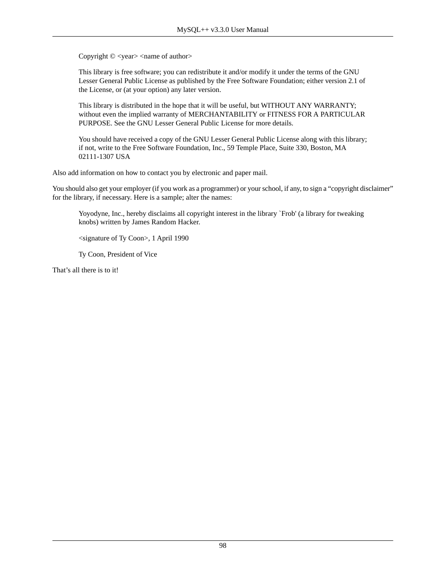Copyright  $\circ$  <year> <name of author>

This library is free software; you can redistribute it and/or modify it under the terms of the GNU Lesser General Public License as published by the Free Software Foundation; either version 2.1 of the License, or (at your option) any later version.

This library is distributed in the hope that it will be useful, but WITHOUT ANY WARRANTY; without even the implied warranty of MERCHANTABILITY or FITNESS FOR A PARTICULAR PURPOSE. See the GNU Lesser General Public License for more details.

You should have received a copy of the GNU Lesser General Public License along with this library; if not, write to the Free Software Foundation, Inc., 59 Temple Place, Suite 330, Boston, MA 02111-1307 USA

Also add information on how to contact you by electronic and paper mail.

You should also get your employer (if you work as a programmer) or your school, if any, to sign a "copyright disclaimer" for the library, if necessary. Here is a sample; alter the names:

Yoyodyne, Inc., hereby disclaims all copyright interest in the library `Frob' (a library for tweaking knobs) written by James Random Hacker.

<signature of Ty Coon>, 1 April 1990

Ty Coon, President of Vice

That's all there is to it!